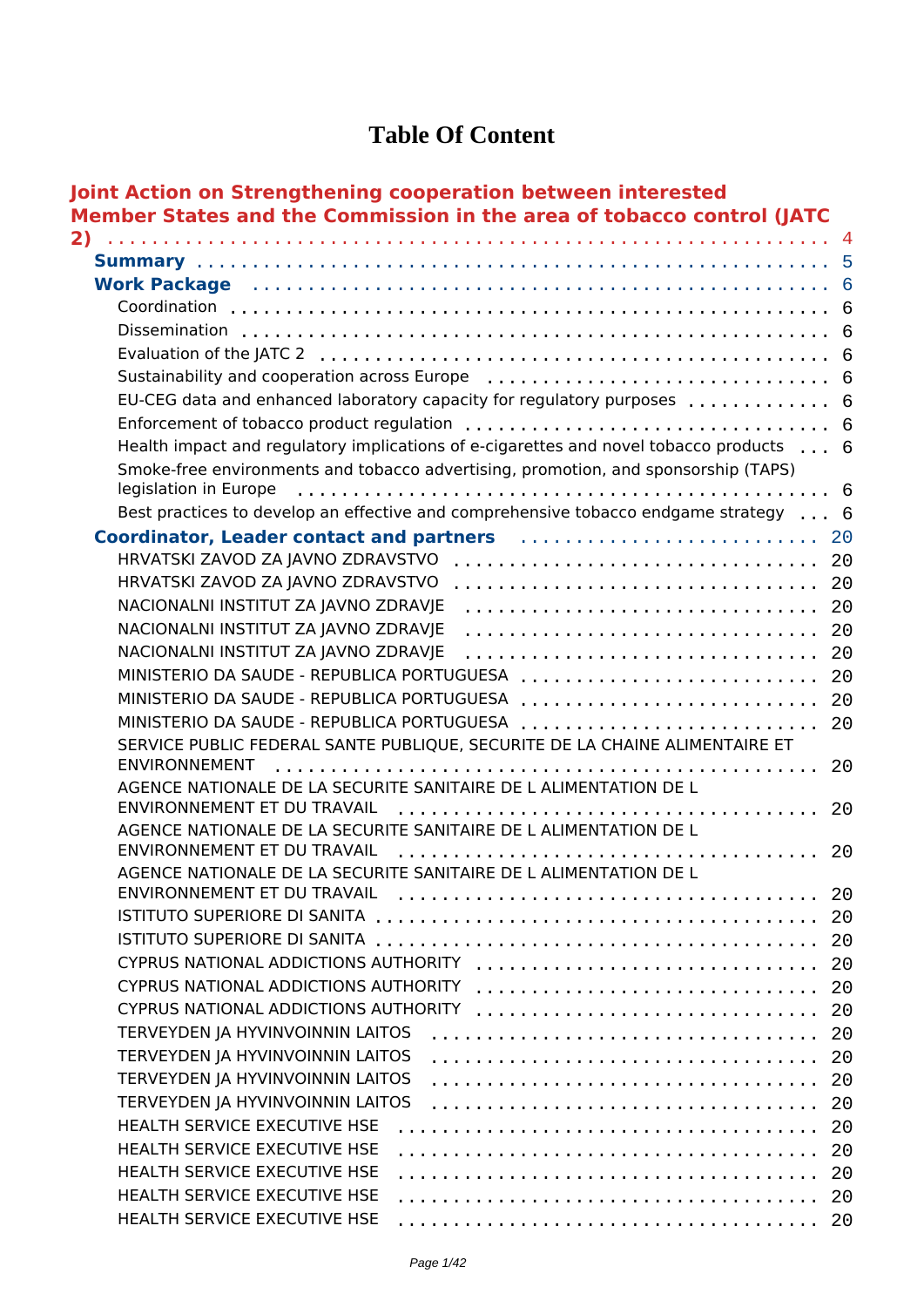### **Table Of Content**

| 2)                                                                                                                                                                                                                             |          |
|--------------------------------------------------------------------------------------------------------------------------------------------------------------------------------------------------------------------------------|----------|
|                                                                                                                                                                                                                                |          |
| Work Package (and the contract of the contract of the contract of the contract of the contract of the contract of the contract of the contract of the contract of the contract of the contract of the contract of the contract |          |
|                                                                                                                                                                                                                                |          |
|                                                                                                                                                                                                                                |          |
|                                                                                                                                                                                                                                |          |
|                                                                                                                                                                                                                                |          |
| EU-CEG data and enhanced laboratory capacity for regulatory purposes  6                                                                                                                                                        |          |
|                                                                                                                                                                                                                                |          |
| Health impact and regulatory implications of e-cigarettes and novel tobacco products 6                                                                                                                                         |          |
| Smoke-free environments and tobacco advertising, promotion, and sponsorship (TAPS)<br>legislation in Europe                                                                                                                    |          |
| Best practices to develop an effective and comprehensive tobacco endgame strategy 6                                                                                                                                            |          |
| Coordinator, Leader contact and partners entitled contains and the 20 and 20                                                                                                                                                   |          |
| HRVATSKI ZAVOD ZA JAVNO ZDRAVSTVO                                                                                                                                                                                              |          |
| HRVATSKI ZAVOD ZA JAVNO ZDRAVSTVO                                                                                                                                                                                              |          |
| NACIONALNI INSTITUT ZA JAVNO ZDRAVJE                                                                                                                                                                                           |          |
| NACIONALNI INSTITUT ZA JAVNO ZDRAVJE                                                                                                                                                                                           | 20       |
| NACIONALNI INSTITUT ZA JAVNO ZDRAVJE                                                                                                                                                                                           | 20       |
| MINISTERIO DA SAUDE - REPUBLICA PORTUGUESA                                                                                                                                                                                     | 20       |
| MINISTERIO DA SAUDE - REPUBLICA PORTUGUESA                                                                                                                                                                                     | 20       |
| MINISTERIO DA SAUDE - REPUBLICA PORTUGUESA                                                                                                                                                                                     | 20       |
| SERVICE PUBLIC FEDERAL SANTE PUBLIQUE, SECURITE DE LA CHAINE ALIMENTAIRE ET<br><b>ENVIRONNEMENT</b>                                                                                                                            | 20       |
| AGENCE NATIONALE DE LA SECURITE SANITAIRE DE LALIMENTATION DE L                                                                                                                                                                |          |
| ENVIRONNEMENT ET DU TRAVAIL                                                                                                                                                                                                    | 20       |
| AGENCE NATIONALE DE LA SECURITE SANITAIRE DE L ALIMENTATION DE L                                                                                                                                                               |          |
| ENVIRONNEMENT ET DU TRAVAIL                                                                                                                                                                                                    | 20       |
| AGENCE NATIONALE DE LA SECURITE SANITAIRE DE LALIMENTATION DE L                                                                                                                                                                |          |
|                                                                                                                                                                                                                                | 20<br>20 |
|                                                                                                                                                                                                                                | 20       |
| CYPRUS NATIONAL ADDICTIONS AUTHORITY                                                                                                                                                                                           | 20       |
| CYPRUS NATIONAL ADDICTIONS AUTHORITY                                                                                                                                                                                           | 20       |
| CYPRUS NATIONAL ADDICTIONS AUTHORITY                                                                                                                                                                                           | 20       |
| TERVEYDEN JA HYVINVOINNIN LAITOS                                                                                                                                                                                               | 20       |
| TERVEYDEN JA HYVINVOINNIN LAITOS                                                                                                                                                                                               | 20       |
| TERVEYDEN JA HYVINVOINNIN LAITOS                                                                                                                                                                                               | 20       |
| TERVEYDEN JA HYVINVOINNIN LAITOS                                                                                                                                                                                               | 20       |
| HEALTH SERVICE EXECUTIVE HSE                                                                                                                                                                                                   | 20       |
| HEALTH SERVICE EXECUTIVE HSE                                                                                                                                                                                                   | 20       |
| HEALTH SERVICE EXECUTIVE HSE                                                                                                                                                                                                   | 20       |
| HEALTH SERVICE EXECUTIVE HSE                                                                                                                                                                                                   | 20       |
| HEALTH SERVICE EXECUTIVE HSE                                                                                                                                                                                                   | 20       |
|                                                                                                                                                                                                                                |          |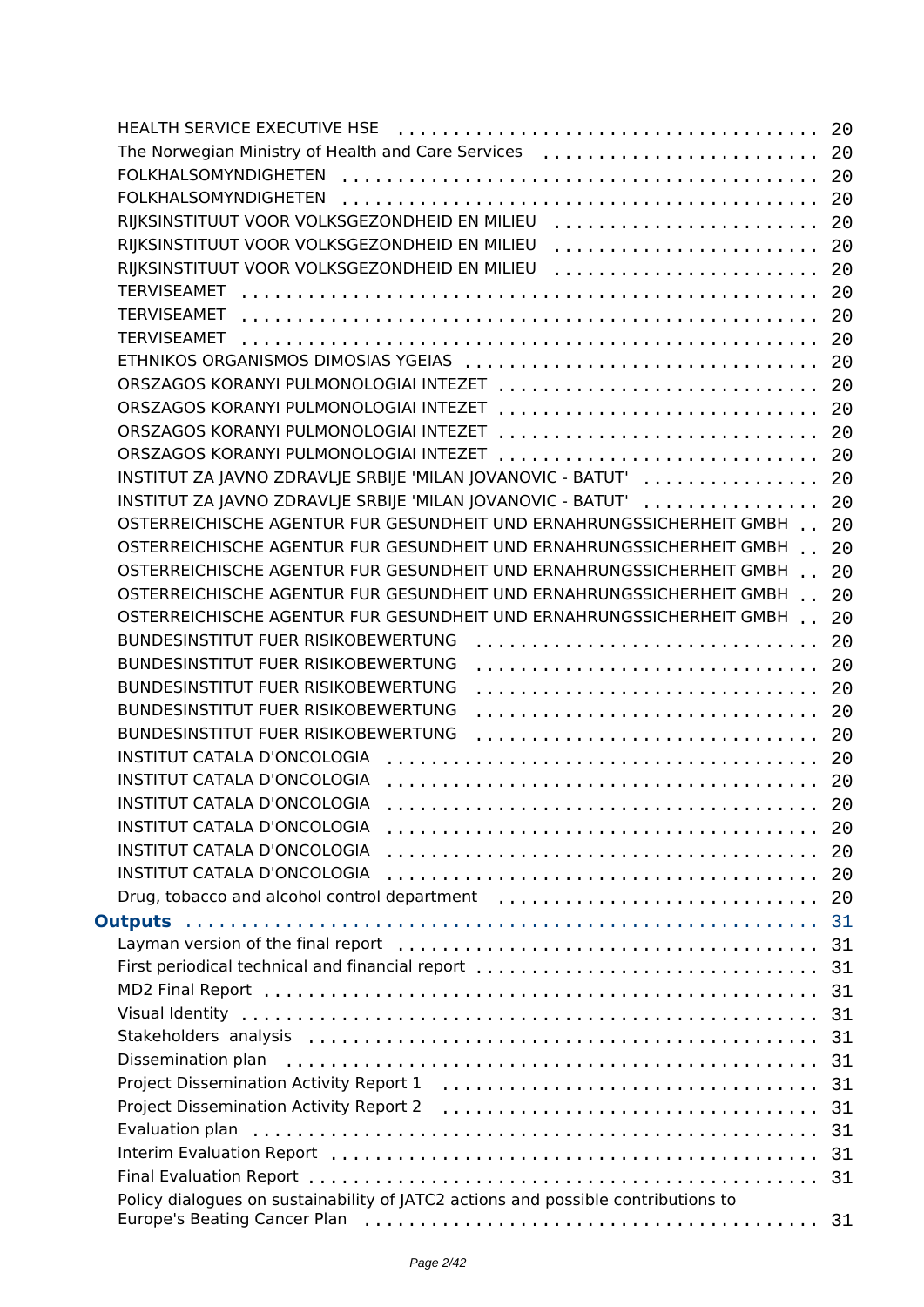|                                                                                                                  | 20  |
|------------------------------------------------------------------------------------------------------------------|-----|
| The Norwegian Ministry of Health and Care Services                                                               | 20  |
| <b>FOLKHALSOMYNDIGHETEN</b>                                                                                      | 20  |
| FOLKHALSOMYNDIGHETEN                                                                                             | 20  |
| RIJKSINSTITUUT VOOR VOLKSGEZONDHEID EN MILIEU                                                                    | 20  |
| RIJKSINSTITUUT VOOR VOLKSGEZONDHEID EN MILIEU                                                                    | 20  |
| RIJKSINSTITUUT VOOR VOLKSGEZONDHEID EN MILIEU                                                                    | 20  |
| <b>TERVISEAMET</b>                                                                                               | 20  |
| <b>TERVISEAMET</b>                                                                                               | 20  |
| <b>TERVISEAMET</b>                                                                                               | 20  |
|                                                                                                                  | 20  |
| ORSZAGOS KORANYI PULMONOLOGIAI INTEZET                                                                           | 20  |
| ORSZAGOS KORANYI PULMONOLOGIAI INTEZET                                                                           | 20  |
| ORSZAGOS KORANYI PULMONOLOGIAI INTEZET                                                                           | 20  |
| ORSZAGOS KORANYI PULMONOLOGIAI INTEZET                                                                           | 20  |
| INSTITUT ZA JAVNO ZDRAVLJE SRBIJE 'MILAN JOVANOVIC - BATUT'                                                      | 20  |
| INSTITUT ZA JAVNO ZDRAVLJE SRBIJE 'MILAN JOVANOVIC - BATUT'  20                                                  |     |
| OSTERREICHISCHE AGENTUR FUR GESUNDHEIT UND ERNAHRUNGSSICHERHEIT GMBH                                             | 20  |
| OSTERREICHISCHE AGENTUR FUR GESUNDHEIT UND ERNAHRUNGSSICHERHEIT GMBH                                             | 20  |
| OSTERREICHISCHE AGENTUR FUR GESUNDHEIT UND ERNAHRUNGSSICHERHEIT GMBH                                             | 20  |
| OSTERREICHISCHE AGENTUR FUR GESUNDHEIT UND ERNAHRUNGSSICHERHEIT GMBH                                             | 20  |
| OSTERREICHISCHE AGENTUR FUR GESUNDHEIT UND ERNAHRUNGSSICHERHEIT GMBH                                             | 20  |
| BUNDESINSTITUT FUER RISIKOBEWERTUNG                                                                              | 20  |
| <b>BUNDESINSTITUT FUER RISIKOBEWERTUNG</b>                                                                       | 20  |
| <b>BUNDESINSTITUT FUER RISIKOBEWERTUNG</b>                                                                       | 20  |
| <b>BUNDESINSTITUT FUER RISIKOBEWERTUNG</b>                                                                       |     |
| <b>BUNDESINSTITUT FUER RISIKOBEWERTUNG</b>                                                                       | 20  |
| INSTITUT CATALA D'ONCOLOGIA                                                                                      | 20  |
| <b>INSTITUT CATALA D'ONCOLOGIA</b>                                                                               | 20  |
| <b>INSTITUT CATALA D'ONCOLOGIA</b>                                                                               | 20  |
|                                                                                                                  | 20  |
|                                                                                                                  | -20 |
| INSTITUT CATALA D'ONCOLOGIA                                                                                      | 20  |
| INSTITUT CATALA D'ONCOLOGIA                                                                                      | 20  |
| Drug, tobacco and alcohol control department                                                                     | 20  |
|                                                                                                                  | 31  |
|                                                                                                                  | 31  |
| First periodical technical and financial report                                                                  | 31  |
|                                                                                                                  | 31  |
|                                                                                                                  | 31  |
|                                                                                                                  | 31  |
| Dissemination plan                                                                                               | 31  |
|                                                                                                                  | 31  |
| Project Dissemination Activity Report 2 (assessman project Dissemination Activity Report 2 (assessman projection | 31  |
|                                                                                                                  | 31  |
|                                                                                                                  | 31  |
|                                                                                                                  | -31 |
| Policy dialogues on sustainability of JATC2 actions and possible contributions to                                |     |
|                                                                                                                  | -31 |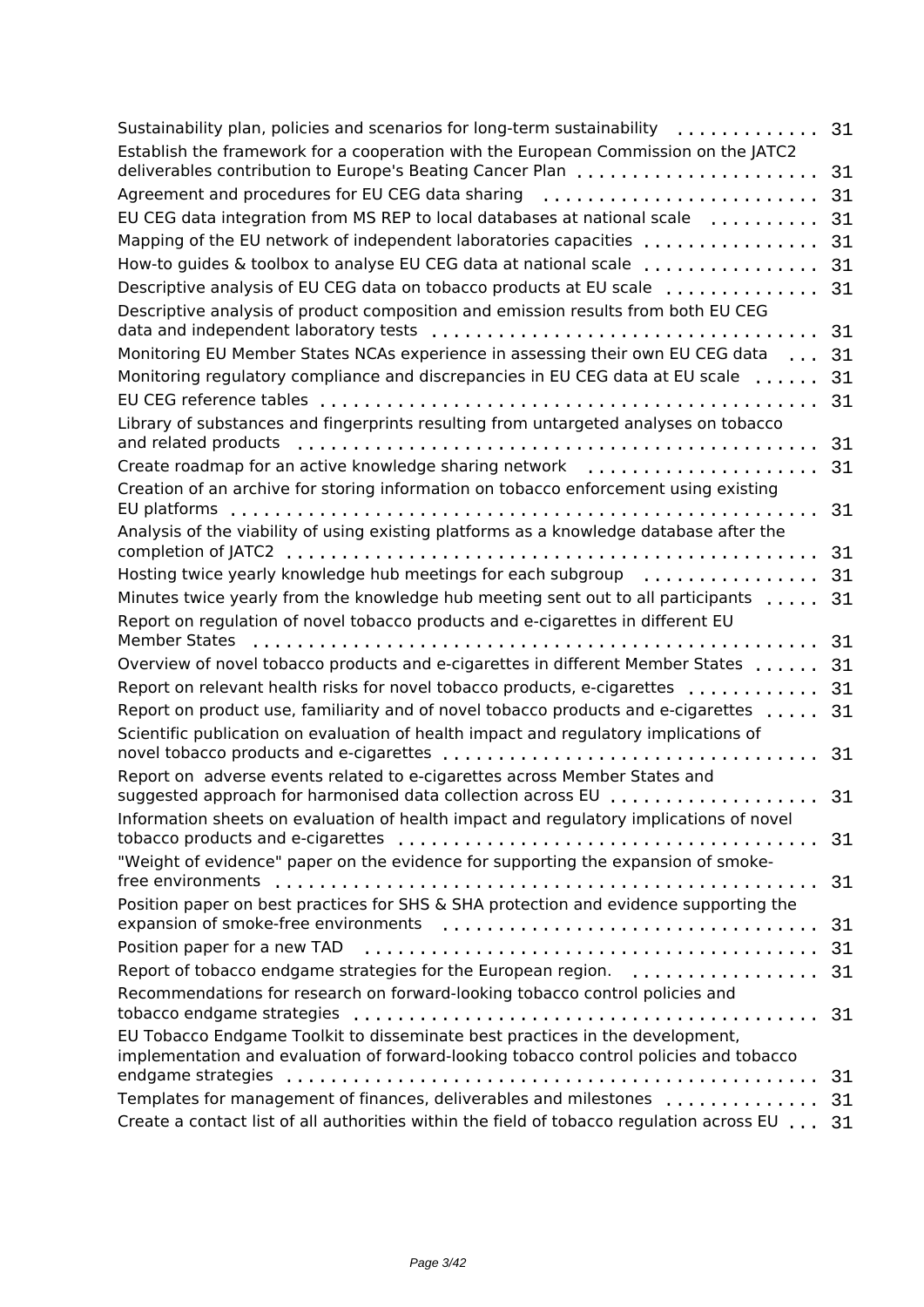| Sustainability plan, policies and scenarios for long-term sustainability                                               | 31 |
|------------------------------------------------------------------------------------------------------------------------|----|
| Establish the framework for a cooperation with the European Commission on the JATC2                                    |    |
| deliverables contribution to Europe's Beating Cancer Plan                                                              | 31 |
| Agreement and procedures for EU CEG data sharing                                                                       | 31 |
| EU CEG data integration from MS REP to local databases at national scale                                               | 31 |
| Mapping of the EU network of independent laboratories capacities                                                       | 31 |
| How-to guides & toolbox to analyse EU CEG data at national scale                                                       | 31 |
| Descriptive analysis of EU CEG data on tobacco products at EU scale                                                    | 31 |
| Descriptive analysis of product composition and emission results from both EU CEG                                      |    |
| data and independent laboratory tests                                                                                  | 31 |
| Monitoring EU Member States NCAs experience in assessing their own EU CEG data                                         | 31 |
| Monitoring regulatory compliance and discrepancies in EU CEG data at EU scale                                          | 31 |
| EU CEG reference tables                                                                                                | 31 |
| Library of substances and fingerprints resulting from untargeted analyses on tobacco<br>and related products           | 31 |
| Create roadmap for an active knowledge sharing network                                                                 | 31 |
| Creation of an archive for storing information on tobacco enforcement using existing                                   |    |
| EU platforms                                                                                                           | 31 |
| Analysis of the viability of using existing platforms as a knowledge database after the                                |    |
|                                                                                                                        | 31 |
| Hosting twice yearly knowledge hub meetings for each subgroup                                                          | 31 |
| Minutes twice yearly from the knowledge hub meeting sent out to all participants                                       | 31 |
| Report on regulation of novel tobacco products and e-cigarettes in different EU                                        |    |
| <b>Member States</b>                                                                                                   | 31 |
| Overview of novel tobacco products and e-cigarettes in different Member States                                         | 31 |
| Report on relevant health risks for novel tobacco products, e-cigarettes                                               | 31 |
| Report on product use, familiarity and of novel tobacco products and e-cigarettes                                      | 31 |
| Scientific publication on evaluation of health impact and regulatory implications of                                   |    |
| novel tobacco products and e-cigarettes                                                                                | 31 |
| Report on adverse events related to e-cigarettes across Member States and                                              |    |
| suggested approach for harmonised data collection across EU                                                            | 31 |
| Information sheets on evaluation of health impact and regulatory implications of novel                                 |    |
| tobacco products and e-cigarettes<br>"Weight of evidence" paper on the evidence for supporting the expansion of smoke- | 31 |
| free environments                                                                                                      | 31 |
| Position paper on best practices for SHS & SHA protection and evidence supporting the                                  |    |
|                                                                                                                        | 31 |
|                                                                                                                        | 31 |
| Report of tobacco endgame strategies for the European region.                                                          | 31 |
| Recommendations for research on forward-looking tobacco control policies and                                           |    |
|                                                                                                                        | 31 |
| EU Tobacco Endgame Toolkit to disseminate best practices in the development,                                           |    |
| implementation and evaluation of forward-looking tobacco control policies and tobacco                                  |    |
| endgame strategies                                                                                                     | 31 |
| Templates for management of finances, deliverables and milestones                                                      | 31 |
| Create a contact list of all authorities within the field of tobacco regulation across EU                              | 31 |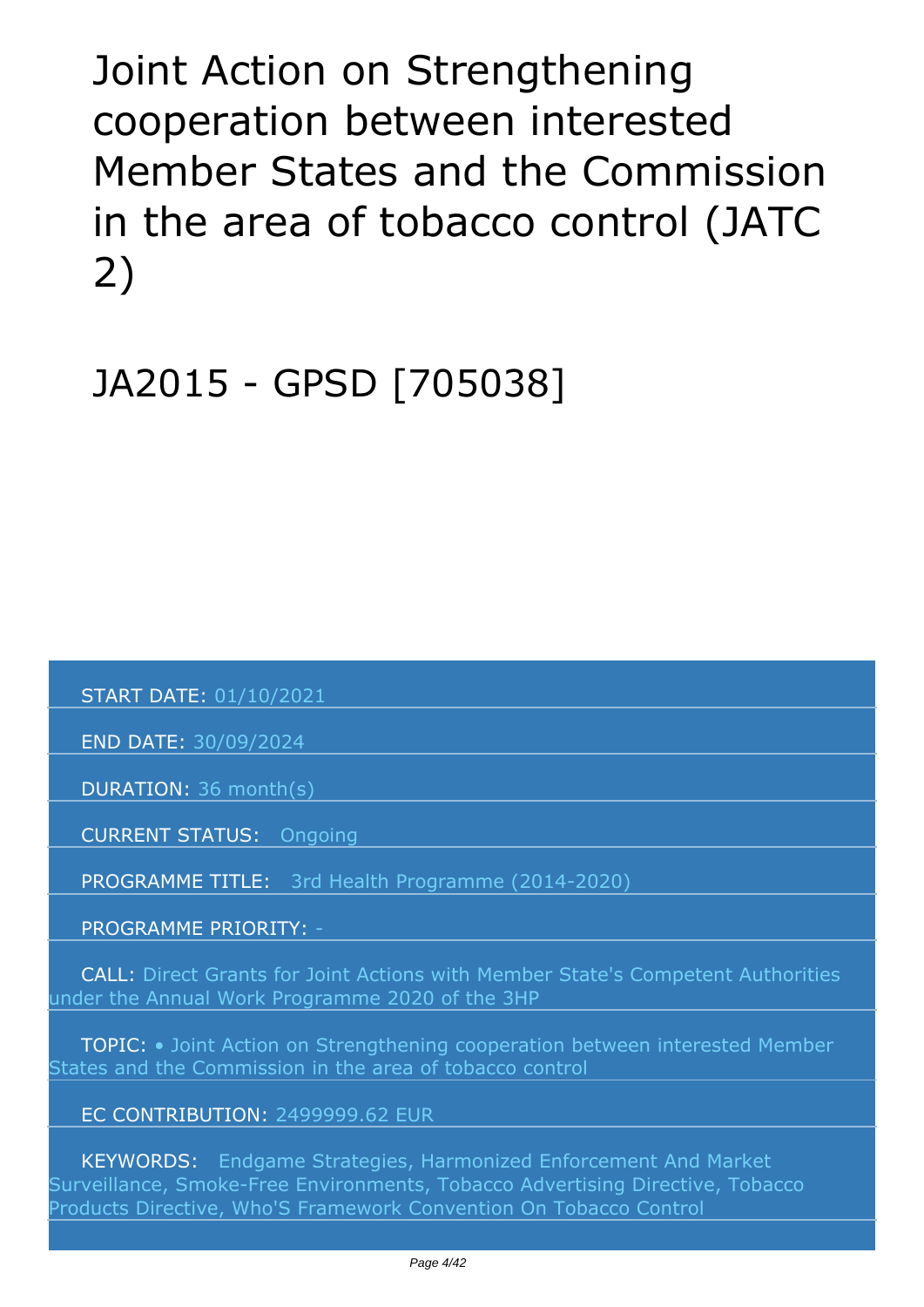<span id="page-3-0"></span>*Joint Action on Strengthening cooperation between interested Member States and the Commission in the area of tobacco control (JATC 2)*

*JA2015 - GPSD [705038]*

 *START DATE: 01/10/2021*

 *END DATE: 30/09/2024*

 *DURATION: 36 month(s)*

 *CURRENT STATUS: Ongoing*

 *PROGRAMME TITLE: 3rd Health Programme (2014-2020)* 

 *PROGRAMME PRIORITY: -*

 *CALL: Direct Grants for Joint Actions with Member State's Competent Authorities under the Annual Work Programme 2020 of the 3HP*

 *TOPIC: • Joint Action on Strengthening cooperation between interested Member States and the Commission in the area of tobacco control*

#### *EC CONTRIBUTION: 2499999.62 EUR*

 *KEYWORDS: Endgame Strategies, Harmonized Enforcement And Market Surveillance, Smoke-Free Environments, Tobacco Advertising Directive, Tobacco Products Directive, Who'S Framework Convention On Tobacco Control*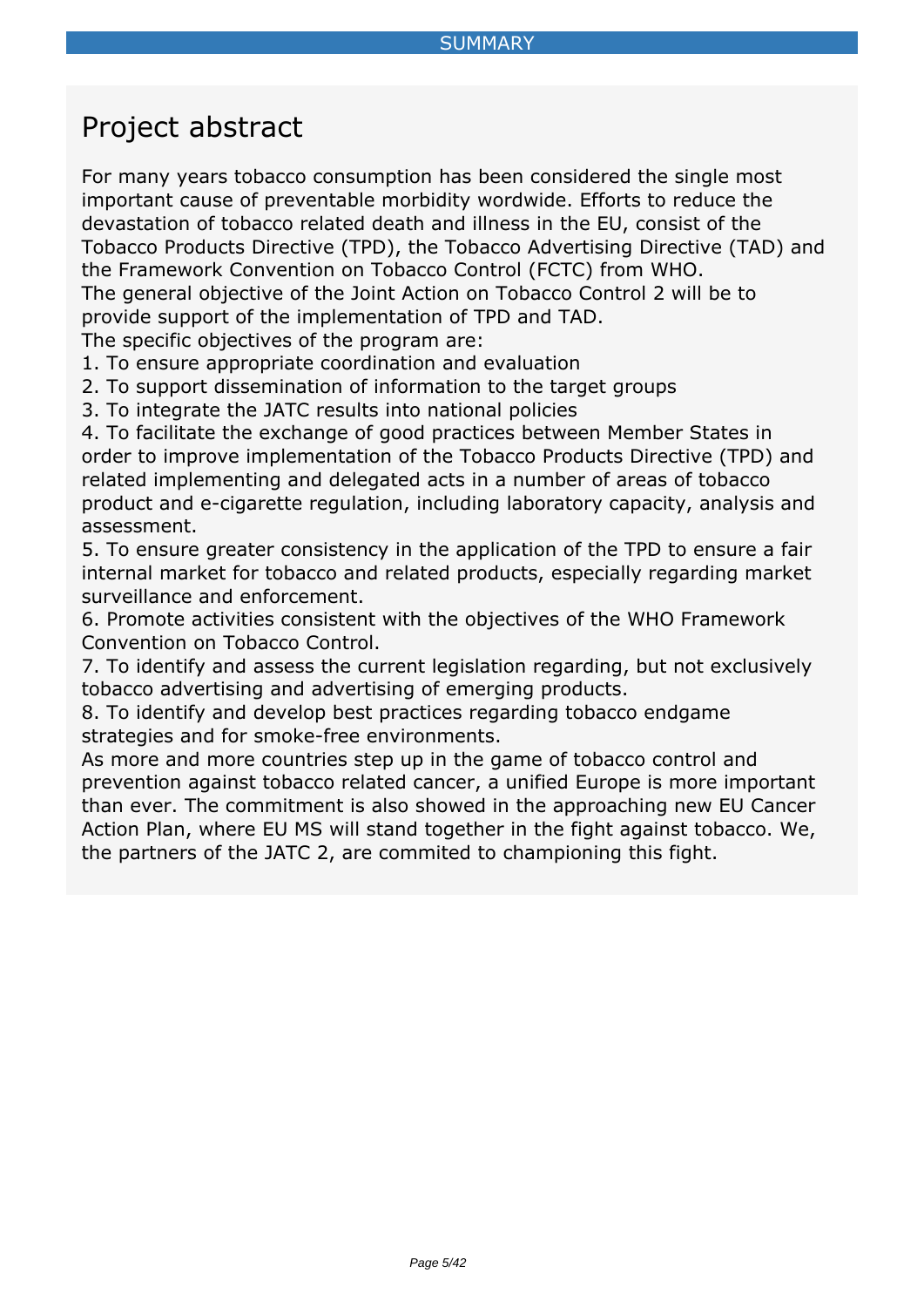## <span id="page-4-0"></span>*Project abstract*

*For many years tobacco consumption has been considered the single most important cause of preventable morbidity wordwide. Efforts to reduce the devastation of tobacco related death and illness in the EU, consist of the Tobacco Products Directive (TPD), the Tobacco Advertising Directive (TAD) and the Framework Convention on Tobacco Control (FCTC) from WHO. The general objective of the Joint Action on Tobacco Control 2 will be to provide support of the implementation of TPD and TAD.*

*The specific objectives of the program are:*

*1. To ensure appropriate coordination and evaluation*

*2. To support dissemination of information to the target groups*

*3. To integrate the JATC results into national policies*

*4. To facilitate the exchange of good practices between Member States in order to improve implementation of the Tobacco Products Directive (TPD) and related implementing and delegated acts in a number of areas of tobacco product and e-cigarette regulation, including laboratory capacity, analysis and assessment.*

*5. To ensure greater consistency in the application of the TPD to ensure a fair internal market for tobacco and related products, especially regarding market surveillance and enforcement.*

*6. Promote activities consistent with the objectives of the WHO Framework Convention on Tobacco Control.*

*7. To identify and assess the current legislation regarding, but not exclusively tobacco advertising and advertising of emerging products.*

*8. To identify and develop best practices regarding tobacco endgame strategies and for smoke-free environments.*

*As more and more countries step up in the game of tobacco control and prevention against tobacco related cancer, a unified Europe is more important than ever. The commitment is also showed in the approaching new EU Cancer Action Plan, where EU MS will stand together in the fight against tobacco. We, the partners of the JATC 2, are commited to championing this fight.*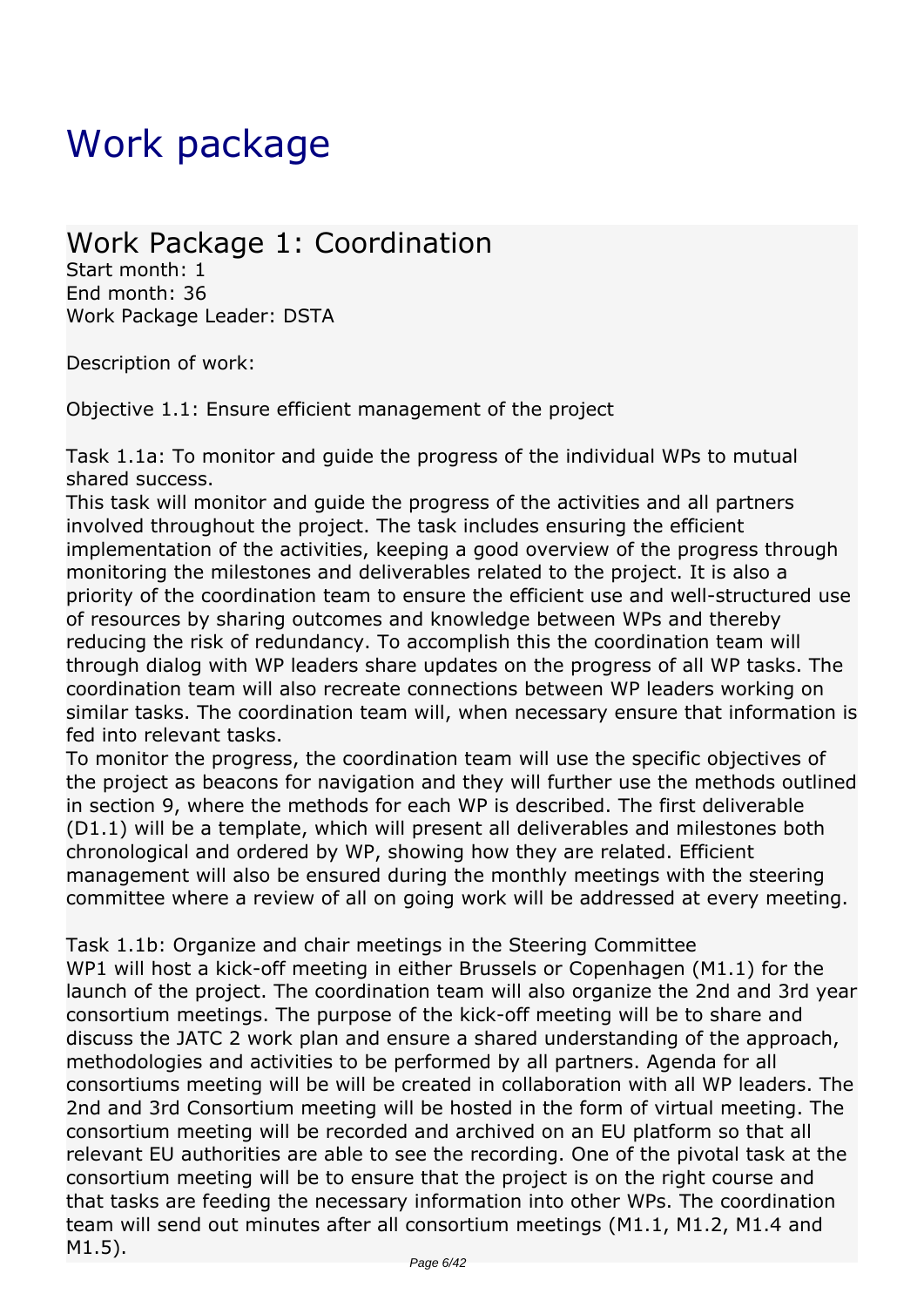# <span id="page-5-0"></span>*Work package*

### *Work Package 1: Coordination*

*Start month: 1 End month: 36 Work Package Leader: DSTA*

*Description of work:*

*Objective 1.1: Ensure efficient management of the project*

*Task 1.1a: To monitor and guide the progress of the individual WPs to mutual shared success.*

*This task will monitor and guide the progress of the activities and all partners involved throughout the project. The task includes ensuring the efficient implementation of the activities, keeping a good overview of the progress through monitoring the milestones and deliverables related to the project. It is also a priority of the coordination team to ensure the efficient use and well-structured use of resources by sharing outcomes and knowledge between WPs and thereby reducing the risk of redundancy. To accomplish this the coordination team will through dialog with WP leaders share updates on the progress of all WP tasks. The coordination team will also recreate connections between WP leaders working on similar tasks. The coordination team will, when necessary ensure that information is fed into relevant tasks.*

*To monitor the progress, the coordination team will use the specific objectives of the project as beacons for navigation and they will further use the methods outlined in section 9, where the methods for each WP is described. The first deliverable (D1.1) will be a template, which will present all deliverables and milestones both chronological and ordered by WP, showing how they are related. Efficient management will also be ensured during the monthly meetings with the steering committee where a review of all on going work will be addressed at every meeting.*

*Task 1.1b: Organize and chair meetings in the Steering Committee WP1 will host a kick-off meeting in either Brussels or Copenhagen (M1.1) for the launch of the project. The coordination team will also organize the 2nd and 3rd year consortium meetings. The purpose of the kick-off meeting will be to share and discuss the JATC 2 work plan and ensure a shared understanding of the approach, methodologies and activities to be performed by all partners. Agenda for all consortiums meeting will be will be created in collaboration with all WP leaders. The 2nd and 3rd Consortium meeting will be hosted in the form of virtual meeting. The consortium meeting will be recorded and archived on an EU platform so that all relevant EU authorities are able to see the recording. One of the pivotal task at the consortium meeting will be to ensure that the project is on the right course and that tasks are feeding the necessary information into other WPs. The coordination team will send out minutes after all consortium meetings (M1.1, M1.2, M1.4 and M1.5).*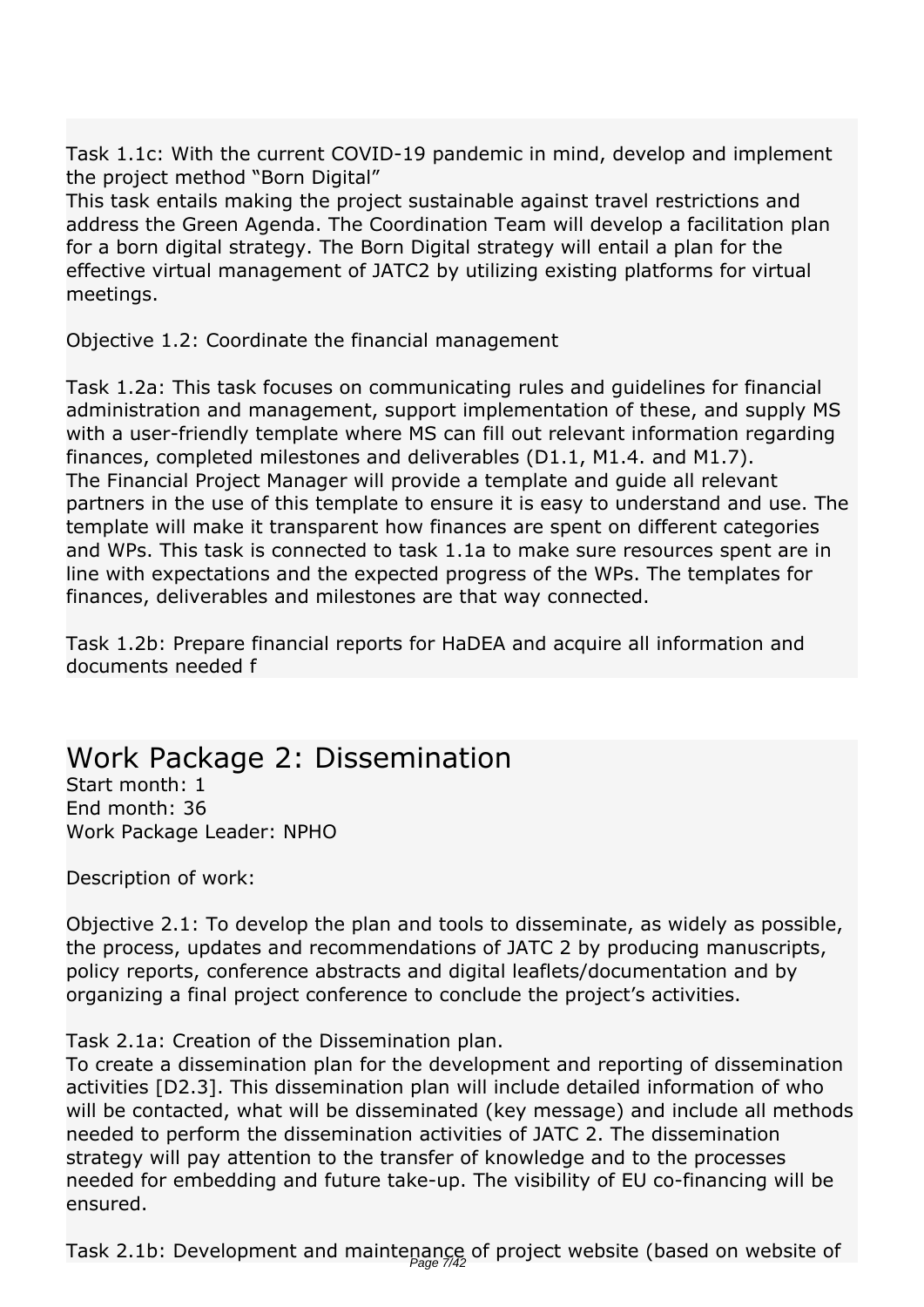*Task 1.1c: With the current COVID-19 pandemic in mind, develop and implement the project method "Born Digital"*

*This task entails making the project sustainable against travel restrictions and address the Green Agenda. The Coordination Team will develop a facilitation plan for a born digital strategy. The Born Digital strategy will entail a plan for the effective virtual management of JATC2 by utilizing existing platforms for virtual meetings.*

*Objective 1.2: Coordinate the financial management*

*Task 1.2a: This task focuses on communicating rules and guidelines for financial administration and management, support implementation of these, and supply MS with a user-friendly template where MS can fill out relevant information regarding finances, completed milestones and deliverables (D1.1, M1.4. and M1.7). The Financial Project Manager will provide a template and guide all relevant partners in the use of this template to ensure it is easy to understand and use. The template will make it transparent how finances are spent on different categories and WPs. This task is connected to task 1.1a to make sure resources spent are in line with expectations and the expected progress of the WPs. The templates for finances, deliverables and milestones are that way connected.*

*Task 1.2b: Prepare financial reports for HaDEA and acquire all information and documents needed f* 

### *Work Package 2: Dissemination*

*Start month: 1 End month: 36 Work Package Leader: NPHO*

*Description of work:*

*Objective 2.1: To develop the plan and tools to disseminate, as widely as possible, the process, updates and recommendations of JATC 2 by producing manuscripts, policy reports, conference abstracts and digital leaflets/documentation and by organizing a final project conference to conclude the project's activities.*

*Task 2.1a: Creation of the Dissemination plan.*

*To create a dissemination plan for the development and reporting of dissemination activities [D2.3]. This dissemination plan will include detailed information of who will be contacted, what will be disseminated (key message) and include all methods needed to perform the dissemination activities of JATC 2. The dissemination strategy will pay attention to the transfer of knowledge and to the processes needed for embedding and future take-up. The visibility of EU co-financing will be ensured.*

*Task 2.1b: Development and maintenance of project website (based on website of* Page 7/42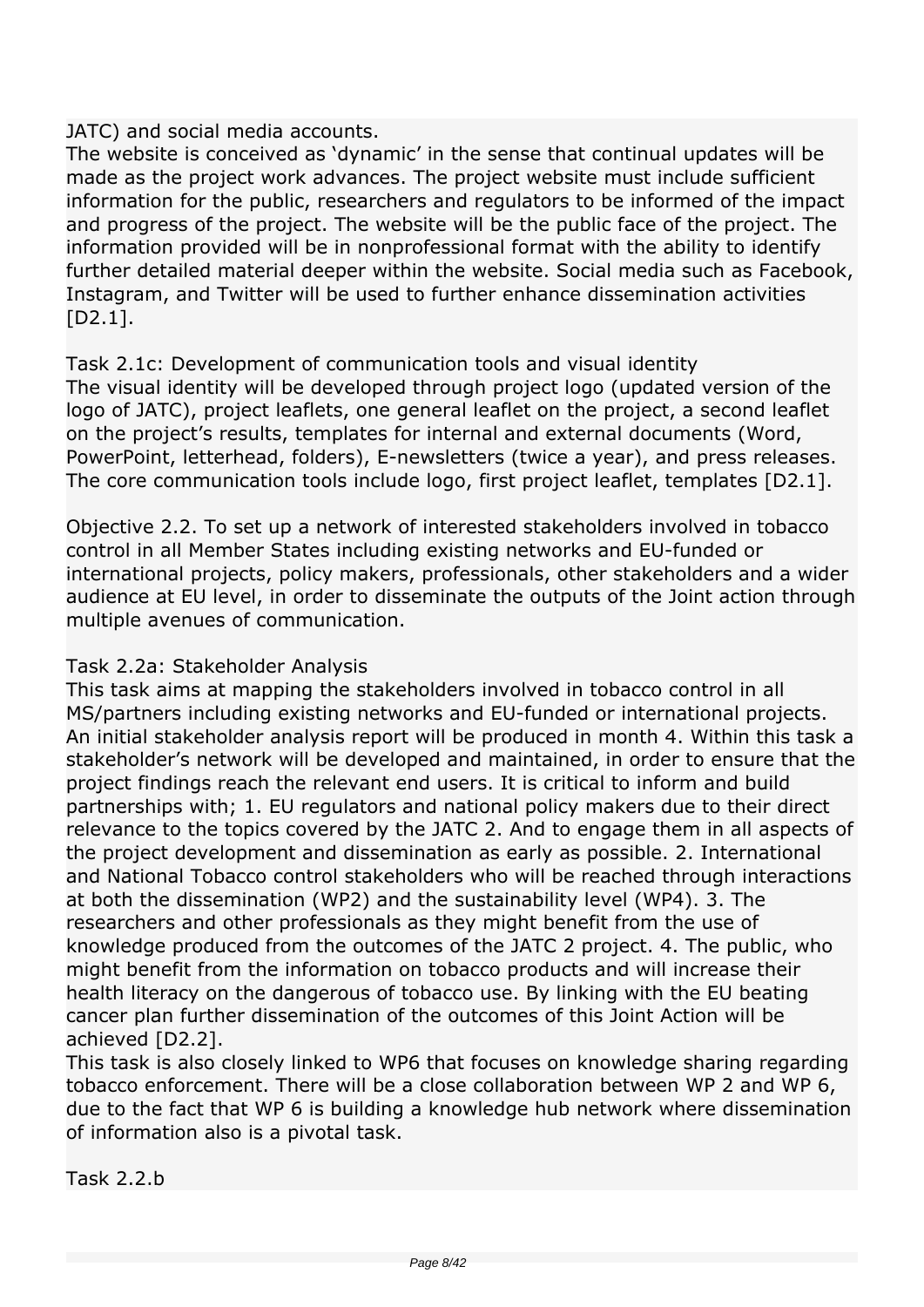#### *JATC) and social media accounts.*

*The website is conceived as 'dynamic' in the sense that continual updates will be made as the project work advances. The project website must include sufficient information for the public, researchers and regulators to be informed of the impact and progress of the project. The website will be the public face of the project. The information provided will be in nonprofessional format with the ability to identify further detailed material deeper within the website. Social media such as Facebook, Instagram, and Twitter will be used to further enhance dissemination activities [D2.1].*

*Task 2.1c: Development of communication tools and visual identity The visual identity will be developed through project logo (updated version of the logo of JATC), project leaflets, one general leaflet on the project, a second leaflet on the project's results, templates for internal and external documents (Word, PowerPoint, letterhead, folders), E-newsletters (twice a year), and press releases. The core communication tools include logo, first project leaflet, templates [D2.1].*

*Objective 2.2. To set up a network of interested stakeholders involved in tobacco control in all Member States including existing networks and EU-funded or international projects, policy makers, professionals, other stakeholders and a wider audience at EU level, in order to disseminate the outputs of the Joint action through multiple avenues of communication.*

#### *Task 2.2a: Stakeholder Analysis*

*This task aims at mapping the stakeholders involved in tobacco control in all MS/partners including existing networks and EU-funded or international projects. An initial stakeholder analysis report will be produced in month 4. Within this task a stakeholder's network will be developed and maintained, in order to ensure that the project findings reach the relevant end users. It is critical to inform and build partnerships with; 1. EU regulators and national policy makers due to their direct relevance to the topics covered by the JATC 2. And to engage them in all aspects of the project development and dissemination as early as possible. 2. International and National Tobacco control stakeholders who will be reached through interactions at both the dissemination (WP2) and the sustainability level (WP4). 3. The researchers and other professionals as they might benefit from the use of knowledge produced from the outcomes of the JATC 2 project. 4. The public, who might benefit from the information on tobacco products and will increase their health literacy on the dangerous of tobacco use. By linking with the EU beating cancer plan further dissemination of the outcomes of this Joint Action will be achieved [D2.2].*

*This task is also closely linked to WP6 that focuses on knowledge sharing regarding tobacco enforcement. There will be a close collaboration between WP 2 and WP 6, due to the fact that WP 6 is building a knowledge hub network where dissemination of information also is a pivotal task.*

*Task 2.2.b*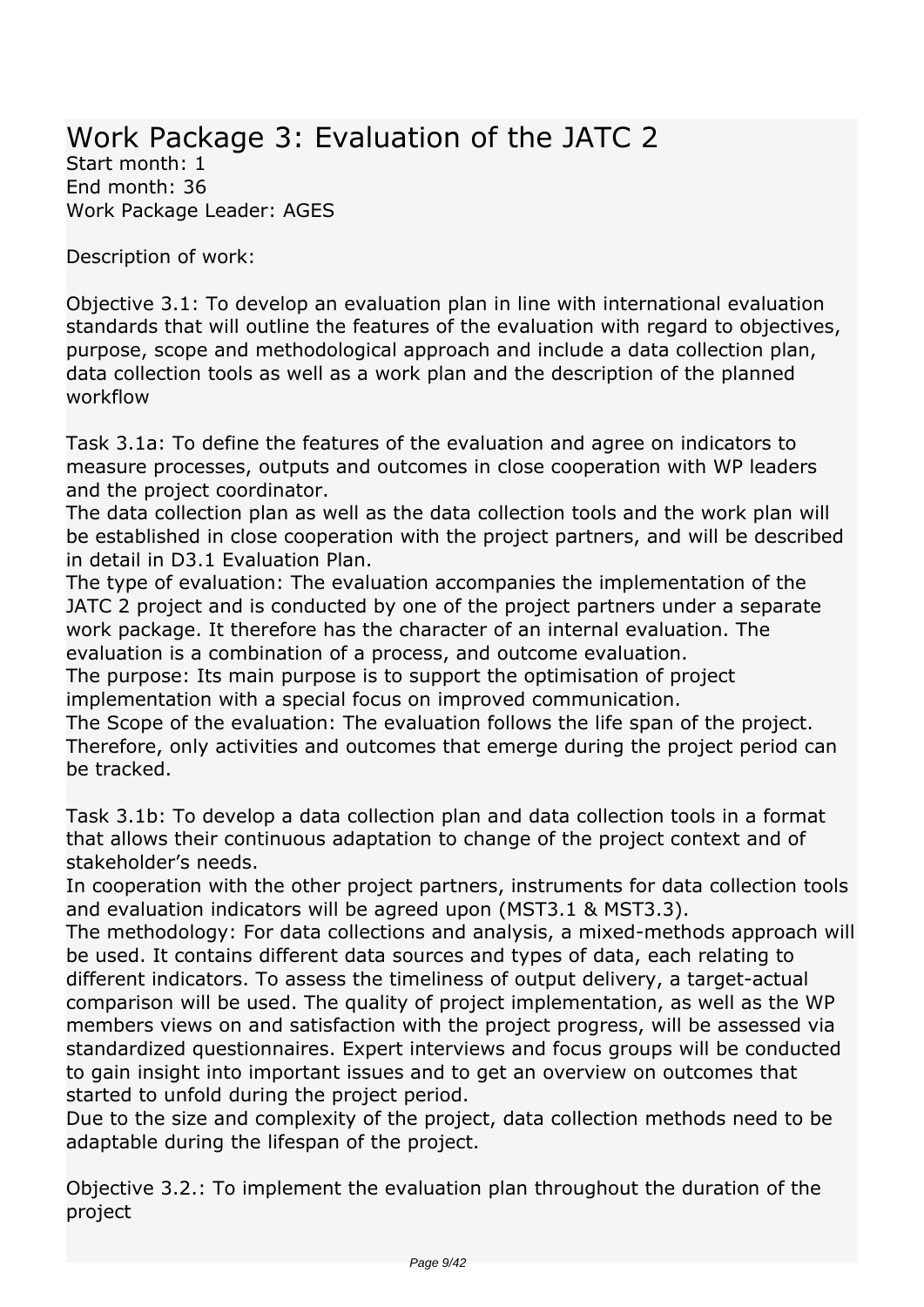## *Work Package 3: Evaluation of the JATC 2*

*Start month: 1 End month: 36 Work Package Leader: AGES*

*Description of work:*

*Objective 3.1: To develop an evaluation plan in line with international evaluation standards that will outline the features of the evaluation with regard to objectives, purpose, scope and methodological approach and include a data collection plan, data collection tools as well as a work plan and the description of the planned workflow*

*Task 3.1a: To define the features of the evaluation and agree on indicators to measure processes, outputs and outcomes in close cooperation with WP leaders and the project coordinator.*

*The data collection plan as well as the data collection tools and the work plan will be established in close cooperation with the project partners, and will be described in detail in D3.1 Evaluation Plan.*

*The type of evaluation: The evaluation accompanies the implementation of the JATC 2 project and is conducted by one of the project partners under a separate work package. It therefore has the character of an internal evaluation. The evaluation is a combination of a process, and outcome evaluation.*

*The purpose: Its main purpose is to support the optimisation of project implementation with a special focus on improved communication.*

*The Scope of the evaluation: The evaluation follows the life span of the project. Therefore, only activities and outcomes that emerge during the project period can be tracked.*

*Task 3.1b: To develop a data collection plan and data collection tools in a format that allows their continuous adaptation to change of the project context and of stakeholder's needs.*

*In cooperation with the other project partners, instruments for data collection tools and evaluation indicators will be agreed upon (MST3.1 & MST3.3).*

*The methodology: For data collections and analysis, a mixed-methods approach will be used. It contains different data sources and types of data, each relating to different indicators. To assess the timeliness of output delivery, a target-actual comparison will be used. The quality of project implementation, as well as the WP members views on and satisfaction with the project progress, will be assessed via standardized questionnaires. Expert interviews and focus groups will be conducted to gain insight into important issues and to get an overview on outcomes that started to unfold during the project period.*

*Due to the size and complexity of the project, data collection methods need to be adaptable during the lifespan of the project.*

*Objective 3.2.: To implement the evaluation plan throughout the duration of the project*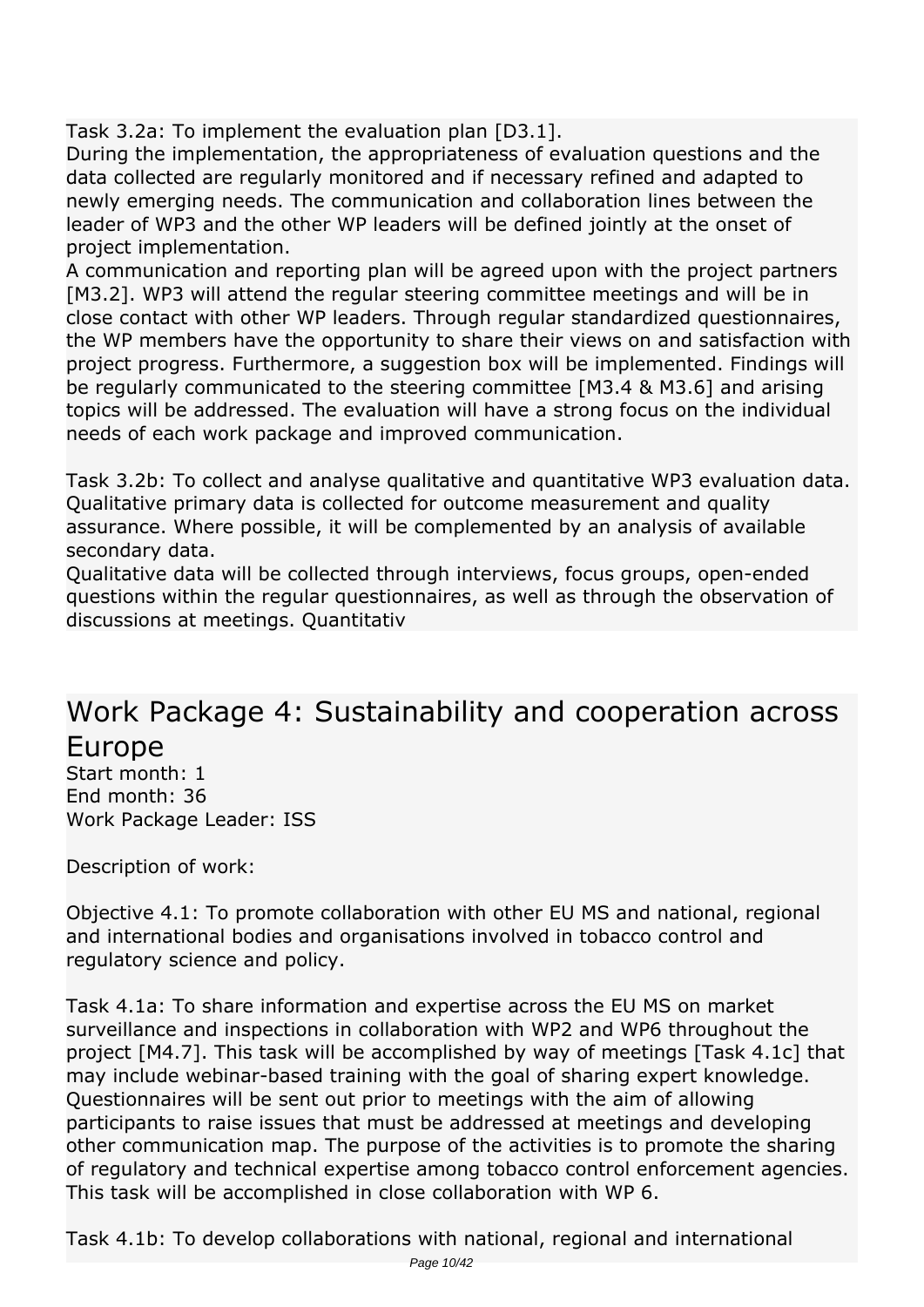*Task 3.2a: To implement the evaluation plan [D3.1].*

*During the implementation, the appropriateness of evaluation questions and the data collected are regularly monitored and if necessary refined and adapted to newly emerging needs. The communication and collaboration lines between the leader of WP3 and the other WP leaders will be defined jointly at the onset of project implementation.*

*A communication and reporting plan will be agreed upon with the project partners [M3.2]. WP3 will attend the regular steering committee meetings and will be in close contact with other WP leaders. Through regular standardized questionnaires, the WP members have the opportunity to share their views on and satisfaction with project progress. Furthermore, a suggestion box will be implemented. Findings will be regularly communicated to the steering committee [M3.4 & M3.6] and arising topics will be addressed. The evaluation will have a strong focus on the individual needs of each work package and improved communication.*

*Task 3.2b: To collect and analyse qualitative and quantitative WP3 evaluation data. Qualitative primary data is collected for outcome measurement and quality assurance. Where possible, it will be complemented by an analysis of available secondary data.*

*Qualitative data will be collected through interviews, focus groups, open-ended questions within the regular questionnaires, as well as through the observation of discussions at meetings. Quantitativ* 

### *Work Package 4: Sustainability and cooperation across Europe*

*Start month: 1 End month: 36 Work Package Leader: ISS*

*Description of work:*

*Objective 4.1: To promote collaboration with other EU MS and national, regional and international bodies and organisations involved in tobacco control and regulatory science and policy.*

*Task 4.1a: To share information and expertise across the EU MS on market surveillance and inspections in collaboration with WP2 and WP6 throughout the project [M4.7]. This task will be accomplished by way of meetings [Task 4.1c] that may include webinar-based training with the goal of sharing expert knowledge. Questionnaires will be sent out prior to meetings with the aim of allowing participants to raise issues that must be addressed at meetings and developing other communication map. The purpose of the activities is to promote the sharing of regulatory and technical expertise among tobacco control enforcement agencies. This task will be accomplished in close collaboration with WP 6.*

*Task 4.1b: To develop collaborations with national, regional and international*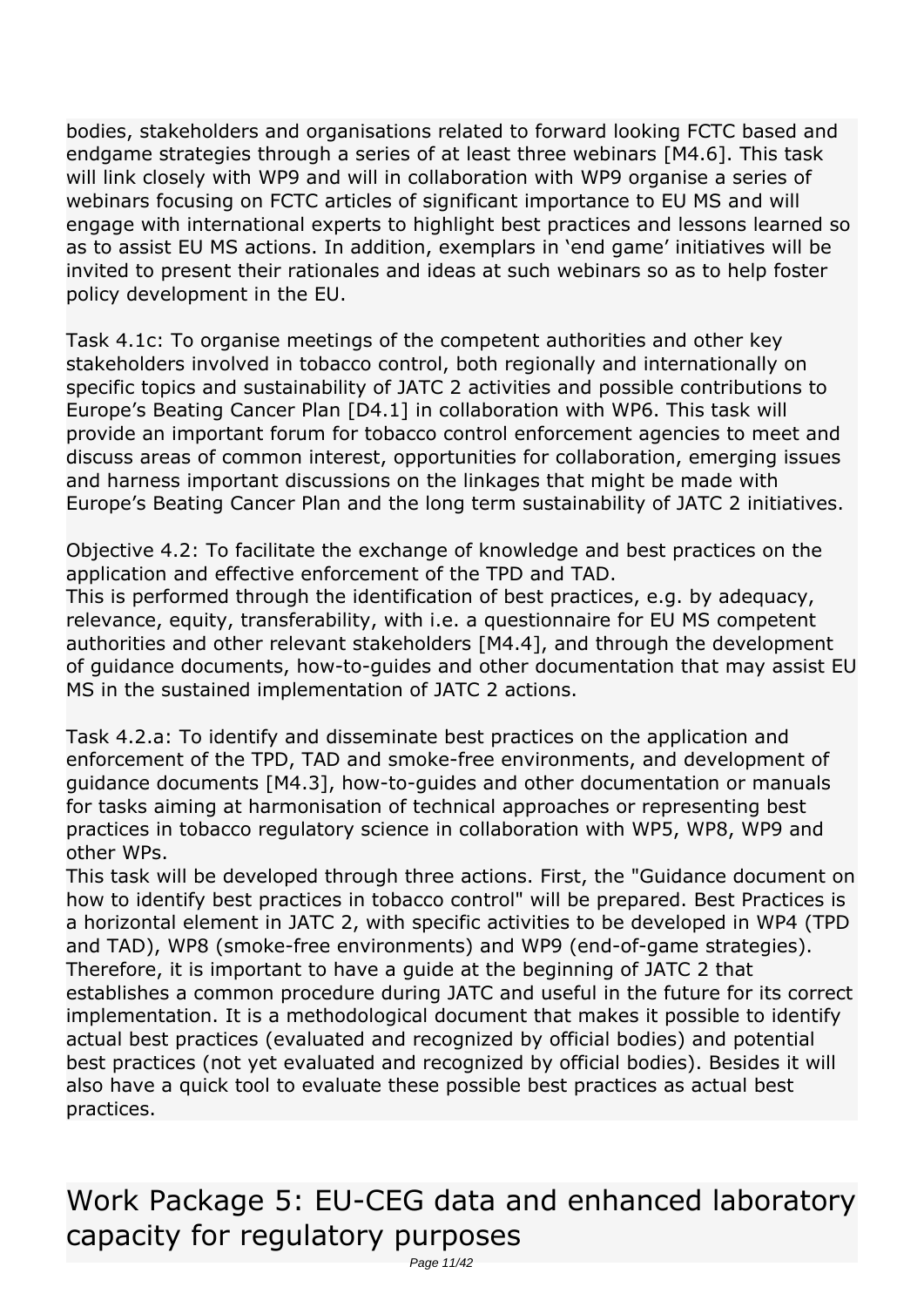*bodies, stakeholders and organisations related to forward looking FCTC based and endgame strategies through a series of at least three webinars [M4.6]. This task will link closely with WP9 and will in collaboration with WP9 organise a series of webinars focusing on FCTC articles of significant importance to EU MS and will engage with international experts to highlight best practices and lessons learned so as to assist EU MS actions. In addition, exemplars in 'end game' initiatives will be invited to present their rationales and ideas at such webinars so as to help foster policy development in the EU.*

*Task 4.1c: To organise meetings of the competent authorities and other key stakeholders involved in tobacco control, both regionally and internationally on specific topics and sustainability of JATC 2 activities and possible contributions to Europe's Beating Cancer Plan [D4.1] in collaboration with WP6. This task will provide an important forum for tobacco control enforcement agencies to meet and discuss areas of common interest, opportunities for collaboration, emerging issues and harness important discussions on the linkages that might be made with Europe's Beating Cancer Plan and the long term sustainability of JATC 2 initiatives.*

*Objective 4.2: To facilitate the exchange of knowledge and best practices on the application and effective enforcement of the TPD and TAD.*

*This is performed through the identification of best practices, e.g. by adequacy, relevance, equity, transferability, with i.e. a questionnaire for EU MS competent authorities and other relevant stakeholders [M4.4], and through the development of guidance documents, how-to-guides and other documentation that may assist EU MS in the sustained implementation of JATC 2 actions.*

*Task 4.2.a: To identify and disseminate best practices on the application and enforcement of the TPD, TAD and smoke-free environments, and development of guidance documents [M4.3], how-to-guides and other documentation or manuals for tasks aiming at harmonisation of technical approaches or representing best practices in tobacco regulatory science in collaboration with WP5, WP8, WP9 and other WPs.*

*This task will be developed through three actions. First, the "Guidance document on how to identify best practices in tobacco control" will be prepared. Best Practices is a horizontal element in JATC 2, with specific activities to be developed in WP4 (TPD and TAD), WP8 (smoke-free environments) and WP9 (end-of-game strategies). Therefore, it is important to have a guide at the beginning of JATC 2 that establishes a common procedure during JATC and useful in the future for its correct implementation. It is a methodological document that makes it possible to identify actual best practices (evaluated and recognized by official bodies) and potential best practices (not yet evaluated and recognized by official bodies). Besides it will also have a quick tool to evaluate these possible best practices as actual best practices.* 

*Work Package 5: EU-CEG data and enhanced laboratory capacity for regulatory purposes*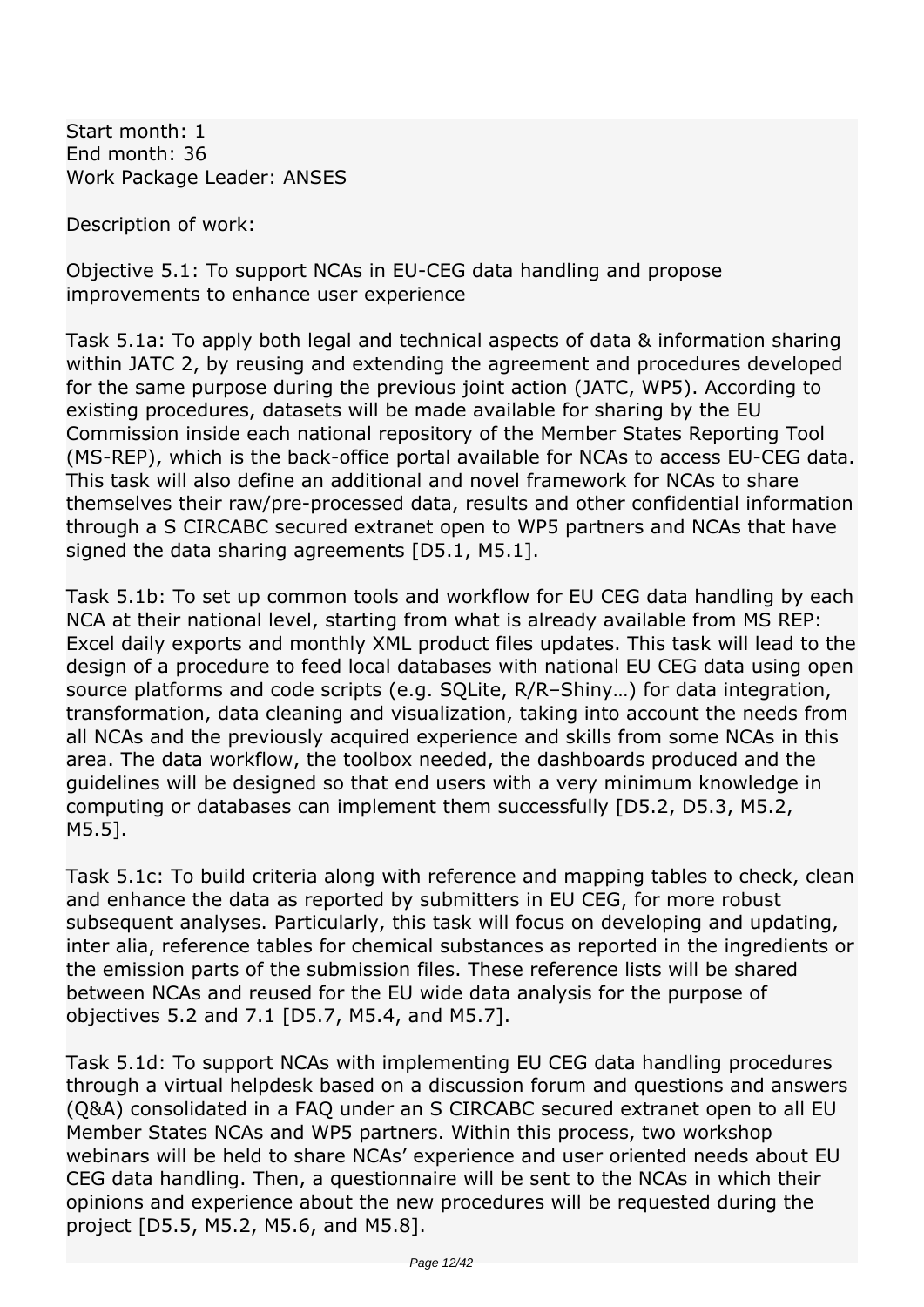*Start month: 1 End month: 36 Work Package Leader: ANSES*

*Description of work:*

*Objective 5.1: To support NCAs in EU-CEG data handling and propose improvements to enhance user experience*

*Task 5.1a: To apply both legal and technical aspects of data & information sharing within JATC 2, by reusing and extending the agreement and procedures developed for the same purpose during the previous joint action (JATC, WP5). According to existing procedures, datasets will be made available for sharing by the EU Commission inside each national repository of the Member States Reporting Tool (MS-REP), which is the back-office portal available for NCAs to access EU-CEG data. This task will also define an additional and novel framework for NCAs to share themselves their raw/pre-processed data, results and other confidential information through a S CIRCABC secured extranet open to WP5 partners and NCAs that have signed the data sharing agreements [D5.1, M5.1].*

*Task 5.1b: To set up common tools and workflow for EU CEG data handling by each NCA at their national level, starting from what is already available from MS REP: Excel daily exports and monthly XML product files updates. This task will lead to the design of a procedure to feed local databases with national EU CEG data using open source platforms and code scripts (e.g. SQLite, R/R–Shiny…) for data integration, transformation, data cleaning and visualization, taking into account the needs from all NCAs and the previously acquired experience and skills from some NCAs in this area. The data workflow, the toolbox needed, the dashboards produced and the guidelines will be designed so that end users with a very minimum knowledge in computing or databases can implement them successfully [D5.2, D5.3, M5.2, M5.5].*

*Task 5.1c: To build criteria along with reference and mapping tables to check, clean and enhance the data as reported by submitters in EU CEG, for more robust subsequent analyses. Particularly, this task will focus on developing and updating, inter alia, reference tables for chemical substances as reported in the ingredients or the emission parts of the submission files. These reference lists will be shared between NCAs and reused for the EU wide data analysis for the purpose of objectives 5.2 and 7.1 [D5.7, M5.4, and M5.7].*

*Task 5.1d: To support NCAs with implementing EU CEG data handling procedures through a virtual helpdesk based on a discussion forum and questions and answers (Q&A) consolidated in a FAQ under an S CIRCABC secured extranet open to all EU Member States NCAs and WP5 partners. Within this process, two workshop webinars will be held to share NCAs' experience and user oriented needs about EU CEG data handling. Then, a questionnaire will be sent to the NCAs in which their opinions and experience about the new procedures will be requested during the project [D5.5, M5.2, M5.6, and M5.8].*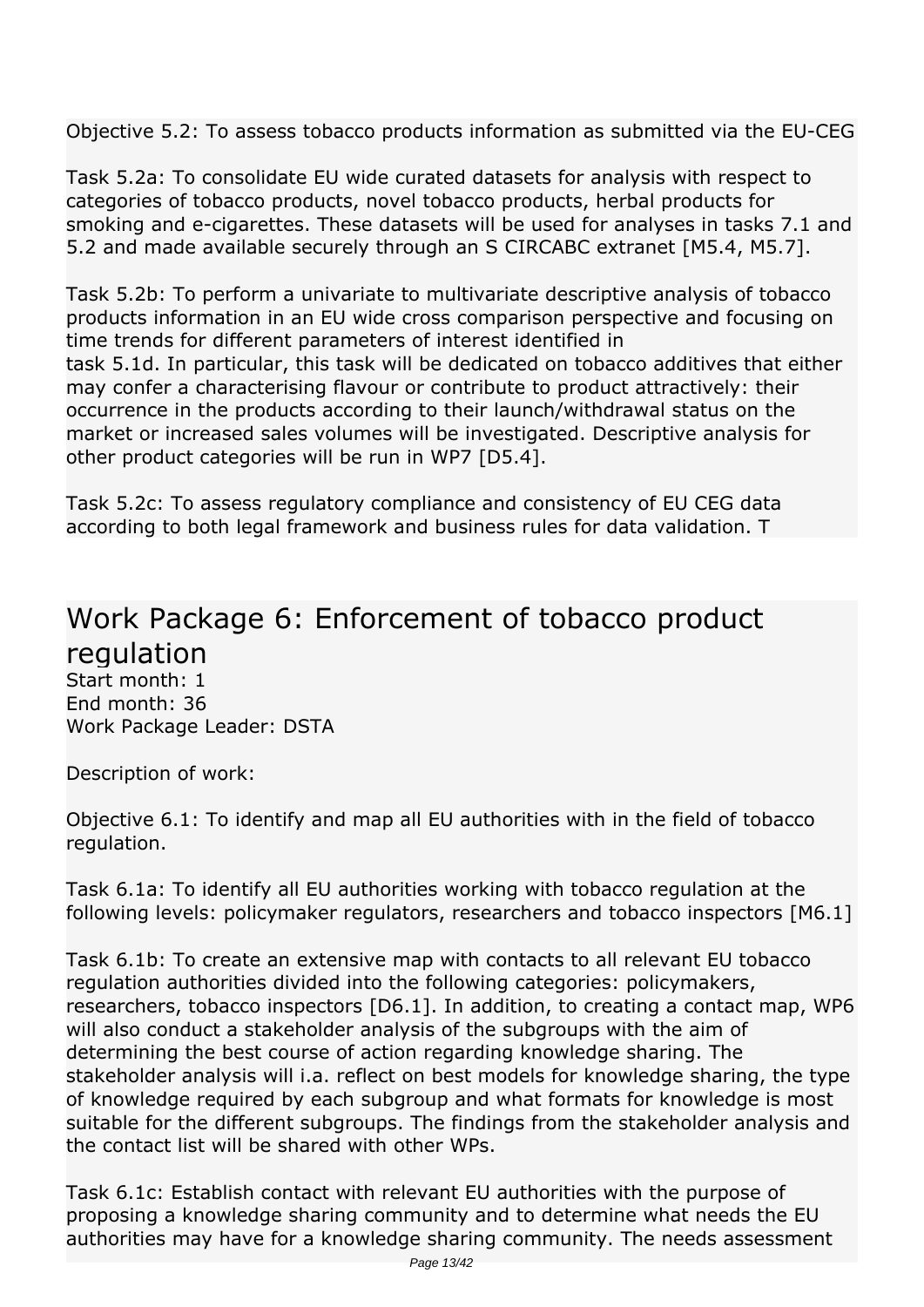*Objective 5.2: To assess tobacco products information as submitted via the EU-CEG*

*Task 5.2a: To consolidate EU wide curated datasets for analysis with respect to categories of tobacco products, novel tobacco products, herbal products for smoking and e-cigarettes. These datasets will be used for analyses in tasks 7.1 and 5.2 and made available securely through an S CIRCABC extranet [M5.4, M5.7].*

*Task 5.2b: To perform a univariate to multivariate descriptive analysis of tobacco products information in an EU wide cross comparison perspective and focusing on time trends for different parameters of interest identified in task 5.1d. In particular, this task will be dedicated on tobacco additives that either may confer a characterising flavour or contribute to product attractively: their occurrence in the products according to their launch/withdrawal status on the market or increased sales volumes will be investigated. Descriptive analysis for other product categories will be run in WP7 [D5.4].*

*Task 5.2c: To assess regulatory compliance and consistency of EU CEG data according to both legal framework and business rules for data validation. T* 

#### *Work Package 6: Enforcement of tobacco product regulation Start month: 1*

*End month: 36 Work Package Leader: DSTA*

*Description of work:*

*Objective 6.1: To identify and map all EU authorities with in the field of tobacco regulation.*

*Task 6.1a: To identify all EU authorities working with tobacco regulation at the following levels: policymaker regulators, researchers and tobacco inspectors [M6.1]*

*Task 6.1b: To create an extensive map with contacts to all relevant EU tobacco regulation authorities divided into the following categories: policymakers, researchers, tobacco inspectors [D6.1]. In addition, to creating a contact map, WP6 will also conduct a stakeholder analysis of the subgroups with the aim of determining the best course of action regarding knowledge sharing. The stakeholder analysis will i.a. reflect on best models for knowledge sharing, the type of knowledge required by each subgroup and what formats for knowledge is most suitable for the different subgroups. The findings from the stakeholder analysis and the contact list will be shared with other WPs.*

*Task 6.1c: Establish contact with relevant EU authorities with the purpose of proposing a knowledge sharing community and to determine what needs the EU authorities may have for a knowledge sharing community. The needs assessment*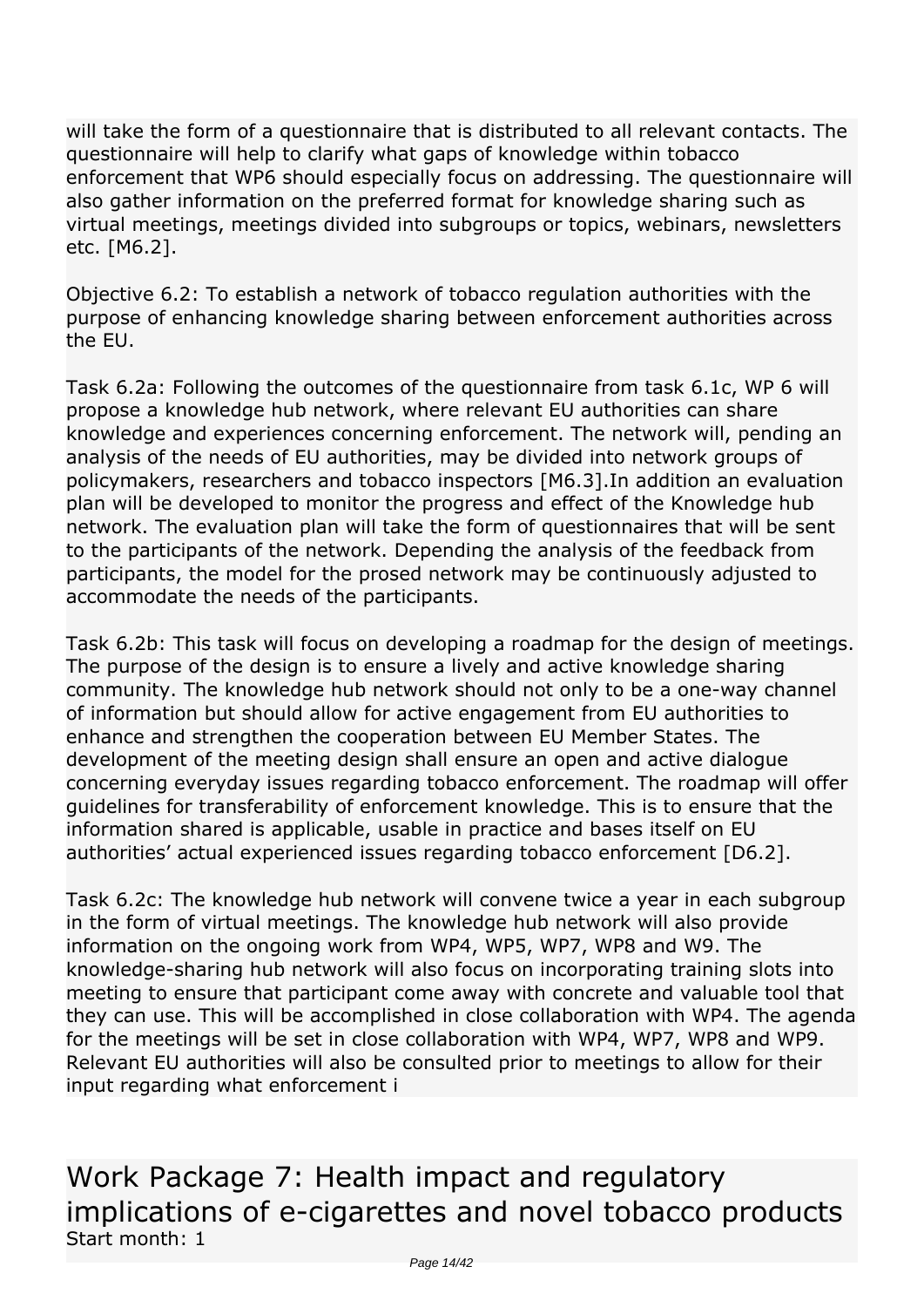*will take the form of a questionnaire that is distributed to all relevant contacts. The questionnaire will help to clarify what gaps of knowledge within tobacco enforcement that WP6 should especially focus on addressing. The questionnaire will also gather information on the preferred format for knowledge sharing such as virtual meetings, meetings divided into subgroups or topics, webinars, newsletters etc. [M6.2].*

*Objective 6.2: To establish a network of tobacco regulation authorities with the purpose of enhancing knowledge sharing between enforcement authorities across the EU.*

*Task 6.2a: Following the outcomes of the questionnaire from task 6.1c, WP 6 will propose a knowledge hub network, where relevant EU authorities can share knowledge and experiences concerning enforcement. The network will, pending an analysis of the needs of EU authorities, may be divided into network groups of policymakers, researchers and tobacco inspectors [M6.3].In addition an evaluation plan will be developed to monitor the progress and effect of the Knowledge hub network. The evaluation plan will take the form of questionnaires that will be sent to the participants of the network. Depending the analysis of the feedback from participants, the model for the prosed network may be continuously adjusted to accommodate the needs of the participants.*

*Task 6.2b: This task will focus on developing a roadmap for the design of meetings. The purpose of the design is to ensure a lively and active knowledge sharing community. The knowledge hub network should not only to be a one-way channel of information but should allow for active engagement from EU authorities to enhance and strengthen the cooperation between EU Member States. The development of the meeting design shall ensure an open and active dialogue concerning everyday issues regarding tobacco enforcement. The roadmap will offer guidelines for transferability of enforcement knowledge. This is to ensure that the information shared is applicable, usable in practice and bases itself on EU authorities' actual experienced issues regarding tobacco enforcement [D6.2].*

*Task 6.2c: The knowledge hub network will convene twice a year in each subgroup in the form of virtual meetings. The knowledge hub network will also provide information on the ongoing work from WP4, WP5, WP7, WP8 and W9. The knowledge-sharing hub network will also focus on incorporating training slots into meeting to ensure that participant come away with concrete and valuable tool that they can use. This will be accomplished in close collaboration with WP4. The agenda for the meetings will be set in close collaboration with WP4, WP7, WP8 and WP9. Relevant EU authorities will also be consulted prior to meetings to allow for their input regarding what enforcement i* 

*Work Package 7: Health impact and regulatory implications of e-cigarettes and novel tobacco products Start month: 1*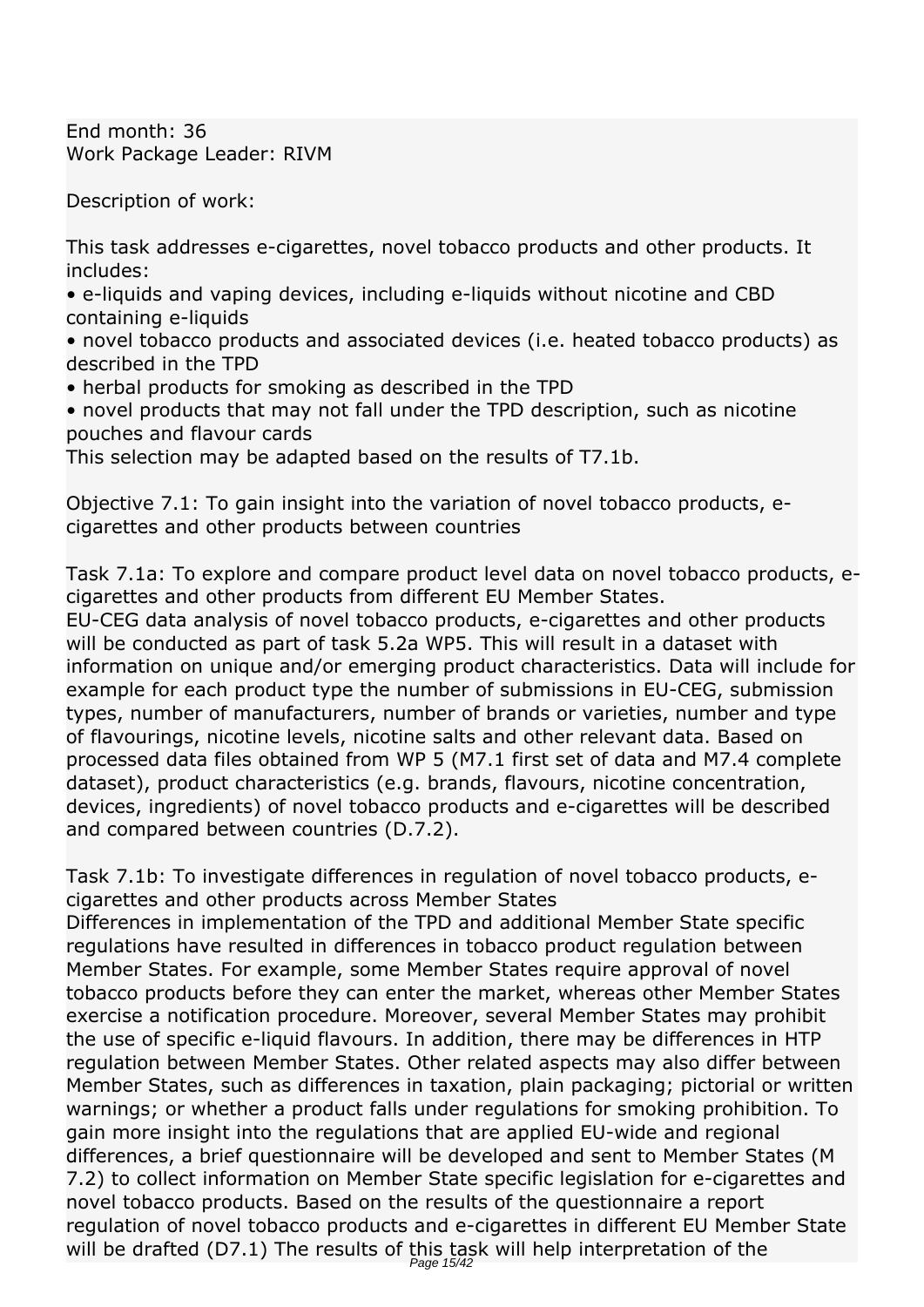*End month: 36 Work Package Leader: RIVM*

*Description of work:*

*This task addresses e-cigarettes, novel tobacco products and other products. It includes:*

*• e-liquids and vaping devices, including e-liquids without nicotine and CBD containing e-liquids*

*• novel tobacco products and associated devices (i.e. heated tobacco products) as described in the TPD*

*• herbal products for smoking as described in the TPD*

*• novel products that may not fall under the TPD description, such as nicotine pouches and flavour cards*

*This selection may be adapted based on the results of T7.1b.*

*Objective 7.1: To gain insight into the variation of novel tobacco products, ecigarettes and other products between countries*

*Task 7.1a: To explore and compare product level data on novel tobacco products, ecigarettes and other products from different EU Member States.*

*EU-CEG data analysis of novel tobacco products, e-cigarettes and other products will be conducted as part of task 5.2a WP5. This will result in a dataset with information on unique and/or emerging product characteristics. Data will include for example for each product type the number of submissions in EU-CEG, submission types, number of manufacturers, number of brands or varieties, number and type of flavourings, nicotine levels, nicotine salts and other relevant data. Based on processed data files obtained from WP 5 (M7.1 first set of data and M7.4 complete dataset), product characteristics (e.g. brands, flavours, nicotine concentration, devices, ingredients) of novel tobacco products and e-cigarettes will be described and compared between countries (D.7.2).*

*Task 7.1b: To investigate differences in regulation of novel tobacco products, ecigarettes and other products across Member States*

*Differences in implementation of the TPD and additional Member State specific regulations have resulted in differences in tobacco product regulation between Member States. For example, some Member States require approval of novel tobacco products before they can enter the market, whereas other Member States exercise a notification procedure. Moreover, several Member States may prohibit the use of specific e-liquid flavours. In addition, there may be differences in HTP regulation between Member States. Other related aspects may also differ between Member States, such as differences in taxation, plain packaging; pictorial or written warnings; or whether a product falls under regulations for smoking prohibition. To gain more insight into the regulations that are applied EU-wide and regional differences, a brief questionnaire will be developed and sent to Member States (M 7.2) to collect information on Member State specific legislation for e-cigarettes and novel tobacco products. Based on the results of the questionnaire a report regulation of novel tobacco products and e-cigarettes in different EU Member State will be drafted (D7.1) The results of this task will help interpretation of the* Page 15/42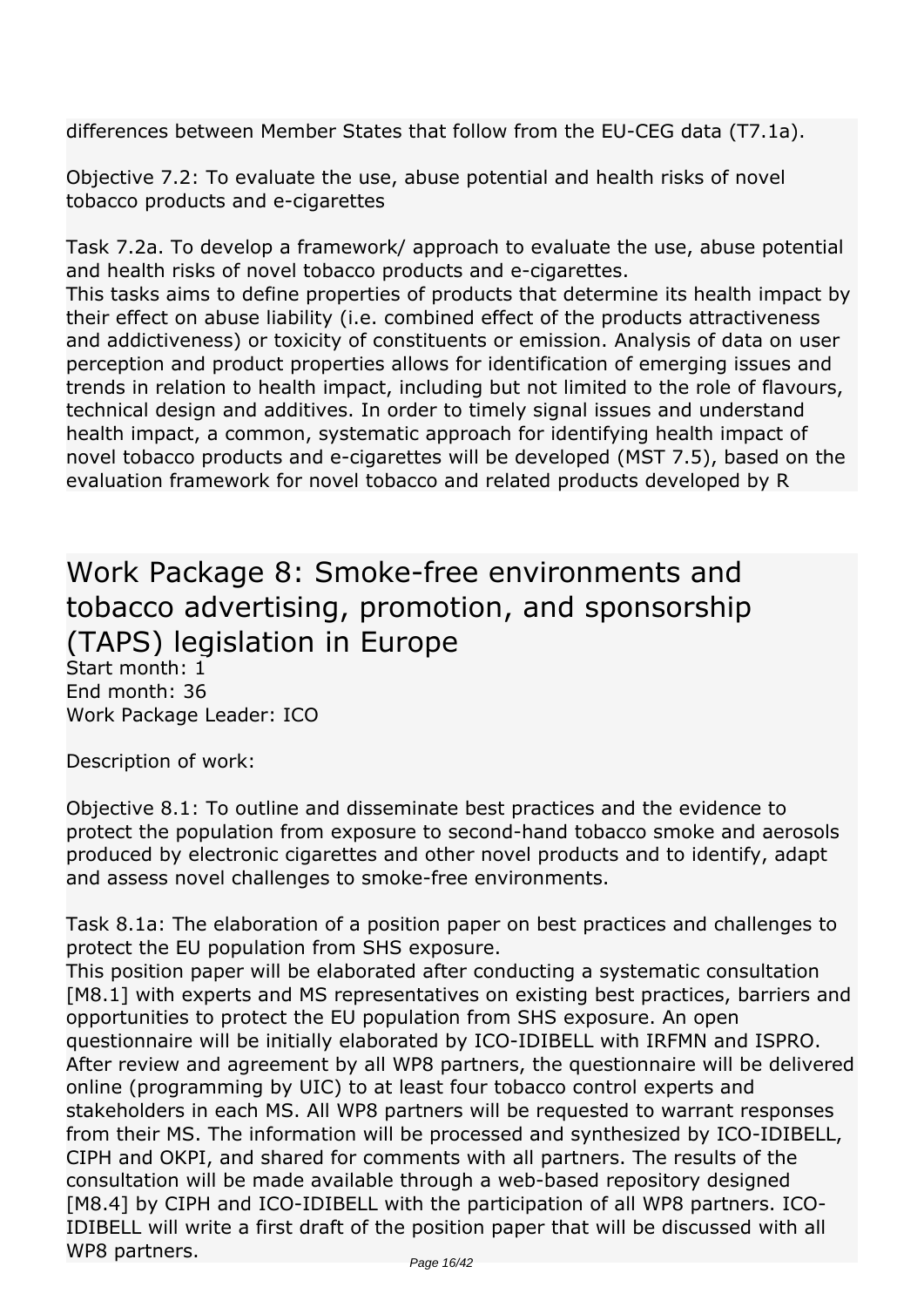*differences between Member States that follow from the EU-CEG data (T7.1a).*

*Objective 7.2: To evaluate the use, abuse potential and health risks of novel tobacco products and e-cigarettes*

*Task 7.2a. To develop a framework/ approach to evaluate the use, abuse potential and health risks of novel tobacco products and e-cigarettes.*

*This tasks aims to define properties of products that determine its health impact by their effect on abuse liability (i.e. combined effect of the products attractiveness and addictiveness) or toxicity of constituents or emission. Analysis of data on user perception and product properties allows for identification of emerging issues and trends in relation to health impact, including but not limited to the role of flavours, technical design and additives. In order to timely signal issues and understand health impact, a common, systematic approach for identifying health impact of novel tobacco products and e-cigarettes will be developed (MST 7.5), based on the evaluation framework for novel tobacco and related products developed by R* 

*Work Package 8: Smoke-free environments and tobacco advertising, promotion, and sponsorship (TAPS) legislation in Europe Start month: 1 End month: 36*

*Work Package Leader: ICO*

*Description of work:*

*Objective 8.1: To outline and disseminate best practices and the evidence to protect the population from exposure to second-hand tobacco smoke and aerosols produced by electronic cigarettes and other novel products and to identify, adapt and assess novel challenges to smoke-free environments.*

*Task 8.1a: The elaboration of a position paper on best practices and challenges to protect the EU population from SHS exposure.*

*This position paper will be elaborated after conducting a systematic consultation [M8.1] with experts and MS representatives on existing best practices, barriers and opportunities to protect the EU population from SHS exposure. An open questionnaire will be initially elaborated by ICO-IDIBELL with IRFMN and ISPRO. After review and agreement by all WP8 partners, the questionnaire will be delivered online (programming by UIC) to at least four tobacco control experts and stakeholders in each MS. All WP8 partners will be requested to warrant responses from their MS. The information will be processed and synthesized by ICO-IDIBELL, CIPH and OKPI, and shared for comments with all partners. The results of the consultation will be made available through a web-based repository designed* [M8.4] by CIPH and ICO-IDIBELL with the participation of all WP8 partners. ICO-*IDIBELL will write a first draft of the position paper that will be discussed with all WP8 partners.*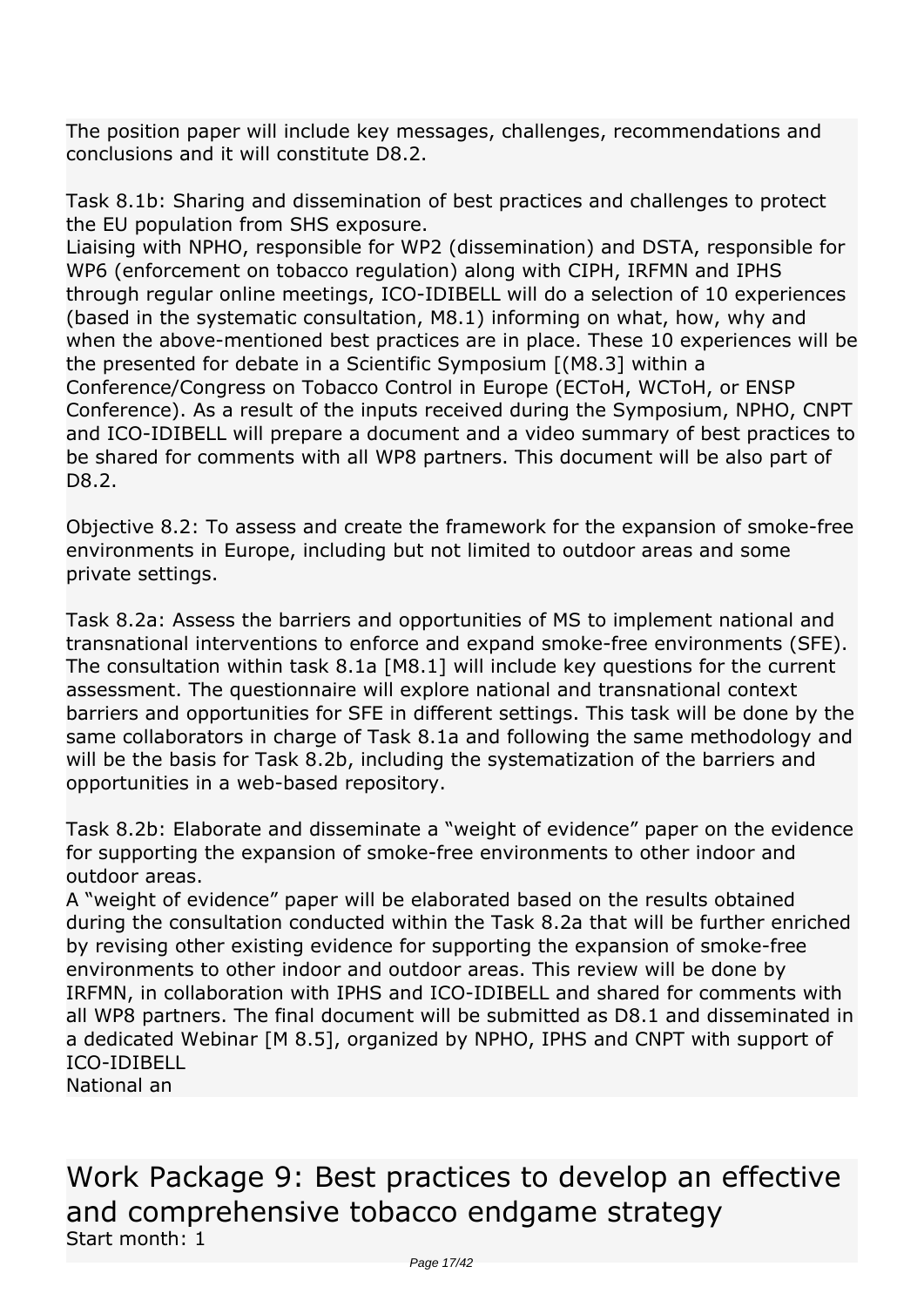*The position paper will include key messages, challenges, recommendations and conclusions and it will constitute D8.2.*

*Task 8.1b: Sharing and dissemination of best practices and challenges to protect the EU population from SHS exposure.*

*Liaising with NPHO, responsible for WP2 (dissemination) and DSTA, responsible for WP6 (enforcement on tobacco regulation) along with CIPH, IRFMN and IPHS through regular online meetings, ICO-IDIBELL will do a selection of 10 experiences (based in the systematic consultation, M8.1) informing on what, how, why and when the above-mentioned best practices are in place. These 10 experiences will be the presented for debate in a Scientific Symposium [(M8.3] within a Conference/Congress on Tobacco Control in Europe (ECToH, WCToH, or ENSP Conference). As a result of the inputs received during the Symposium, NPHO, CNPT and ICO-IDIBELL will prepare a document and a video summary of best practices to be shared for comments with all WP8 partners. This document will be also part of D8.2.*

*Objective 8.2: To assess and create the framework for the expansion of smoke-free environments in Europe, including but not limited to outdoor areas and some private settings.*

*Task 8.2a: Assess the barriers and opportunities of MS to implement national and transnational interventions to enforce and expand smoke-free environments (SFE). The consultation within task 8.1a [M8.1] will include key questions for the current assessment. The questionnaire will explore national and transnational context barriers and opportunities for SFE in different settings. This task will be done by the same collaborators in charge of Task 8.1a and following the same methodology and will be the basis for Task 8.2b, including the systematization of the barriers and opportunities in a web-based repository.*

*Task 8.2b: Elaborate and disseminate a "weight of evidence" paper on the evidence for supporting the expansion of smoke-free environments to other indoor and outdoor areas.*

*A "weight of evidence" paper will be elaborated based on the results obtained during the consultation conducted within the Task 8.2a that will be further enriched by revising other existing evidence for supporting the expansion of smoke-free environments to other indoor and outdoor areas. This review will be done by IRFMN, in collaboration with IPHS and ICO-IDIBELL and shared for comments with all WP8 partners. The final document will be submitted as D8.1 and disseminated in a dedicated Webinar [M 8.5], organized by NPHO, IPHS and CNPT with support of ICO-IDIBELL*

*National an* 

*Work Package 9: Best practices to develop an effective and comprehensive tobacco endgame strategy Start month: 1*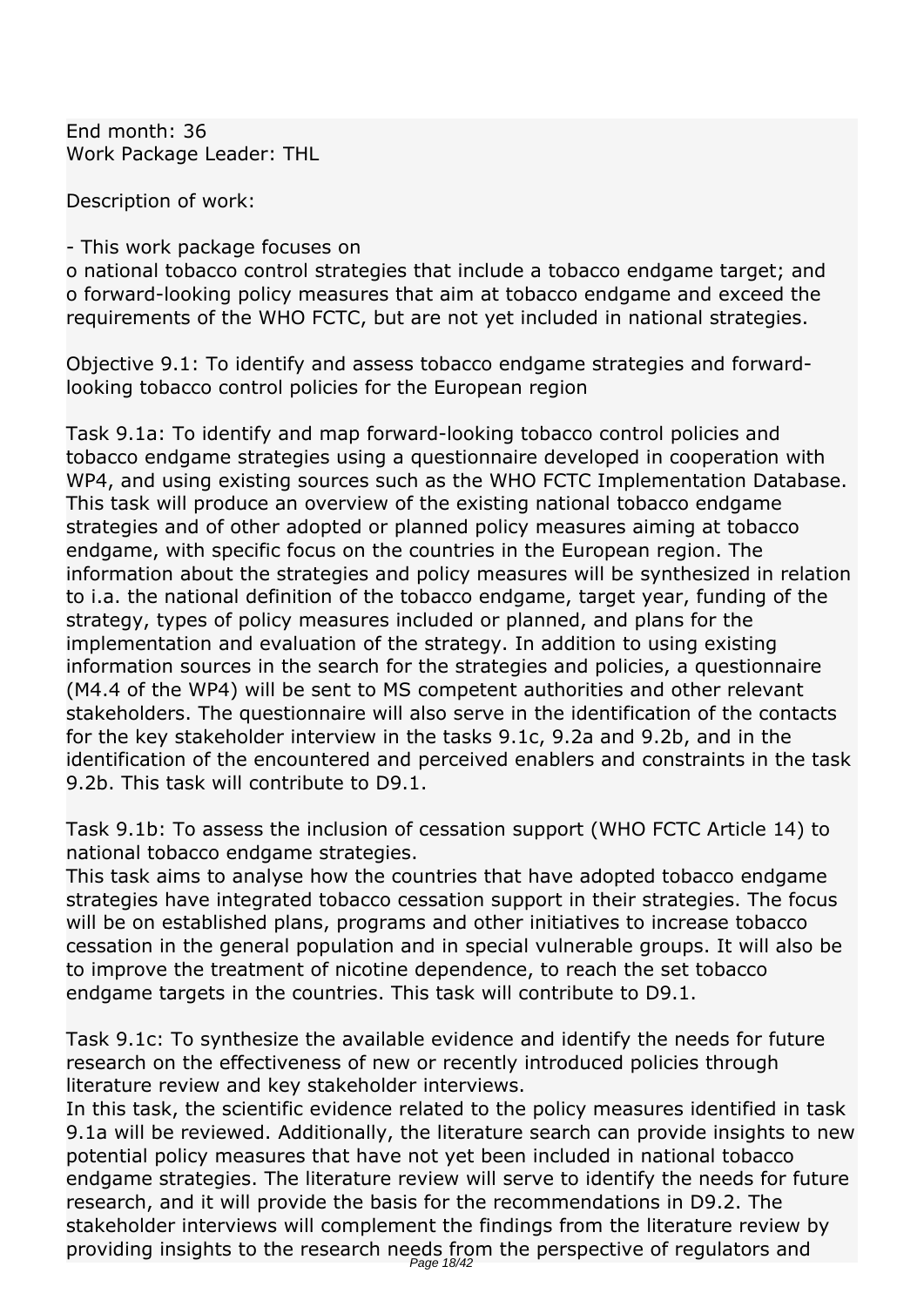*End month: 36 Work Package Leader: THL*

*Description of work:*

#### *- This work package focuses on*

*o national tobacco control strategies that include a tobacco endgame target; and o forward-looking policy measures that aim at tobacco endgame and exceed the requirements of the WHO FCTC, but are not yet included in national strategies.*

*Objective 9.1: To identify and assess tobacco endgame strategies and forwardlooking tobacco control policies for the European region*

*Task 9.1a: To identify and map forward-looking tobacco control policies and tobacco endgame strategies using a questionnaire developed in cooperation with WP4, and using existing sources such as the WHO FCTC Implementation Database. This task will produce an overview of the existing national tobacco endgame strategies and of other adopted or planned policy measures aiming at tobacco endgame, with specific focus on the countries in the European region. The information about the strategies and policy measures will be synthesized in relation to i.a. the national definition of the tobacco endgame, target year, funding of the strategy, types of policy measures included or planned, and plans for the implementation and evaluation of the strategy. In addition to using existing information sources in the search for the strategies and policies, a questionnaire (M4.4 of the WP4) will be sent to MS competent authorities and other relevant stakeholders. The questionnaire will also serve in the identification of the contacts for the key stakeholder interview in the tasks 9.1c, 9.2a and 9.2b, and in the identification of the encountered and perceived enablers and constraints in the task 9.2b. This task will contribute to D9.1.*

*Task 9.1b: To assess the inclusion of cessation support (WHO FCTC Article 14) to national tobacco endgame strategies.*

*This task aims to analyse how the countries that have adopted tobacco endgame strategies have integrated tobacco cessation support in their strategies. The focus will be on established plans, programs and other initiatives to increase tobacco cessation in the general population and in special vulnerable groups. It will also be to improve the treatment of nicotine dependence, to reach the set tobacco endgame targets in the countries. This task will contribute to D9.1.*

*Task 9.1c: To synthesize the available evidence and identify the needs for future research on the effectiveness of new or recently introduced policies through literature review and key stakeholder interviews.*

*In this task, the scientific evidence related to the policy measures identified in task 9.1a will be reviewed. Additionally, the literature search can provide insights to new potential policy measures that have not yet been included in national tobacco endgame strategies. The literature review will serve to identify the needs for future research, and it will provide the basis for the recommendations in D9.2. The stakeholder interviews will complement the findings from the literature review by providing insights to the research needs from the perspective of regulators and*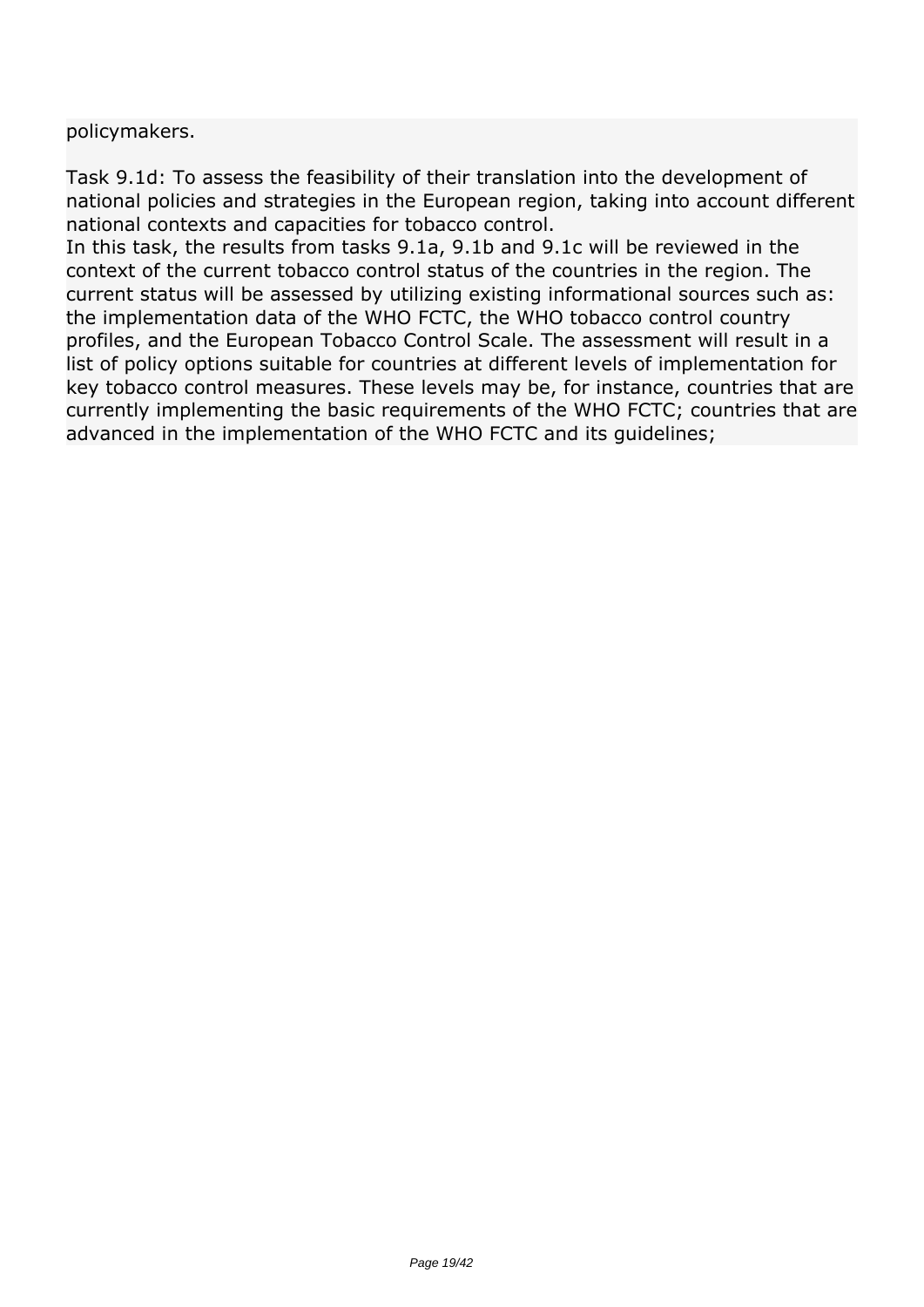*policymakers.*

*Task 9.1d: To assess the feasibility of their translation into the development of national policies and strategies in the European region, taking into account different national contexts and capacities for tobacco control.*

*In this task, the results from tasks 9.1a, 9.1b and 9.1c will be reviewed in the context of the current tobacco control status of the countries in the region. The current status will be assessed by utilizing existing informational sources such as: the implementation data of the WHO FCTC, the WHO tobacco control country profiles, and the European Tobacco Control Scale. The assessment will result in a list of policy options suitable for countries at different levels of implementation for key tobacco control measures. These levels may be, for instance, countries that are currently implementing the basic requirements of the WHO FCTC; countries that are advanced in the implementation of the WHO FCTC and its guidelines;*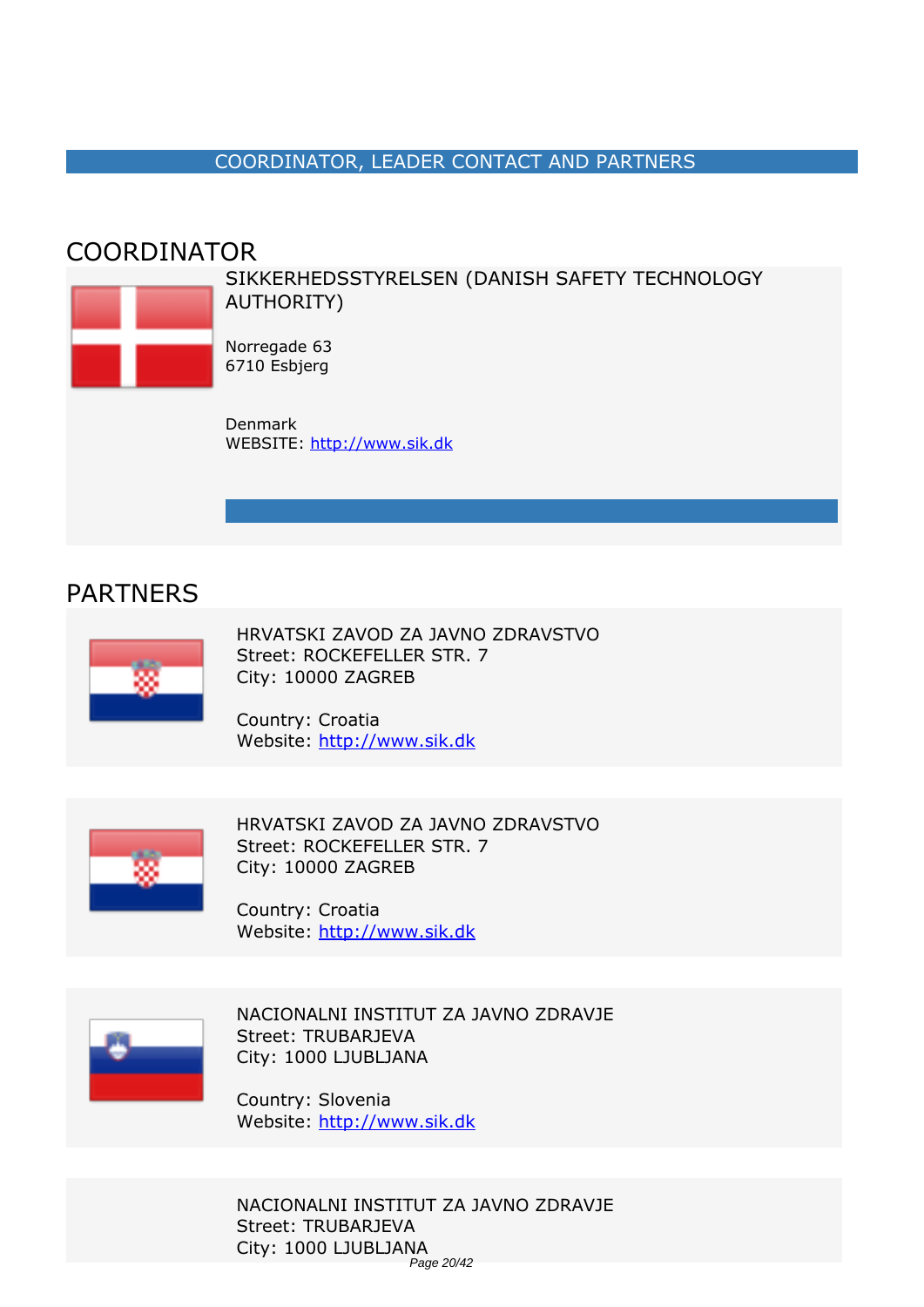#### *COORDINATOR, LEADER CONTACT AND PARTNERS*

#### <span id="page-19-0"></span>*COORDINATOR*



*SIKKERHEDSSTYRELSEN (DANISH SAFETY TECHNOLOGY AUTHORITY)*

*Norregade 63 6710 Esbjerg*

*Denmark WEBSITE:* <http://www.sik.dk>

#### *PARTNERS*



*HRVATSKI ZAVOD ZA JAVNO ZDRAVSTVO Street: ROCKEFELLER STR. 7 City: 10000 ZAGREB*

*Country: Croatia Website:* http://www.sik.dk



*HRVATSKI ZAVOD ZA JAVNO ZDRAVSTVO Street: ROCKEFELLER STR. 7 City: 10000 ZAGREB*

*Country: Croatia Website:* http://www.sik.dk



*NACIONALNI INSTITUT ZA JAVNO ZDRAVJE Street: TRUBARJEVA City: 1000 LJUBLJANA*

*Country: Slovenia Website:* http://www.sik.dk

*NACIONALNI INSTITUT ZA JAVNO ZDRAVJE Street: TRUBARJEVA City: 1000 LJUBLJANA* Page 20/42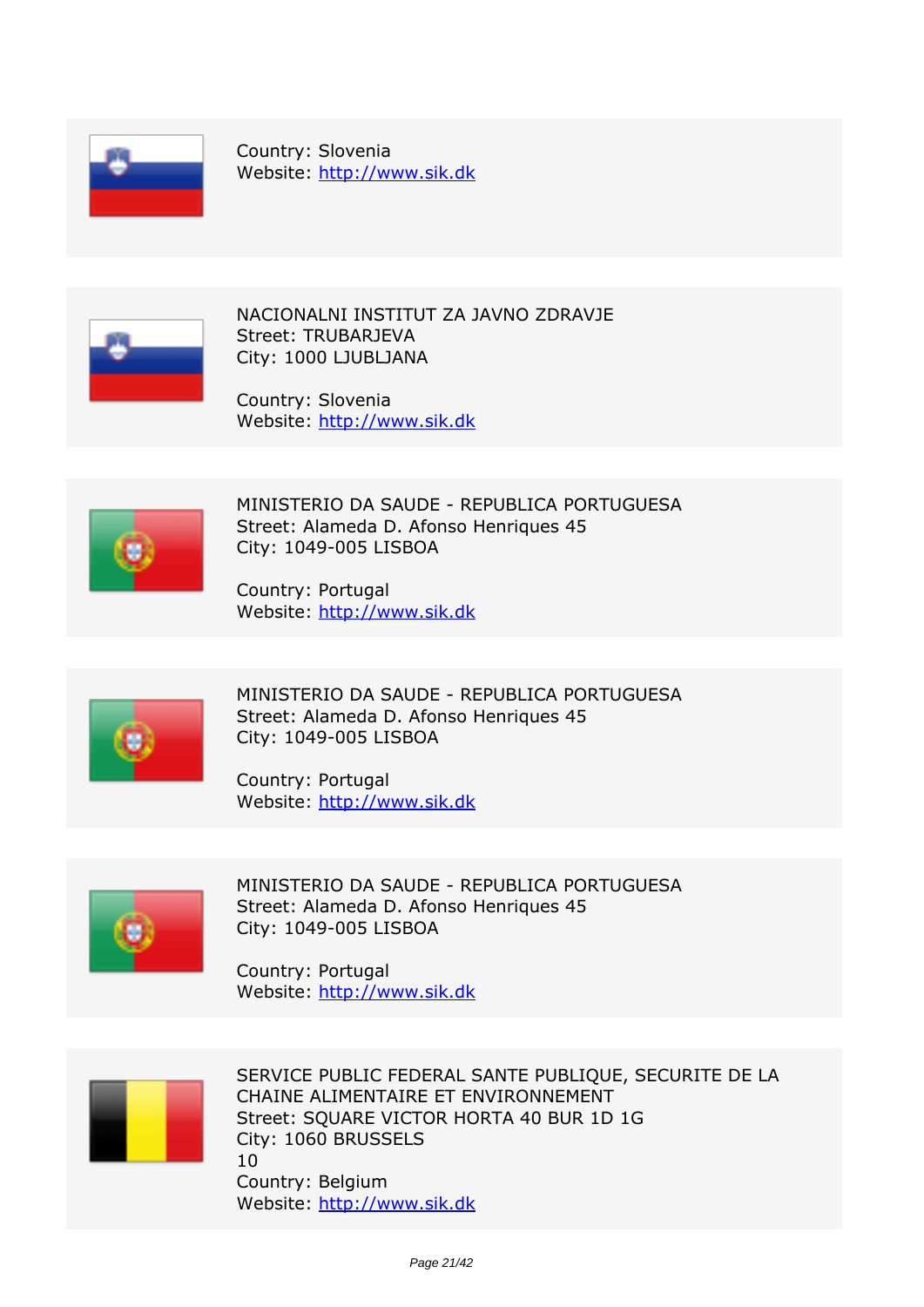

*Country: Slovenia Website:* http://www.sik.dk



*NACIONALNI INSTITUT ZA JAVNO ZDRAVJE Street: TRUBARJEVA City: 1000 LJUBLJANA*

*Country: Slovenia Website:* http://www.sik.dk



*MINISTERIO DA SAUDE - REPUBLICA PORTUGUESA Street: Alameda D. Afonso Henriques 45 City: 1049-005 LISBOA*

*Country: Portugal Website:* http://www.sik.dk



*MINISTERIO DA SAUDE - REPUBLICA PORTUGUESA Street: Alameda D. Afonso Henriques 45 City: 1049-005 LISBOA*

*Country: Portugal Website:* http://www.sik.dk



*MINISTERIO DA SAUDE - REPUBLICA PORTUGUESA Street: Alameda D. Afonso Henriques 45 City: 1049-005 LISBOA*

*Country: Portugal Website:* http://www.sik.dk



*SERVICE PUBLIC FEDERAL SANTE PUBLIQUE, SECURITE DE LA CHAINE ALIMENTAIRE ET ENVIRONNEMENT Street: SQUARE VICTOR HORTA 40 BUR 1D 1G City: 1060 BRUSSELS 10 Country: Belgium Website:* http://www.sik.dk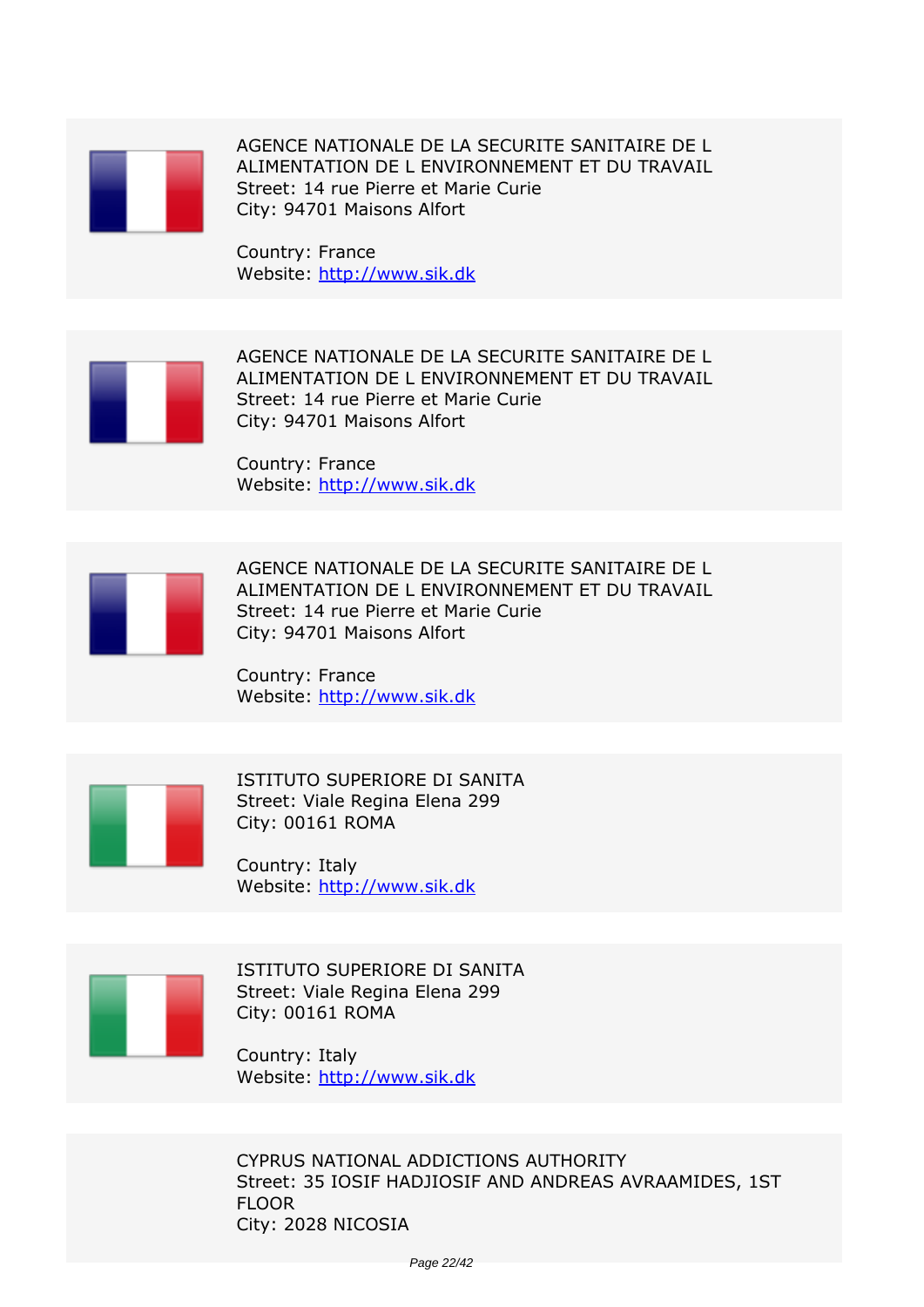

*AGENCE NATIONALE DE LA SECURITE SANITAIRE DE L ALIMENTATION DE L ENVIRONNEMENT ET DU TRAVAIL Street: 14 rue Pierre et Marie Curie City: 94701 Maisons Alfort*

*Country: France Website:* http://www.sik.dk



*AGENCE NATIONALE DE LA SECURITE SANITAIRE DE L ALIMENTATION DE L ENVIRONNEMENT ET DU TRAVAIL Street: 14 rue Pierre et Marie Curie City: 94701 Maisons Alfort*

*Country: France Website:* http://www.sik.dk



*AGENCE NATIONALE DE LA SECURITE SANITAIRE DE L ALIMENTATION DE L ENVIRONNEMENT ET DU TRAVAIL Street: 14 rue Pierre et Marie Curie City: 94701 Maisons Alfort*

*Country: France Website:* http://www.sik.dk



*ISTITUTO SUPERIORE DI SANITA Street: Viale Regina Elena 299 City: 00161 ROMA*

*Country: Italy Website:* http://www.sik.dk



*ISTITUTO SUPERIORE DI SANITA Street: Viale Regina Elena 299 City: 00161 ROMA*

*Country: Italy Website:* http://www.sik.dk

*CYPRUS NATIONAL ADDICTIONS AUTHORITY Street: 35 IOSIF HADJIOSIF AND ANDREAS AVRAAMIDES, 1ST FLOOR City: 2028 NICOSIA*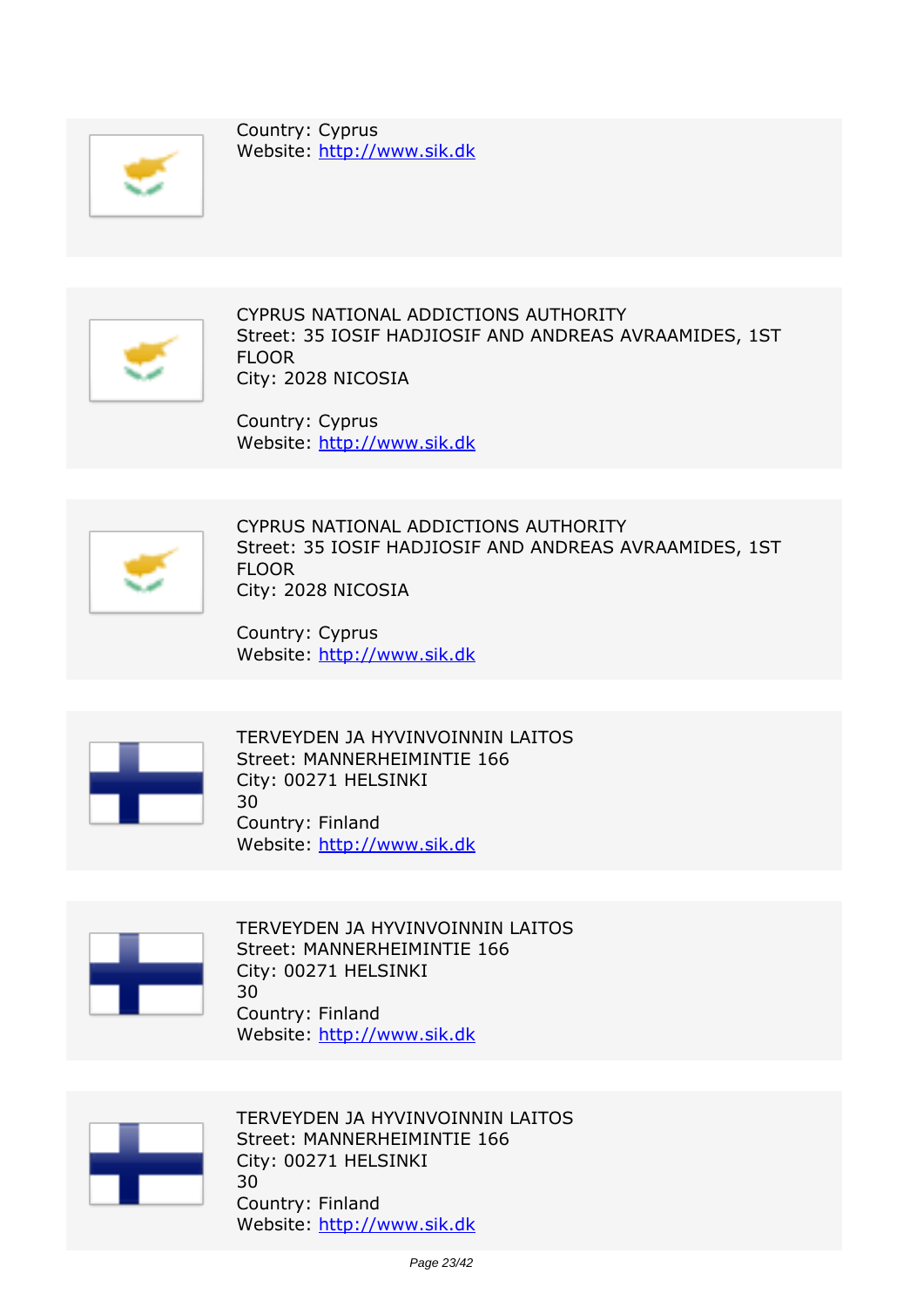

*Country: Cyprus Website:* http://www.sik.dk



*CYPRUS NATIONAL ADDICTIONS AUTHORITY Street: 35 IOSIF HADJIOSIF AND ANDREAS AVRAAMIDES, 1ST FLOOR City: 2028 NICOSIA*

*Country: Cyprus Website:* http://www.sik.dk



*CYPRUS NATIONAL ADDICTIONS AUTHORITY Street: 35 IOSIF HADJIOSIF AND ANDREAS AVRAAMIDES, 1ST FLOOR City: 2028 NICOSIA*

*Country: Cyprus Website:* http://www.sik.dk



*TERVEYDEN JA HYVINVOINNIN LAITOS Street: MANNERHEIMINTIE 166 City: 00271 HELSINKI 30 Country: Finland Website:* http://www.sik.dk



*TERVEYDEN JA HYVINVOINNIN LAITOS Street: MANNERHEIMINTIE 166 City: 00271 HELSINKI 30 Country: Finland Website:* http://www.sik.dk



*TERVEYDEN JA HYVINVOINNIN LAITOS Street: MANNERHEIMINTIE 166 City: 00271 HELSINKI 30 Country: Finland Website:* http://www.sik.dk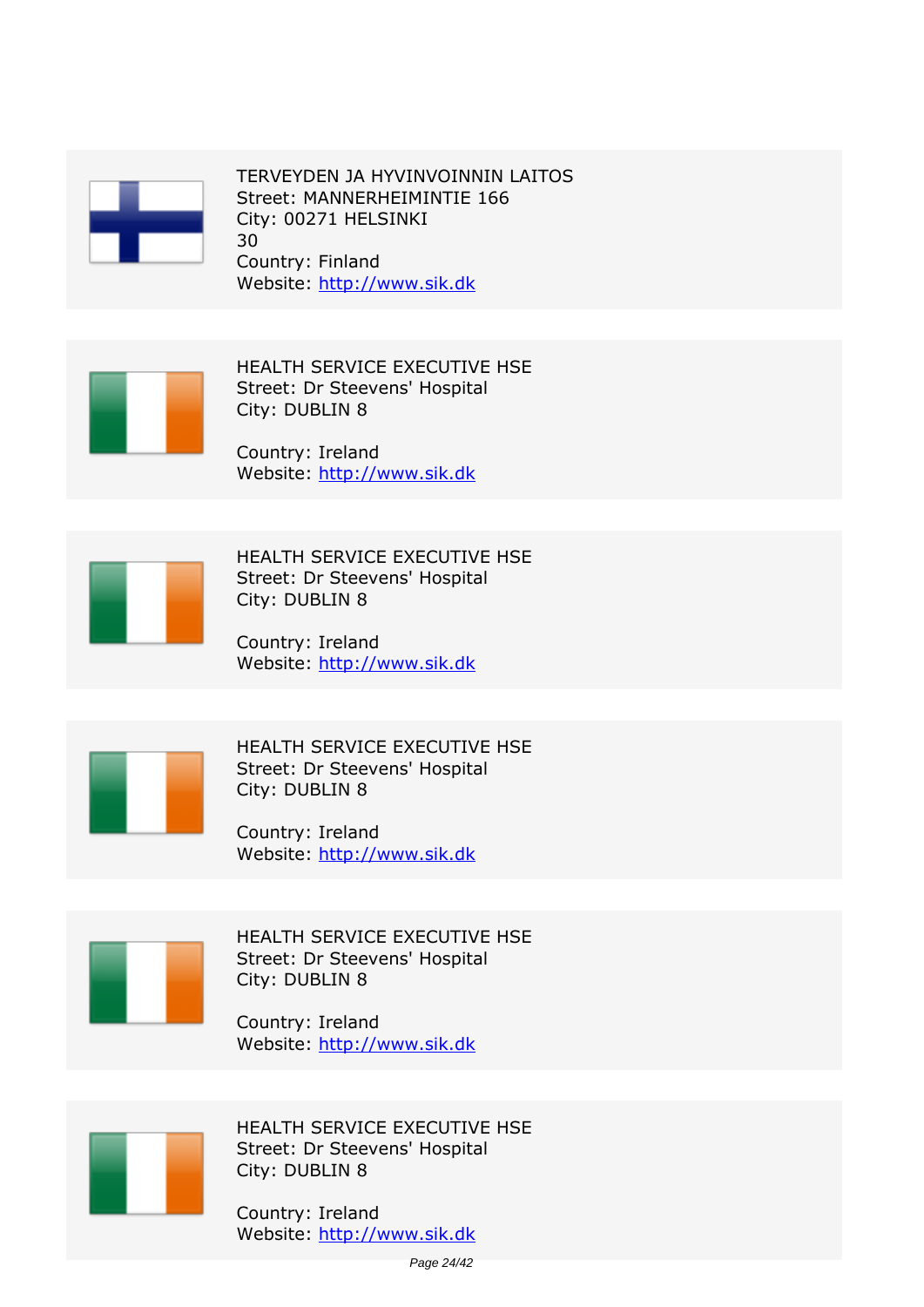

*TERVEYDEN JA HYVINVOINNIN LAITOS Street: MANNERHEIMINTIE 166 City: 00271 HELSINKI 30 Country: Finland Website:* http://www.sik.dk



*HEALTH SERVICE EXECUTIVE HSE Street: Dr Steevens' Hospital City: DUBLIN 8*

*Country: Ireland Website:* http://www.sik.dk



*HEALTH SERVICE EXECUTIVE HSE Street: Dr Steevens' Hospital City: DUBLIN 8*

*Country: Ireland Website:* http://www.sik.dk



*HEALTH SERVICE EXECUTIVE HSE Street: Dr Steevens' Hospital City: DUBLIN 8*

*Country: Ireland Website:* http://www.sik.dk



*HEALTH SERVICE EXECUTIVE HSE Street: Dr Steevens' Hospital City: DUBLIN 8*

*Country: Ireland Website:* http://www.sik.dk



*HEALTH SERVICE EXECUTIVE HSE Street: Dr Steevens' Hospital City: DUBLIN 8*

*Country: Ireland Website:* http://www.sik.dk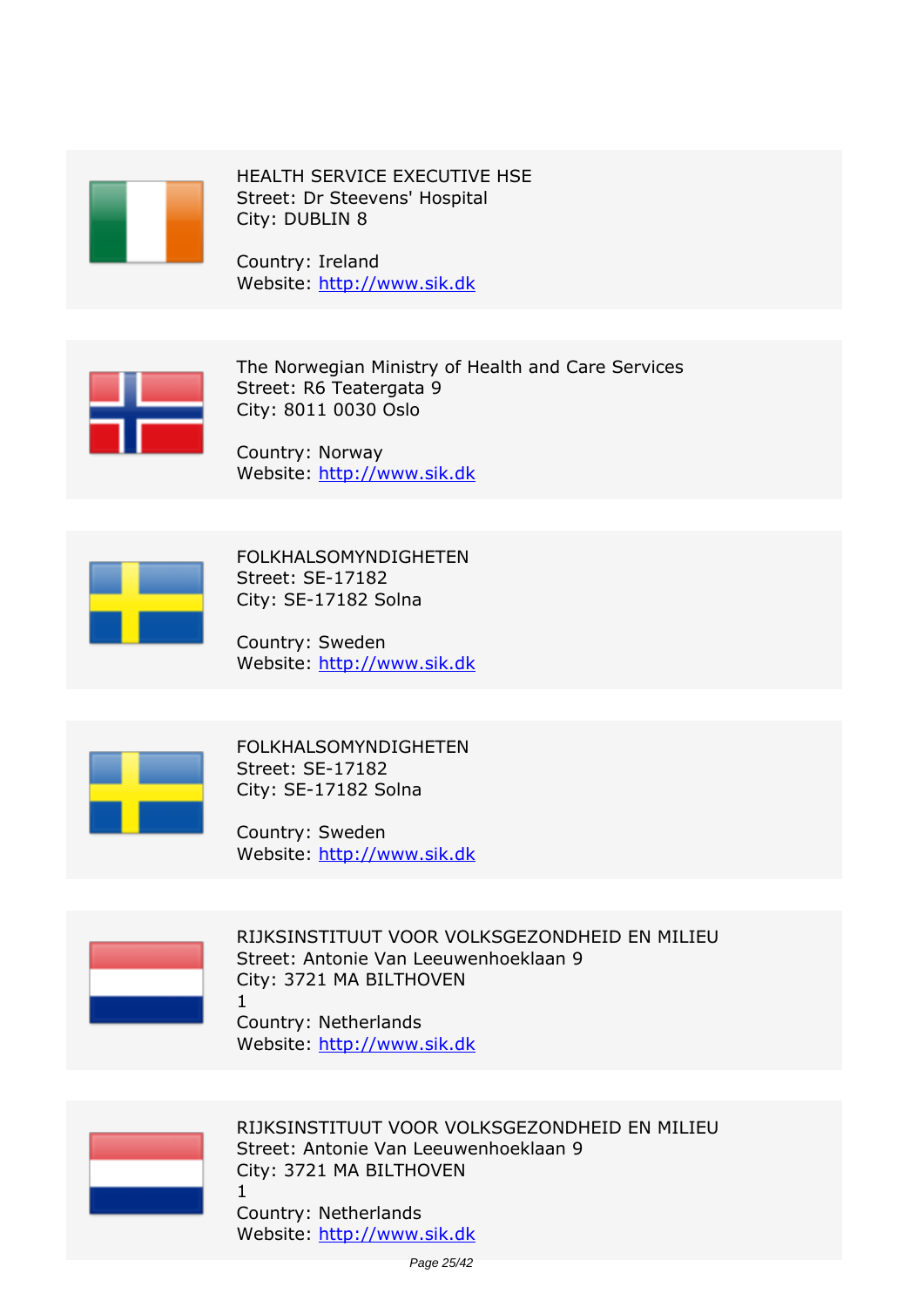

*HEALTH SERVICE EXECUTIVE HSE Street: Dr Steevens' Hospital City: DUBLIN 8*

*Country: Ireland Website:* http://www.sik.dk



*The Norwegian Ministry of Health and Care Services Street: R6 Teatergata 9 City: 8011 0030 Oslo*

*Country: Norway Website:* http://www.sik.dk



*FOLKHALSOMYNDIGHETEN Street: SE-17182 City: SE-17182 Solna*

*Country: Sweden Website:* http://www.sik.dk



*FOLKHALSOMYNDIGHETEN Street: SE-17182 City: SE-17182 Solna*

*Country: Sweden Website:* http://www.sik.dk



*RIJKSINSTITUUT VOOR VOLKSGEZONDHEID EN MILIEU Street: Antonie Van Leeuwenhoeklaan 9 City: 3721 MA BILTHOVEN 1*

*Country: Netherlands Website:* http://www.sik.dk



*RIJKSINSTITUUT VOOR VOLKSGEZONDHEID EN MILIEU Street: Antonie Van Leeuwenhoeklaan 9 City: 3721 MA BILTHOVEN 1*

*Country: Netherlands Website:* http://www.sik.dk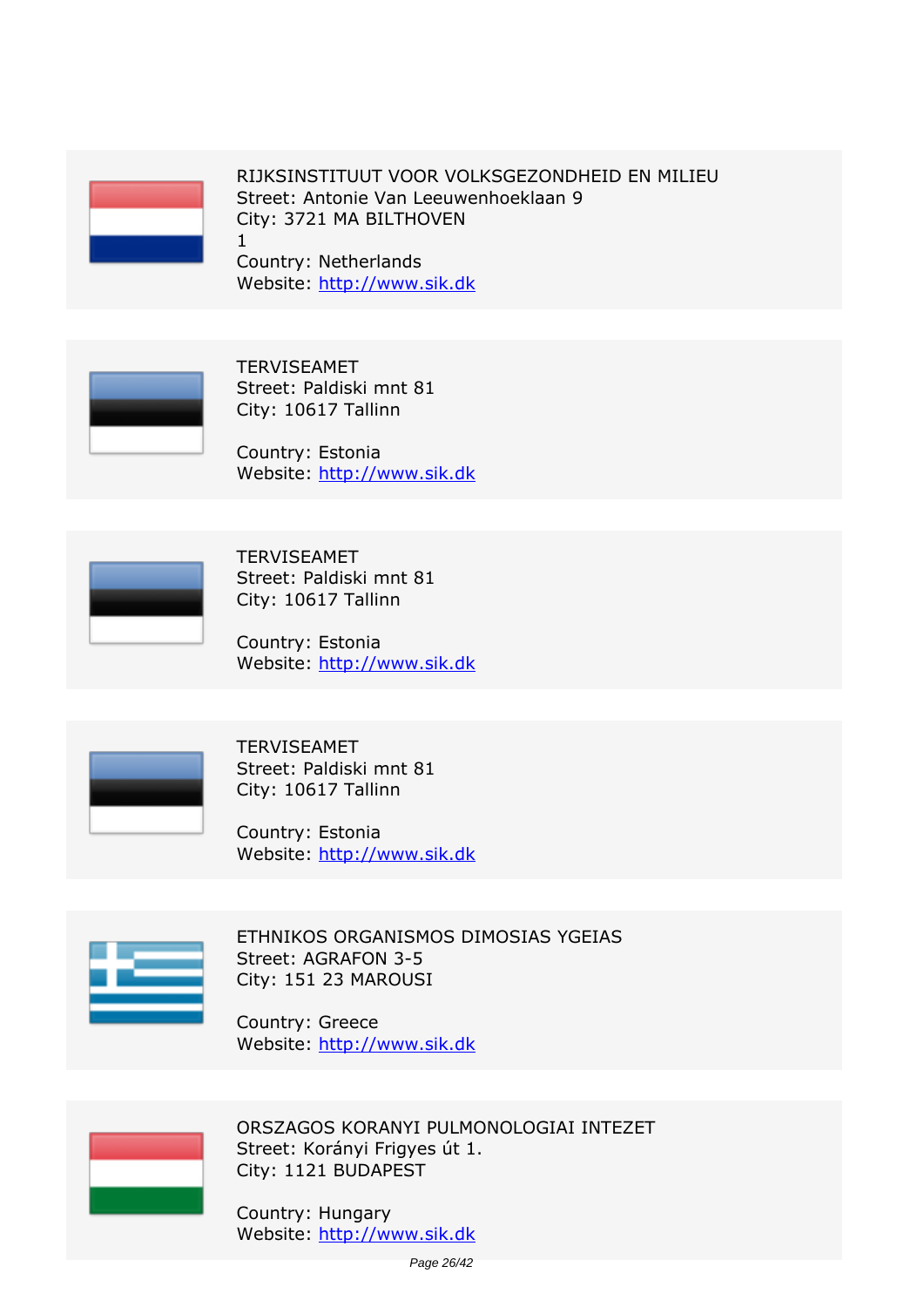

*1*

*RIJKSINSTITUUT VOOR VOLKSGEZONDHEID EN MILIEU Street: Antonie Van Leeuwenhoeklaan 9 City: 3721 MA BILTHOVEN*

*Country: Netherlands Website:* http://www.sik.dk



*TERVISEAMET Street: Paldiski mnt 81 City: 10617 Tallinn*

*Country: Estonia Website:* http://www.sik.dk



*TERVISEAMET Street: Paldiski mnt 81 City: 10617 Tallinn*

*Country: Estonia Website:* http://www.sik.dk



*TERVISEAMET Street: Paldiski mnt 81 City: 10617 Tallinn*

*Country: Estonia Website:* http://www.sik.dk



*ETHNIKOS ORGANISMOS DIMOSIAS YGEIAS Street: AGRAFON 3-5 City: 151 23 MAROUSI*

*Country: Greece Website:* http://www.sik.dk



*ORSZAGOS KORANYI PULMONOLOGIAI INTEZET Street: Korányi Frigyes út 1. City: 1121 BUDAPEST*

*Country: Hungary Website:* http://www.sik.dk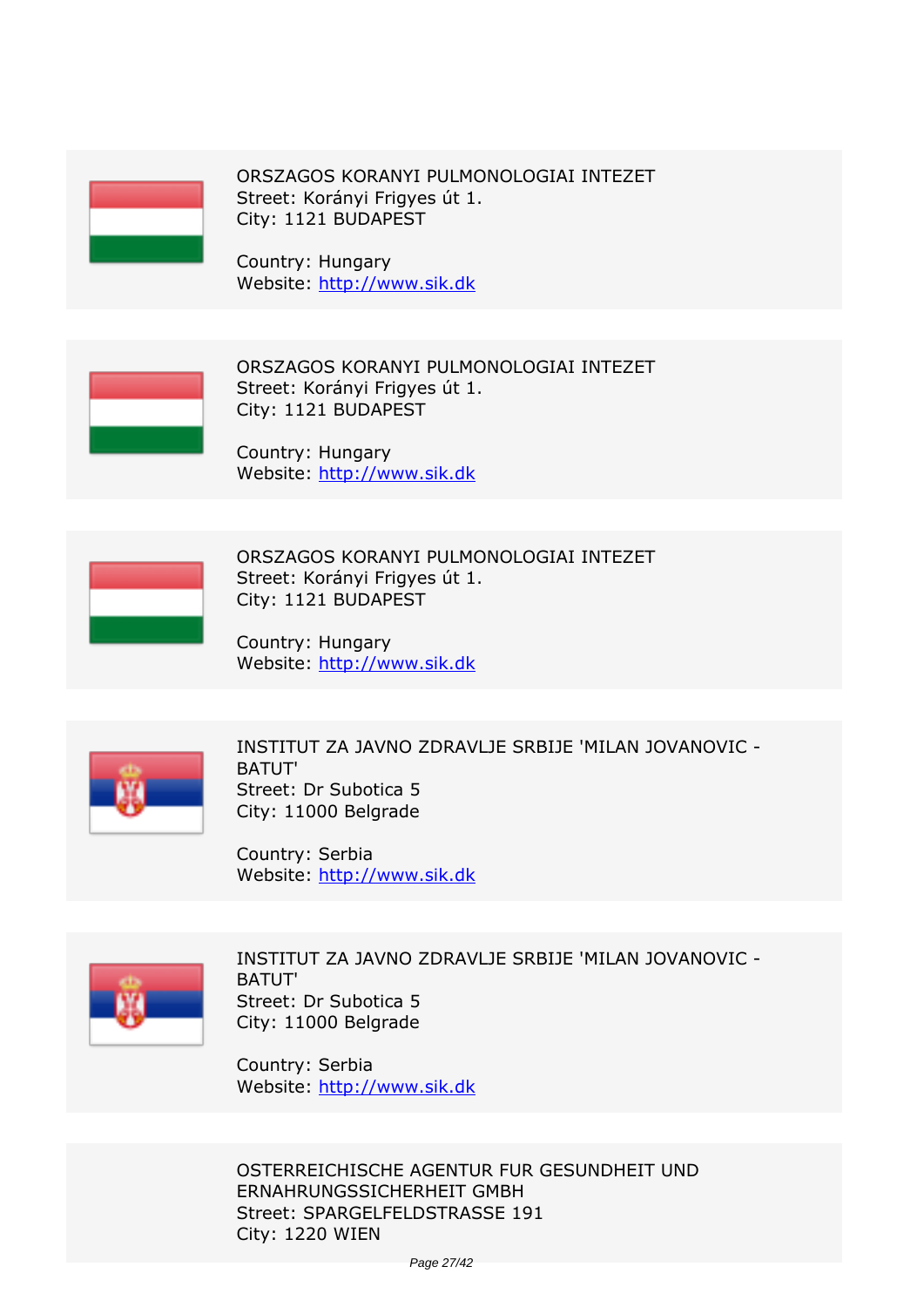

*ORSZAGOS KORANYI PULMONOLOGIAI INTEZET Street: Korányi Frigyes út 1. City: 1121 BUDAPEST*

*Country: Hungary Website:* http://www.sik.dk



*ORSZAGOS KORANYI PULMONOLOGIAI INTEZET Street: Korányi Frigyes út 1. City: 1121 BUDAPEST*

*Country: Hungary Website:* http://www.sik.dk



*ORSZAGOS KORANYI PULMONOLOGIAI INTEZET Street: Korányi Frigyes út 1. City: 1121 BUDAPEST*

*Country: Hungary Website:* http://www.sik.dk



*INSTITUT ZA JAVNO ZDRAVLJE SRBIJE 'MILAN JOVANOVIC - BATUT' Street: Dr Subotica 5 City: 11000 Belgrade*

*Country: Serbia Website:* http://www.sik.dk



*INSTITUT ZA JAVNO ZDRAVLJE SRBIJE 'MILAN JOVANOVIC - BATUT' Street: Dr Subotica 5 City: 11000 Belgrade*

*Country: Serbia Website:* http://www.sik.dk

*OSTERREICHISCHE AGENTUR FUR GESUNDHEIT UND ERNAHRUNGSSICHERHEIT GMBH Street: SPARGELFELDSTRASSE 191 City: 1220 WIEN*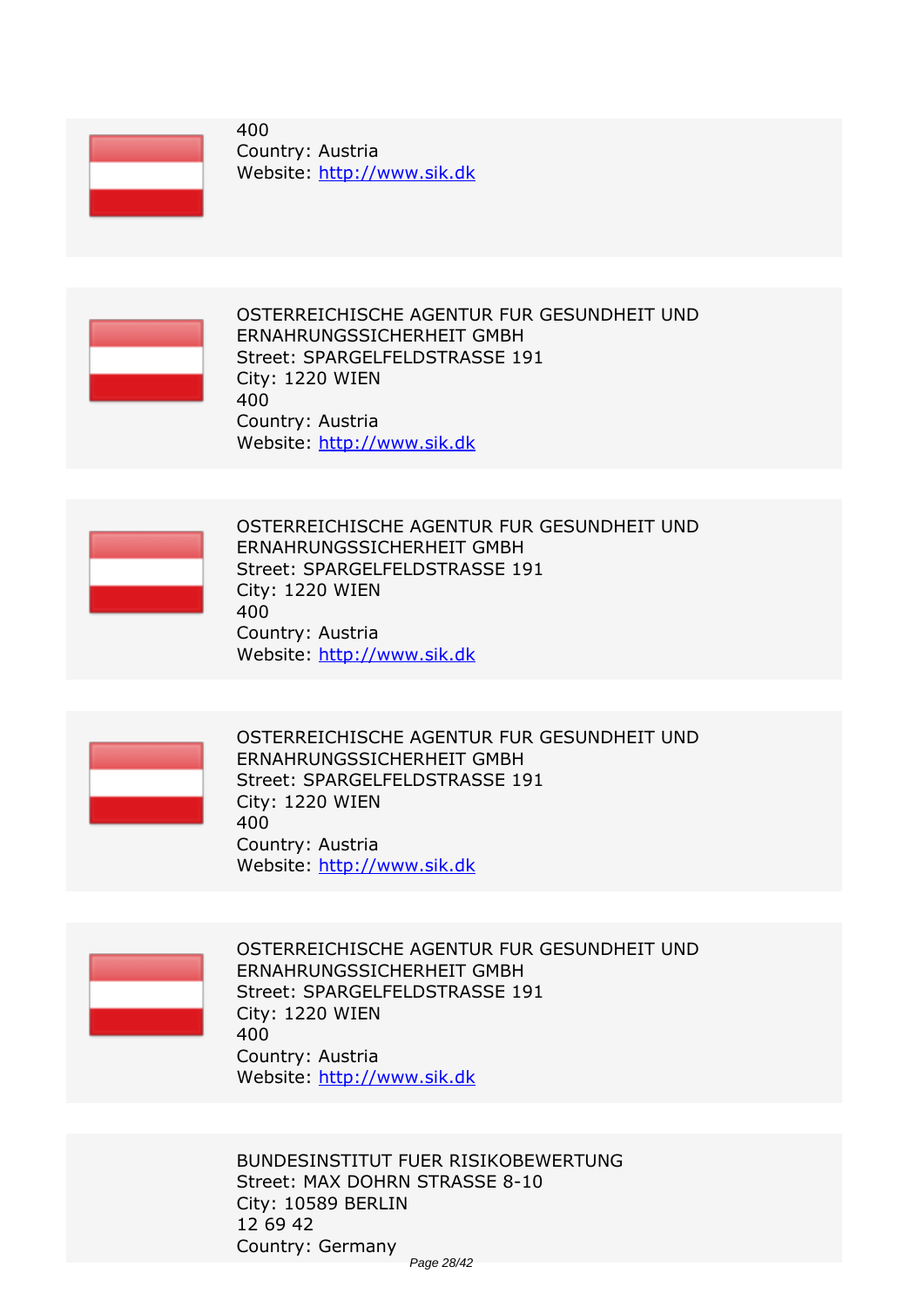

*400 Country: Austria Website:* http://www.sik.dk



*OSTERREICHISCHE AGENTUR FUR GESUNDHEIT UND ERNAHRUNGSSICHERHEIT GMBH Street: SPARGELFELDSTRASSE 191 City: 1220 WIEN 400 Country: Austria Website:* http://www.sik.dk



*OSTERREICHISCHE AGENTUR FUR GESUNDHEIT UND ERNAHRUNGSSICHERHEIT GMBH Street: SPARGELFELDSTRASSE 191 City: 1220 WIEN 400 Country: Austria Website:* http://www.sik.dk



*OSTERREICHISCHE AGENTUR FUR GESUNDHEIT UND ERNAHRUNGSSICHERHEIT GMBH Street: SPARGELFELDSTRASSE 191 City: 1220 WIEN 400 Country: Austria Website:* http://www.sik.dk



*OSTERREICHISCHE AGENTUR FUR GESUNDHEIT UND ERNAHRUNGSSICHERHEIT GMBH Street: SPARGELFELDSTRASSE 191 City: 1220 WIEN 400 Country: Austria Website:* http://www.sik.dk

*BUNDESINSTITUT FUER RISIKOBEWERTUNG Street: MAX DOHRN STRASSE 8-10 City: 10589 BERLIN 12 69 42 Country: Germany* Page 28/42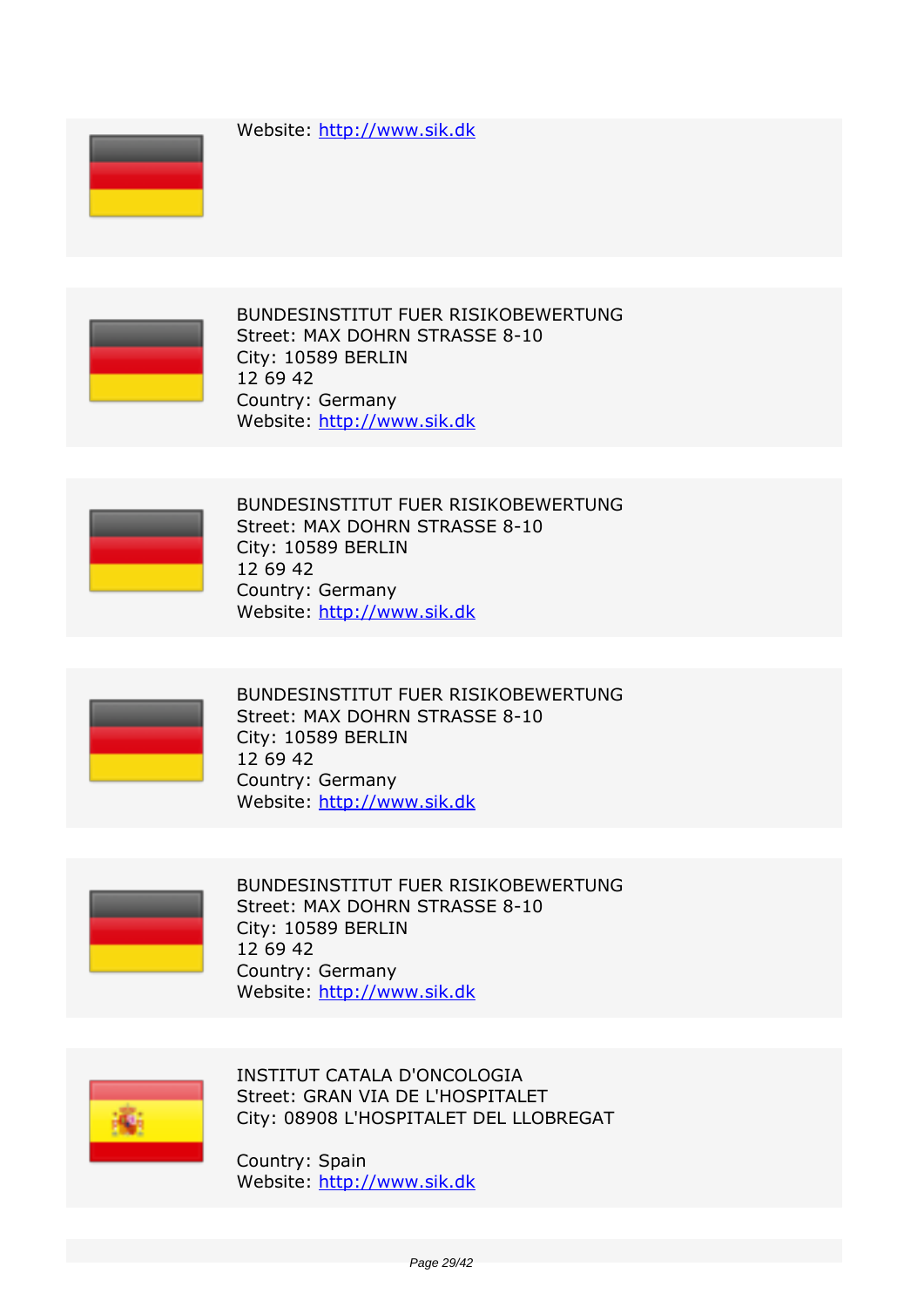*Website:* http://www.sik.dk





*BUNDESINSTITUT FUER RISIKOBEWERTUNG Street: MAX DOHRN STRASSE 8-10 City: 10589 BERLIN 12 69 42 Country: Germany Website:* http://www.sik.dk



*BUNDESINSTITUT FUER RISIKOBEWERTUNG Street: MAX DOHRN STRASSE 8-10 City: 10589 BERLIN 12 69 42 Country: Germany Website:* http://www.sik.dk



*BUNDESINSTITUT FUER RISIKOBEWERTUNG Street: MAX DOHRN STRASSE 8-10 City: 10589 BERLIN 12 69 42 Country: Germany Website:* http://www.sik.dk



*BUNDESINSTITUT FUER RISIKOBEWERTUNG Street: MAX DOHRN STRASSE 8-10 City: 10589 BERLIN 12 69 42 Country: Germany Website:* http://www.sik.dk



*INSTITUT CATALA D'ONCOLOGIA Street: GRAN VIA DE L'HOSPITALET City: 08908 L'HOSPITALET DEL LLOBREGAT*

*Country: Spain Website:* http://www.sik.dk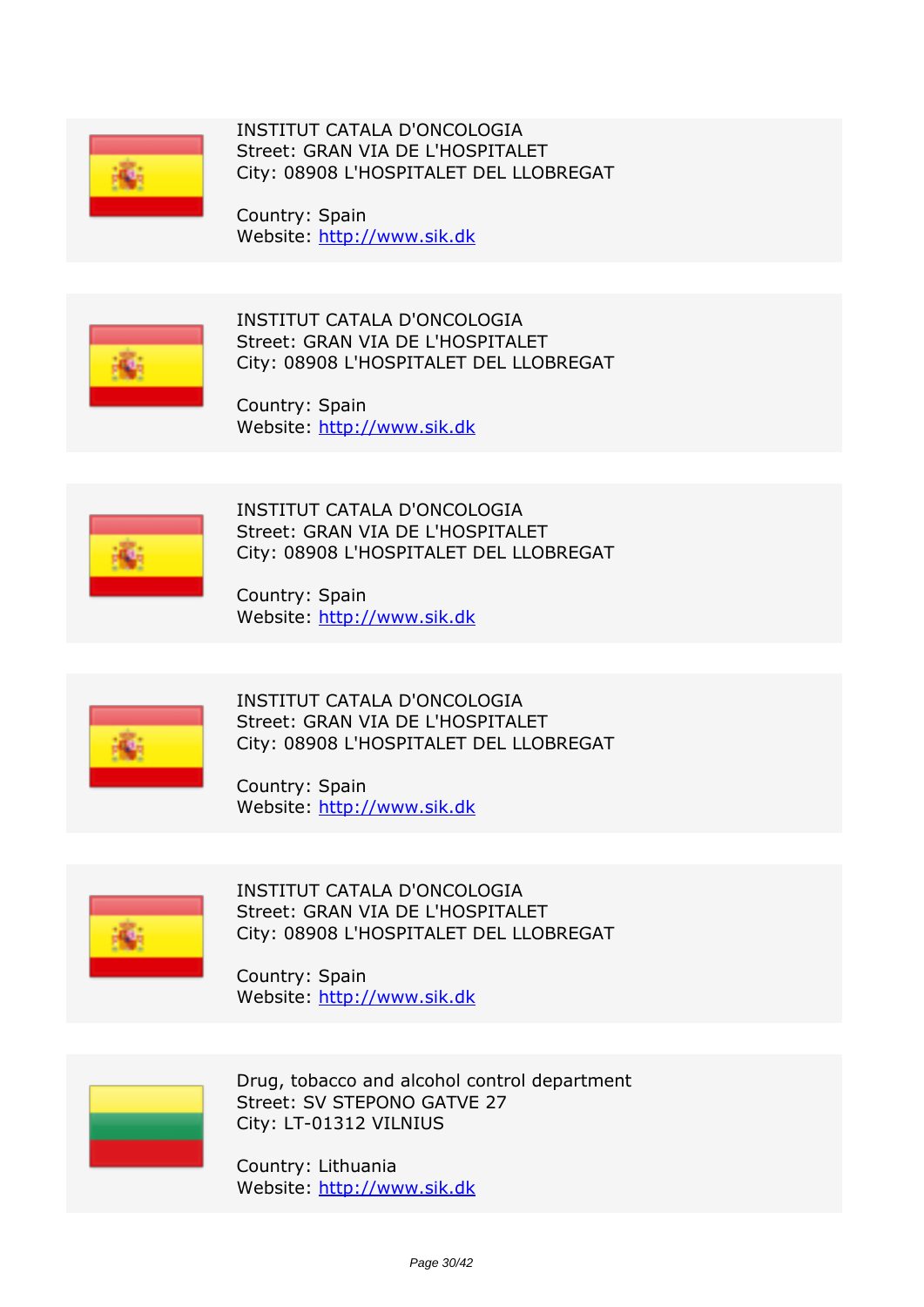

*INSTITUT CATALA D'ONCOLOGIA Street: GRAN VIA DE L'HOSPITALET City: 08908 L'HOSPITALET DEL LLOBREGAT*

*Country: Spain Website:* http://www.sik.dk



*INSTITUT CATALA D'ONCOLOGIA Street: GRAN VIA DE L'HOSPITALET City: 08908 L'HOSPITALET DEL LLOBREGAT*

*Country: Spain Website:* http://www.sik.dk



*INSTITUT CATALA D'ONCOLOGIA Street: GRAN VIA DE L'HOSPITALET City: 08908 L'HOSPITALET DEL LLOBREGAT*

*Country: Spain Website:* http://www.sik.dk



*INSTITUT CATALA D'ONCOLOGIA Street: GRAN VIA DE L'HOSPITALET City: 08908 L'HOSPITALET DEL LLOBREGAT*

*Country: Spain Website:* http://www.sik.dk



*INSTITUT CATALA D'ONCOLOGIA Street: GRAN VIA DE L'HOSPITALET City: 08908 L'HOSPITALET DEL LLOBREGAT*

*Country: Spain Website:* http://www.sik.dk



*Drug, tobacco and alcohol control department Street: SV STEPONO GATVE 27 City: LT-01312 VILNIUS*

*Country: Lithuania Website:* http://www.sik.dk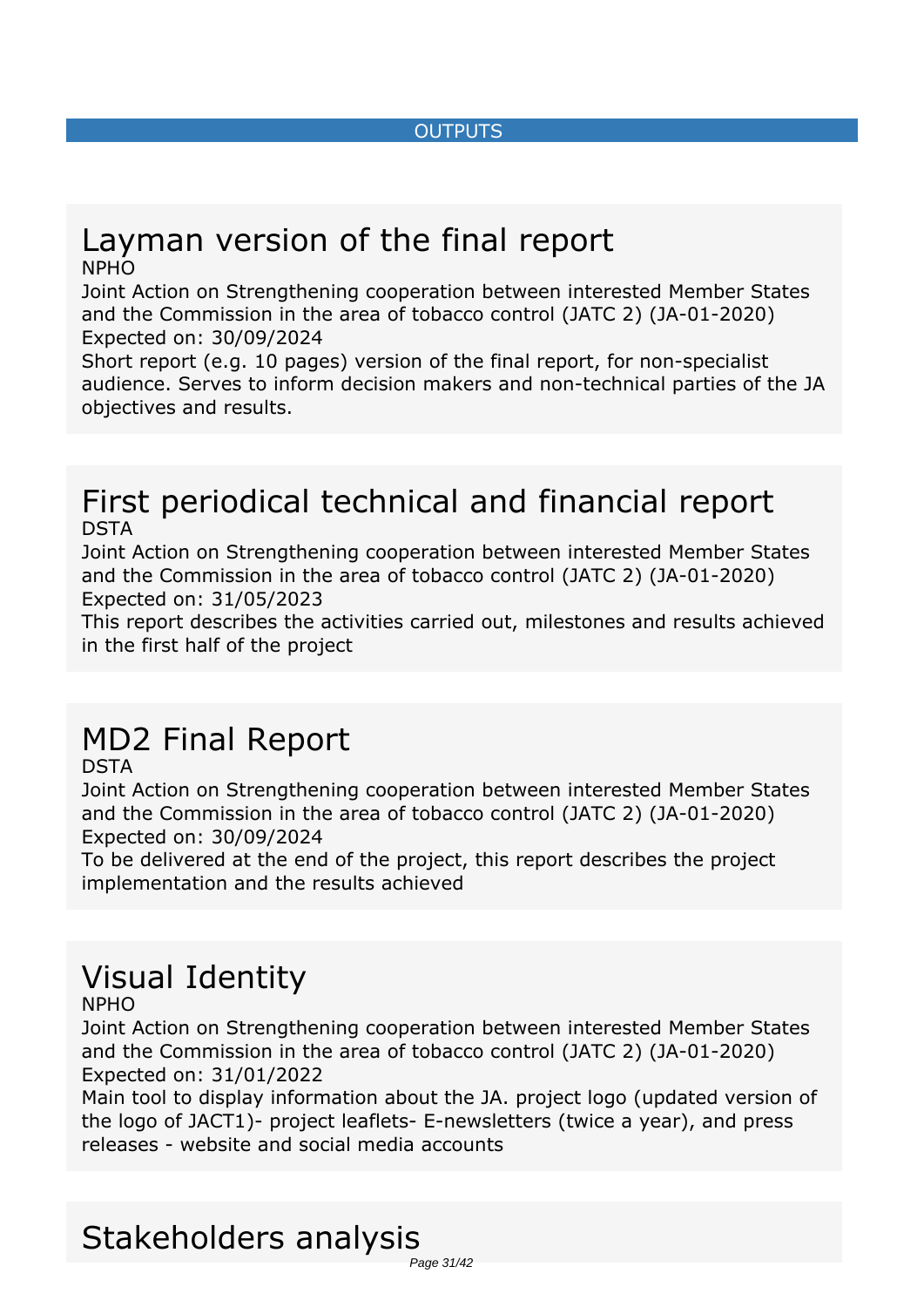#### *OUTPUTS*

#### <span id="page-30-0"></span>*Layman version of the final report NPHO*

*Joint Action on Strengthening cooperation between interested Member States and the Commission in the area of tobacco control (JATC 2) (JA-01-2020) Expected on: 30/09/2024*

*Short report (e.g. 10 pages) version of the final report, for non-specialist audience. Serves to inform decision makers and non-technical parties of the JA objectives and results.*

#### *First periodical technical and financial report DSTA*

*Joint Action on Strengthening cooperation between interested Member States and the Commission in the area of tobacco control (JATC 2) (JA-01-2020) Expected on: 31/05/2023*

*This report describes the activities carried out, milestones and results achieved in the first half of the project*

## *MD2 Final Report*

*DSTA*

*Joint Action on Strengthening cooperation between interested Member States and the Commission in the area of tobacco control (JATC 2) (JA-01-2020) Expected on: 30/09/2024*

*To be delivered at the end of the project, this report describes the project implementation and the results achieved*

# *Visual Identity*

*NPHO*

*Joint Action on Strengthening cooperation between interested Member States and the Commission in the area of tobacco control (JATC 2) (JA-01-2020) Expected on: 31/01/2022*

*Main tool to display information about the JA. project logo (updated version of the logo of JACT1)- project leaflets- E-newsletters (twice a year), and press releases - website and social media accounts*

#### *Stakeholders analysis* Page 31/42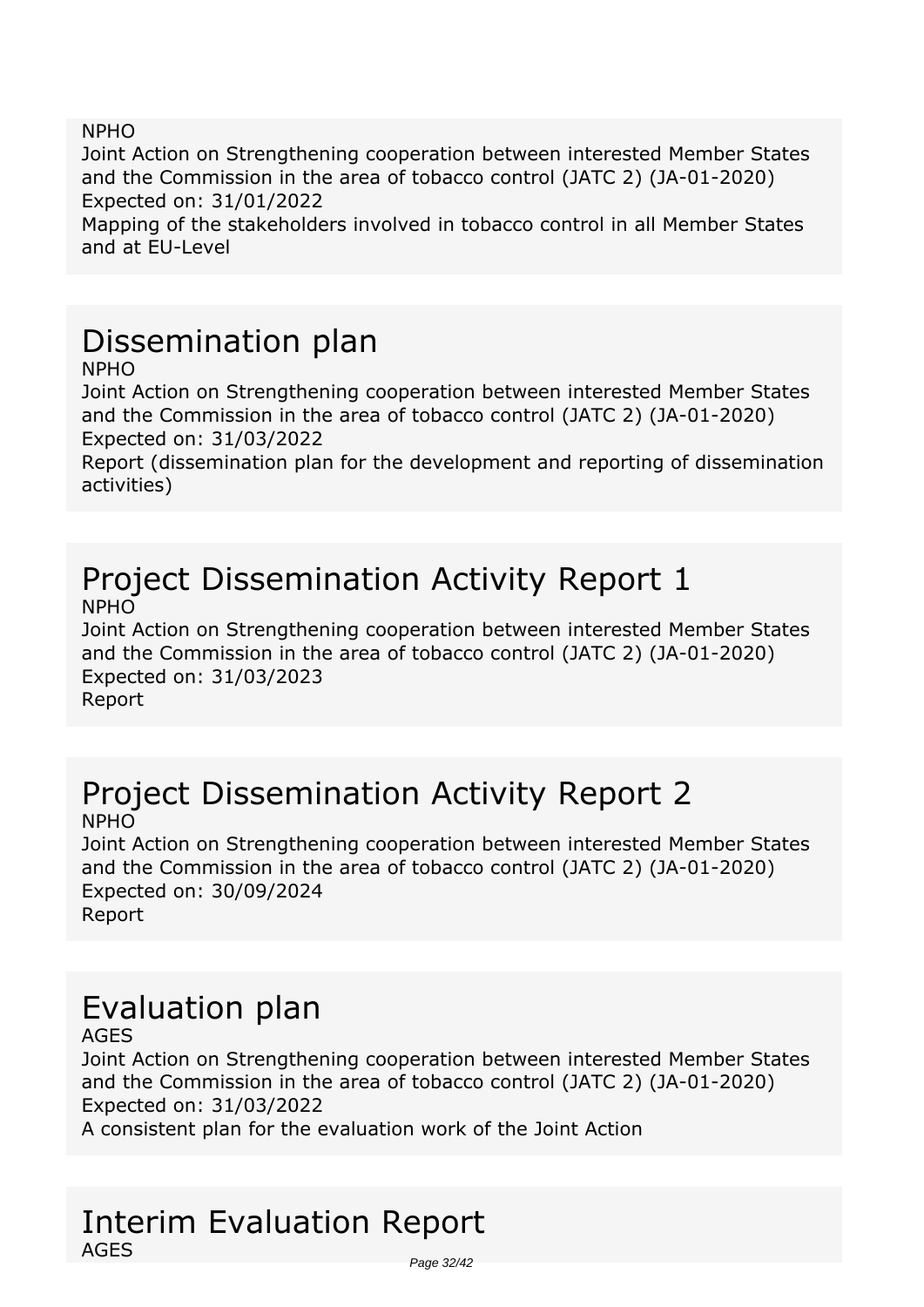*NPHO*

*Joint Action on Strengthening cooperation between interested Member States and the Commission in the area of tobacco control (JATC 2) (JA-01-2020) Expected on: 31/01/2022*

*Mapping of the stakeholders involved in tobacco control in all Member States and at EU-Level*

## *Dissemination plan*

*NPHO*

*Joint Action on Strengthening cooperation between interested Member States and the Commission in the area of tobacco control (JATC 2) (JA-01-2020) Expected on: 31/03/2022*

*Report (dissemination plan for the development and reporting of dissemination activities)*

#### *Project Dissemination Activity Report 1 NPHO*

*Joint Action on Strengthening cooperation between interested Member States and the Commission in the area of tobacco control (JATC 2) (JA-01-2020) Expected on: 31/03/2023 Report*

#### *Project Dissemination Activity Report 2 NPHO*

*Joint Action on Strengthening cooperation between interested Member States and the Commission in the area of tobacco control (JATC 2) (JA-01-2020) Expected on: 30/09/2024 Report*

## *Evaluation plan*

*AGES*

*Joint Action on Strengthening cooperation between interested Member States and the Commission in the area of tobacco control (JATC 2) (JA-01-2020) Expected on: 31/03/2022*

*A consistent plan for the evaluation work of the Joint Action*

#### *Interim Evaluation Report AGES* Page 32/42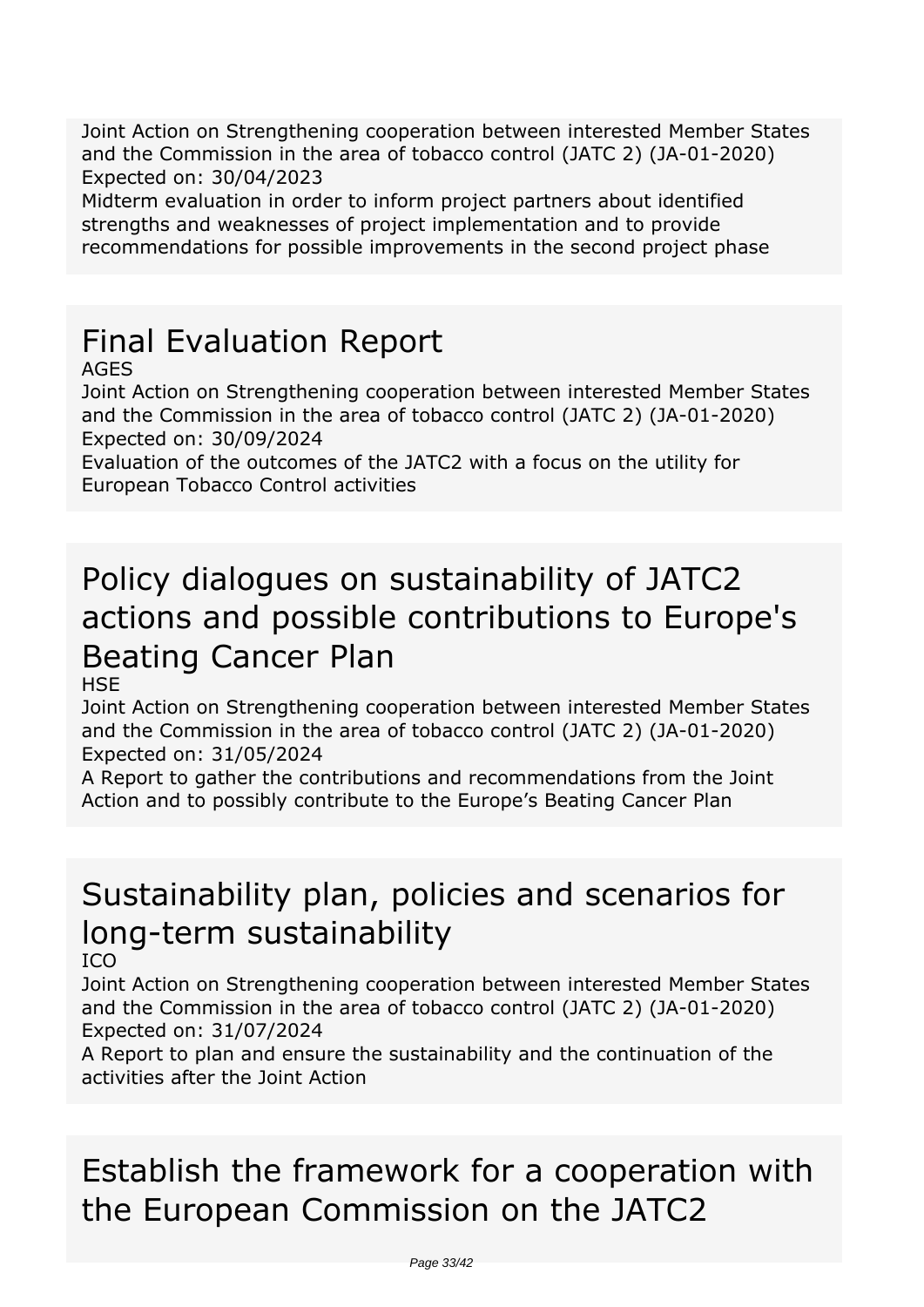*Joint Action on Strengthening cooperation between interested Member States and the Commission in the area of tobacco control (JATC 2) (JA-01-2020) Expected on: 30/04/2023*

*Midterm evaluation in order to inform project partners about identified strengths and weaknesses of project implementation and to provide recommendations for possible improvements in the second project phase*

## *Final Evaluation Report*

*AGES*

*Joint Action on Strengthening cooperation between interested Member States and the Commission in the area of tobacco control (JATC 2) (JA-01-2020) Expected on: 30/09/2024*

*Evaluation of the outcomes of the JATC2 with a focus on the utility for European Tobacco Control activities*

## *Policy dialogues on sustainability of JATC2 actions and possible contributions to Europe's Beating Cancer Plan*

*HSE*

*Joint Action on Strengthening cooperation between interested Member States and the Commission in the area of tobacco control (JATC 2) (JA-01-2020) Expected on: 31/05/2024*

*A Report to gather the contributions and recommendations from the Joint Action and to possibly contribute to the Europe's Beating Cancer Plan*

# *Sustainability plan, policies and scenarios for long-term sustainability*

*ICO*

*Joint Action on Strengthening cooperation between interested Member States and the Commission in the area of tobacco control (JATC 2) (JA-01-2020) Expected on: 31/07/2024*

*A Report to plan and ensure the sustainability and the continuation of the activities after the Joint Action*

## *Establish the framework for a cooperation with the European Commission on the JATC2*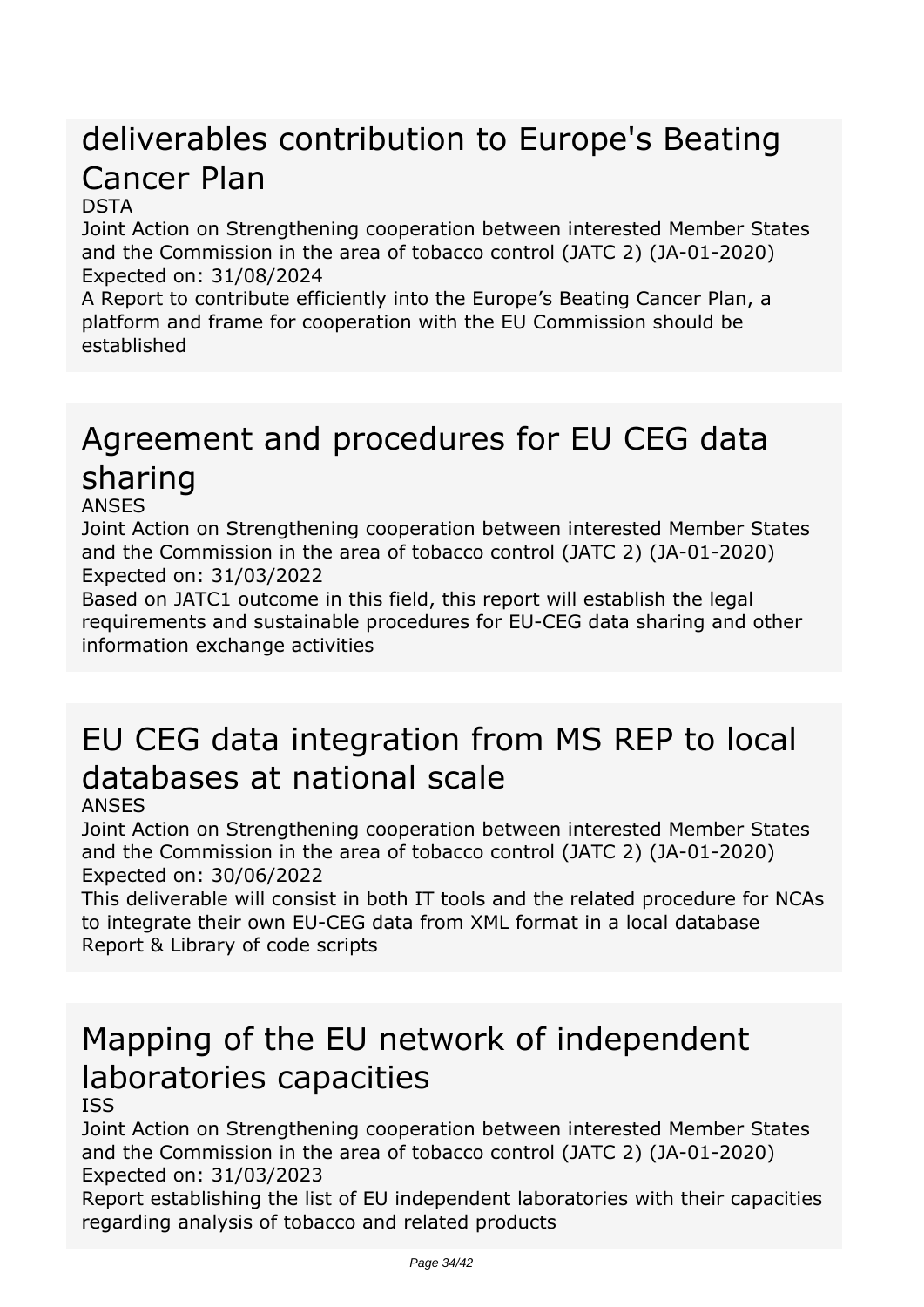# *deliverables contribution to Europe's Beating Cancer Plan*

#### *DSTA*

*Joint Action on Strengthening cooperation between interested Member States and the Commission in the area of tobacco control (JATC 2) (JA-01-2020) Expected on: 31/08/2024*

*A Report to contribute efficiently into the Europe's Beating Cancer Plan, a platform and frame for cooperation with the EU Commission should be established*

## *Agreement and procedures for EU CEG data sharing*

#### *ANSES*

*Joint Action on Strengthening cooperation between interested Member States and the Commission in the area of tobacco control (JATC 2) (JA-01-2020) Expected on: 31/03/2022*

*Based on JATC1 outcome in this field, this report will establish the legal requirements and sustainable procedures for EU-CEG data sharing and other information exchange activities*

# *EU CEG data integration from MS REP to local databases at national scale*

#### *ANSES*

*Joint Action on Strengthening cooperation between interested Member States and the Commission in the area of tobacco control (JATC 2) (JA-01-2020) Expected on: 30/06/2022*

*This deliverable will consist in both IT tools and the related procedure for NCAs to integrate their own EU-CEG data from XML format in a local database Report & Library of code scripts*

# *Mapping of the EU network of independent laboratories capacities*

#### *ISS*

*Joint Action on Strengthening cooperation between interested Member States and the Commission in the area of tobacco control (JATC 2) (JA-01-2020) Expected on: 31/03/2023*

*Report establishing the list of EU independent laboratories with their capacities regarding analysis of tobacco and related products*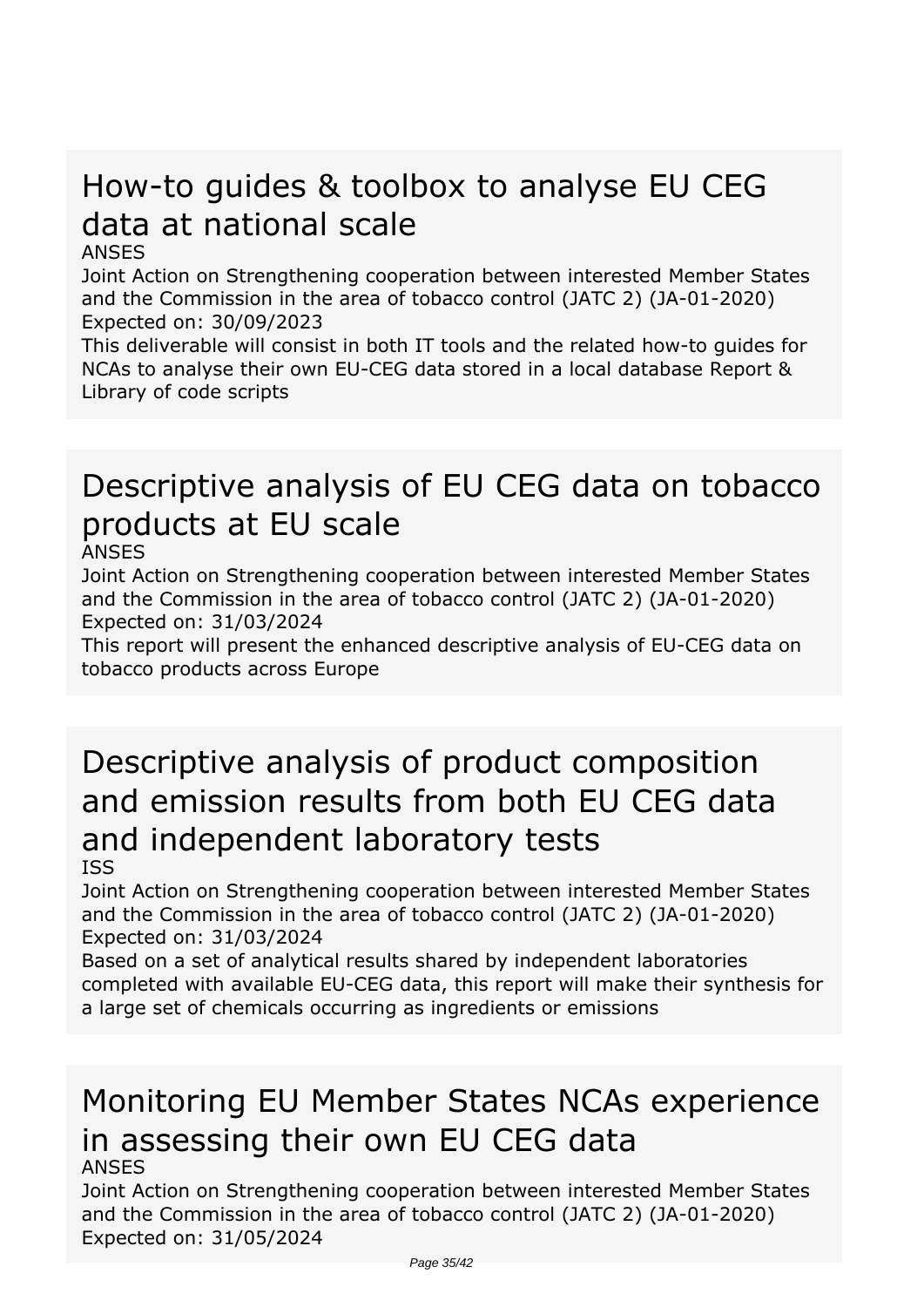## *How-to guides & toolbox to analyse EU CEG data at national scale*

#### *ANSES*

*Joint Action on Strengthening cooperation between interested Member States and the Commission in the area of tobacco control (JATC 2) (JA-01-2020) Expected on: 30/09/2023*

*This deliverable will consist in both IT tools and the related how-to guides for NCAs to analyse their own EU-CEG data stored in a local database Report & Library of code scripts*

# *Descriptive analysis of EU CEG data on tobacco products at EU scale*

*ANSES*

*Joint Action on Strengthening cooperation between interested Member States and the Commission in the area of tobacco control (JATC 2) (JA-01-2020) Expected on: 31/03/2024*

*This report will present the enhanced descriptive analysis of EU-CEG data on tobacco products across Europe*

# *Descriptive analysis of product composition and emission results from both EU CEG data and independent laboratory tests*

*ISS*

*Joint Action on Strengthening cooperation between interested Member States and the Commission in the area of tobacco control (JATC 2) (JA-01-2020) Expected on: 31/03/2024*

*Based on a set of analytical results shared by independent laboratories completed with available EU-CEG data, this report will make their synthesis for a large set of chemicals occurring as ingredients or emissions*

#### *Monitoring EU Member States NCAs experience in assessing their own EU CEG data ANSES*

*Joint Action on Strengthening cooperation between interested Member States and the Commission in the area of tobacco control (JATC 2) (JA-01-2020) Expected on: 31/05/2024*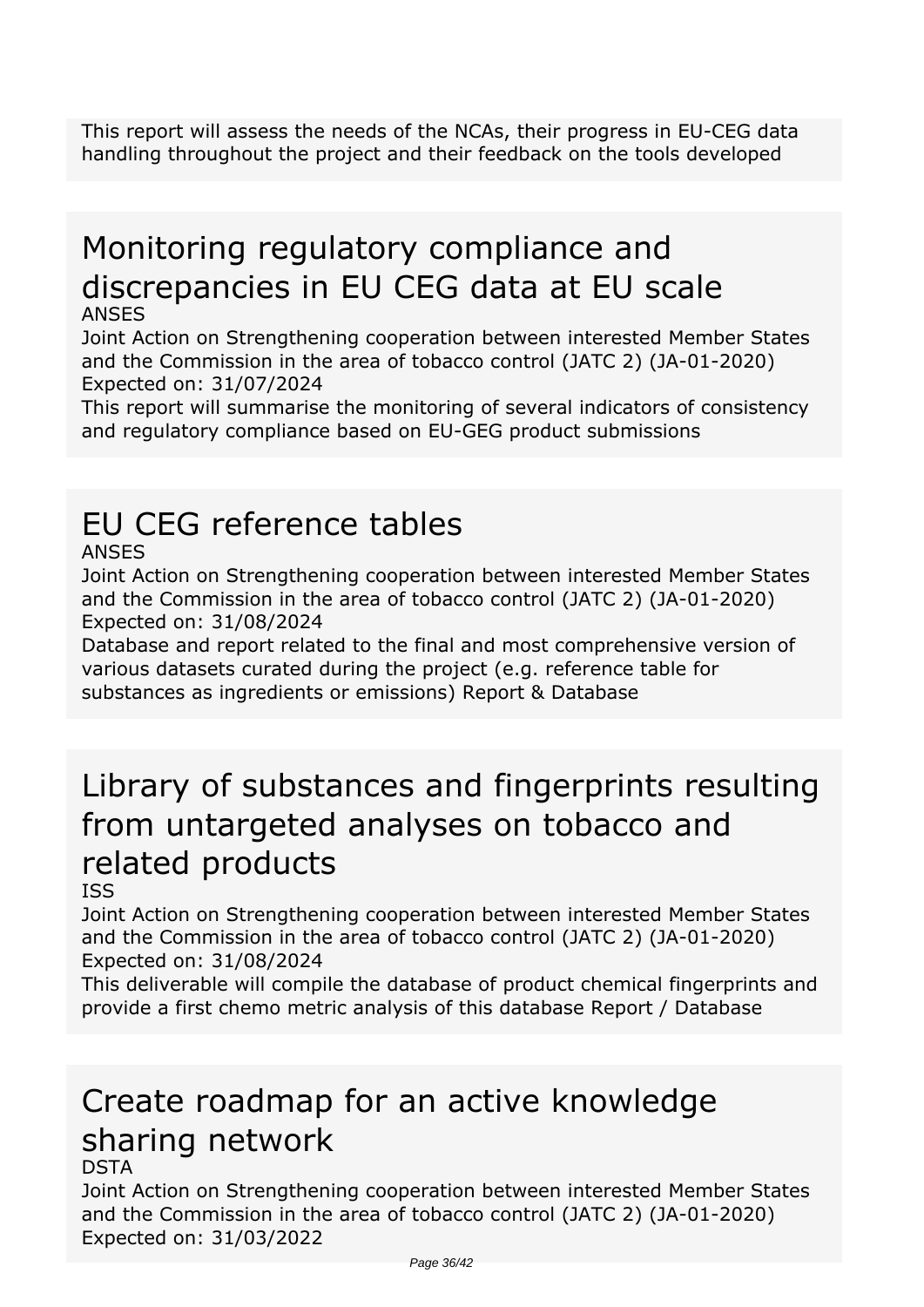*This report will assess the needs of the NCAs, their progress in EU-CEG data handling throughout the project and their feedback on the tools developed*

# *Monitoring regulatory compliance and discrepancies in EU CEG data at EU scale*

#### *ANSES*

*Joint Action on Strengthening cooperation between interested Member States and the Commission in the area of tobacco control (JATC 2) (JA-01-2020) Expected on: 31/07/2024*

*This report will summarise the monitoring of several indicators of consistency and regulatory compliance based on EU-GEG product submissions*

## *EU CEG reference tables*

#### *ANSES*

*Joint Action on Strengthening cooperation between interested Member States and the Commission in the area of tobacco control (JATC 2) (JA-01-2020) Expected on: 31/08/2024*

*Database and report related to the final and most comprehensive version of various datasets curated during the project (e.g. reference table for substances as ingredients or emissions) Report & Database*

## *Library of substances and fingerprints resulting from untargeted analyses on tobacco and related products*

#### *ISS*

*Joint Action on Strengthening cooperation between interested Member States and the Commission in the area of tobacco control (JATC 2) (JA-01-2020) Expected on: 31/08/2024*

*This deliverable will compile the database of product chemical fingerprints and provide a first chemo metric analysis of this database Report / Database*

### *Create roadmap for an active knowledge sharing network DSTA*

#### *Joint Action on Strengthening cooperation between interested Member States and the Commission in the area of tobacco control (JATC 2) (JA-01-2020) Expected on: 31/03/2022*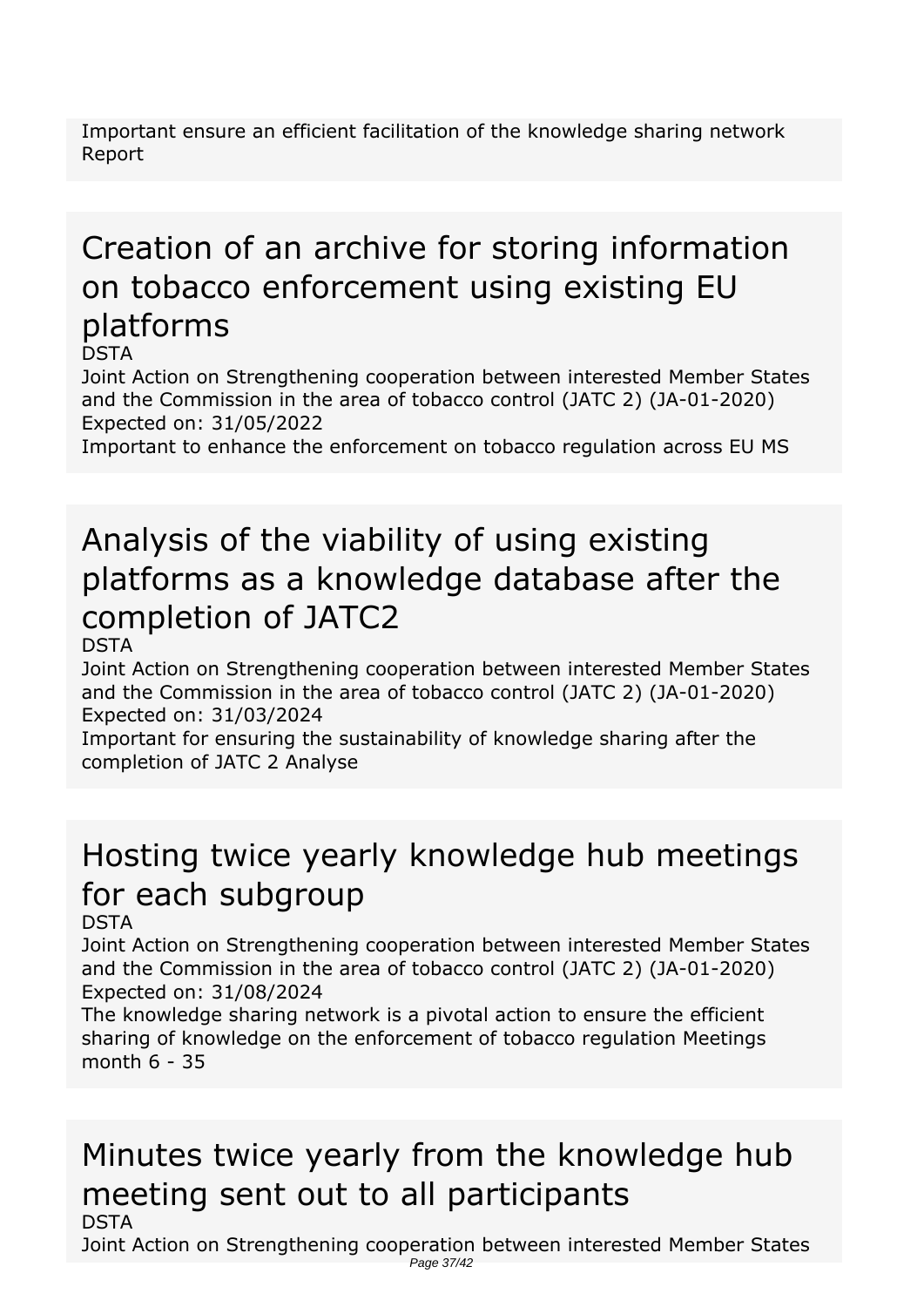*Important ensure an efficient facilitation of the knowledge sharing network Report*

### *Creation of an archive for storing information on tobacco enforcement using existing EU platforms DSTA*

*Joint Action on Strengthening cooperation between interested Member States and the Commission in the area of tobacco control (JATC 2) (JA-01-2020) Expected on: 31/05/2022*

*Important to enhance the enforcement on tobacco regulation across EU MS*

# *Analysis of the viability of using existing platforms as a knowledge database after the completion of JATC2*

*DSTA*

*Joint Action on Strengthening cooperation between interested Member States and the Commission in the area of tobacco control (JATC 2) (JA-01-2020) Expected on: 31/03/2024*

*Important for ensuring the sustainability of knowledge sharing after the completion of JATC 2 Analyse*

# *Hosting twice yearly knowledge hub meetings for each subgroup*

*DSTA*

*Joint Action on Strengthening cooperation between interested Member States and the Commission in the area of tobacco control (JATC 2) (JA-01-2020) Expected on: 31/08/2024*

*The knowledge sharing network is a pivotal action to ensure the efficient sharing of knowledge on the enforcement of tobacco regulation Meetings month 6 - 35*

### *Minutes twice yearly from the knowledge hub meeting sent out to all participants DSTA*

*Joint Action on Strengthening cooperation between interested Member States* Page 37/42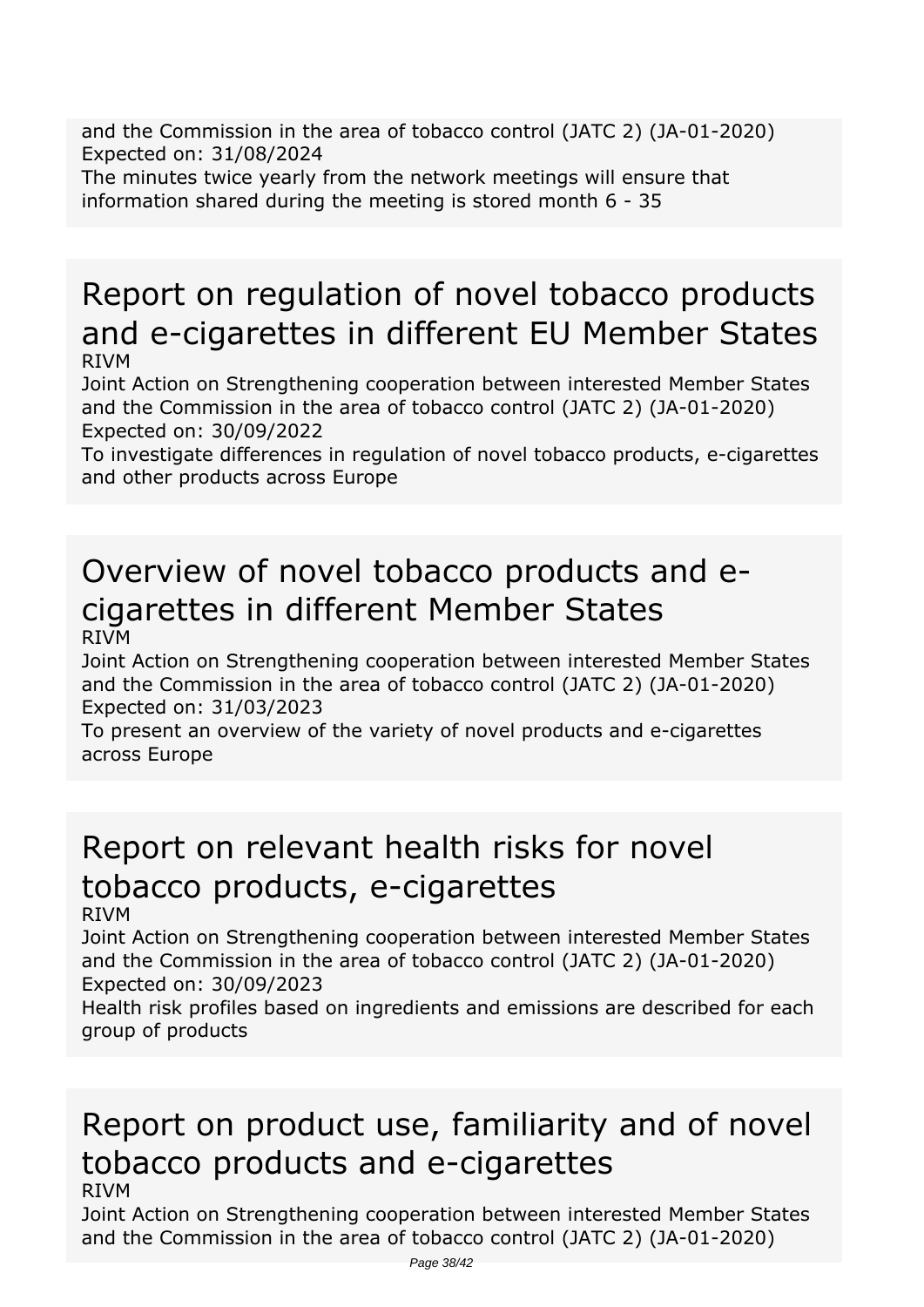*and the Commission in the area of tobacco control (JATC 2) (JA-01-2020) Expected on: 31/08/2024*

*The minutes twice yearly from the network meetings will ensure that information shared during the meeting is stored month 6 - 35*

## *Report on regulation of novel tobacco products and e-cigarettes in different EU Member States RIVM*

*Joint Action on Strengthening cooperation between interested Member States and the Commission in the area of tobacco control (JATC 2) (JA-01-2020) Expected on: 30/09/2022*

*To investigate differences in regulation of novel tobacco products, e-cigarettes and other products across Europe*

### *Overview of novel tobacco products and ecigarettes in different Member States RIVM*

*Joint Action on Strengthening cooperation between interested Member States and the Commission in the area of tobacco control (JATC 2) (JA-01-2020) Expected on: 31/03/2023*

*To present an overview of the variety of novel products and e-cigarettes across Europe*

# *Report on relevant health risks for novel tobacco products, e-cigarettes*

*RIVM*

*Joint Action on Strengthening cooperation between interested Member States and the Commission in the area of tobacco control (JATC 2) (JA-01-2020) Expected on: 30/09/2023*

*Health risk profiles based on ingredients and emissions are described for each group of products*

### *Report on product use, familiarity and of novel tobacco products and e-cigarettes RIVM*

*Joint Action on Strengthening cooperation between interested Member States and the Commission in the area of tobacco control (JATC 2) (JA-01-2020)*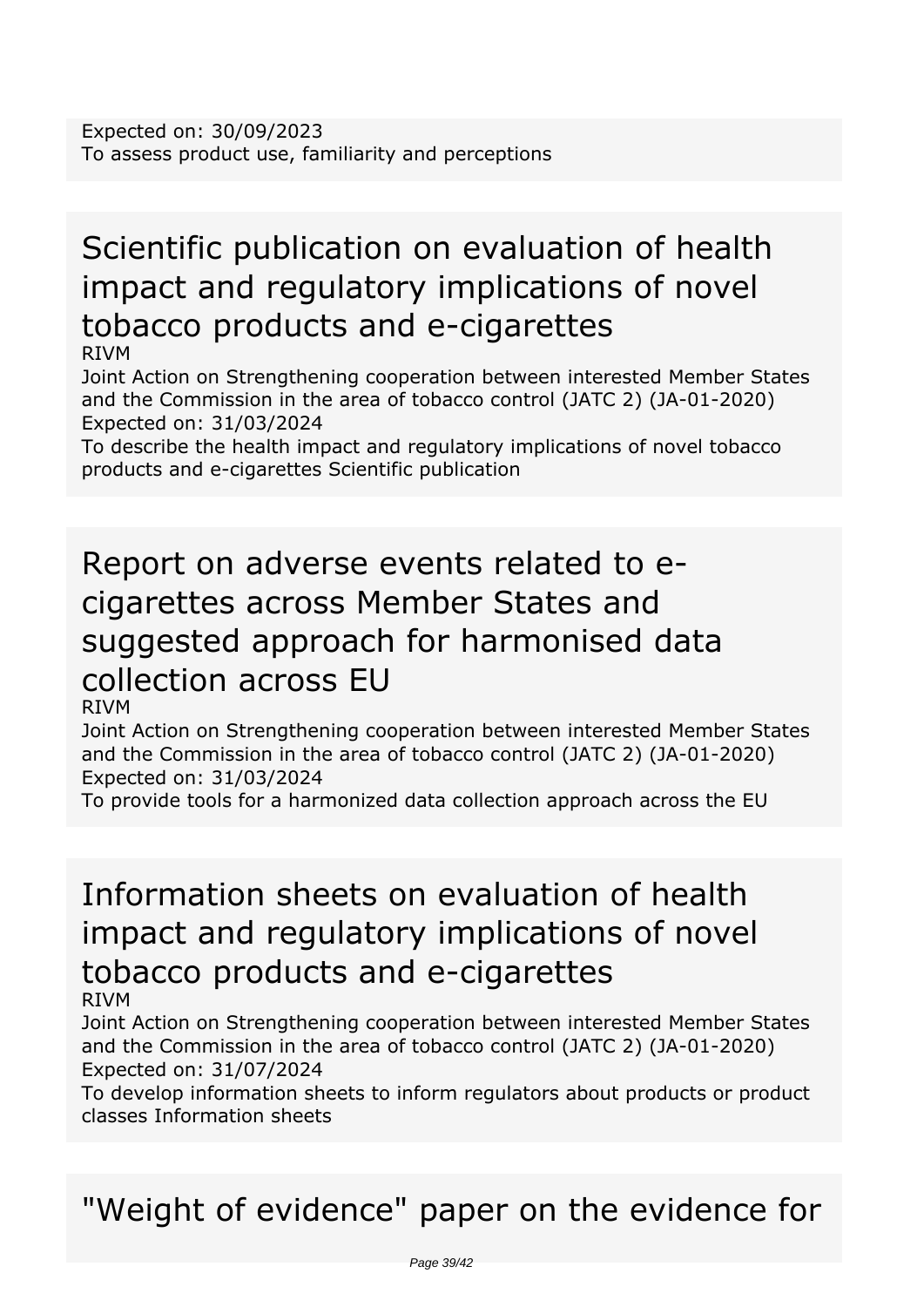# *Scientific publication on evaluation of health impact and regulatory implications of novel tobacco products and e-cigarettes*

*RIVM*

*Joint Action on Strengthening cooperation between interested Member States and the Commission in the area of tobacco control (JATC 2) (JA-01-2020) Expected on: 31/03/2024*

*To describe the health impact and regulatory implications of novel tobacco products and e-cigarettes Scientific publication*

### *Report on adverse events related to ecigarettes across Member States and suggested approach for harmonised data collection across EU RIVM*

*Joint Action on Strengthening cooperation between interested Member States and the Commission in the area of tobacco control (JATC 2) (JA-01-2020) Expected on: 31/03/2024*

*To provide tools for a harmonized data collection approach across the EU*

### *Information sheets on evaluation of health impact and regulatory implications of novel tobacco products and e-cigarettes RIVM*

*Joint Action on Strengthening cooperation between interested Member States and the Commission in the area of tobacco control (JATC 2) (JA-01-2020) Expected on: 31/07/2024*

*To develop information sheets to inform regulators about products or product classes Information sheets*

*"Weight of evidence" paper on the evidence for*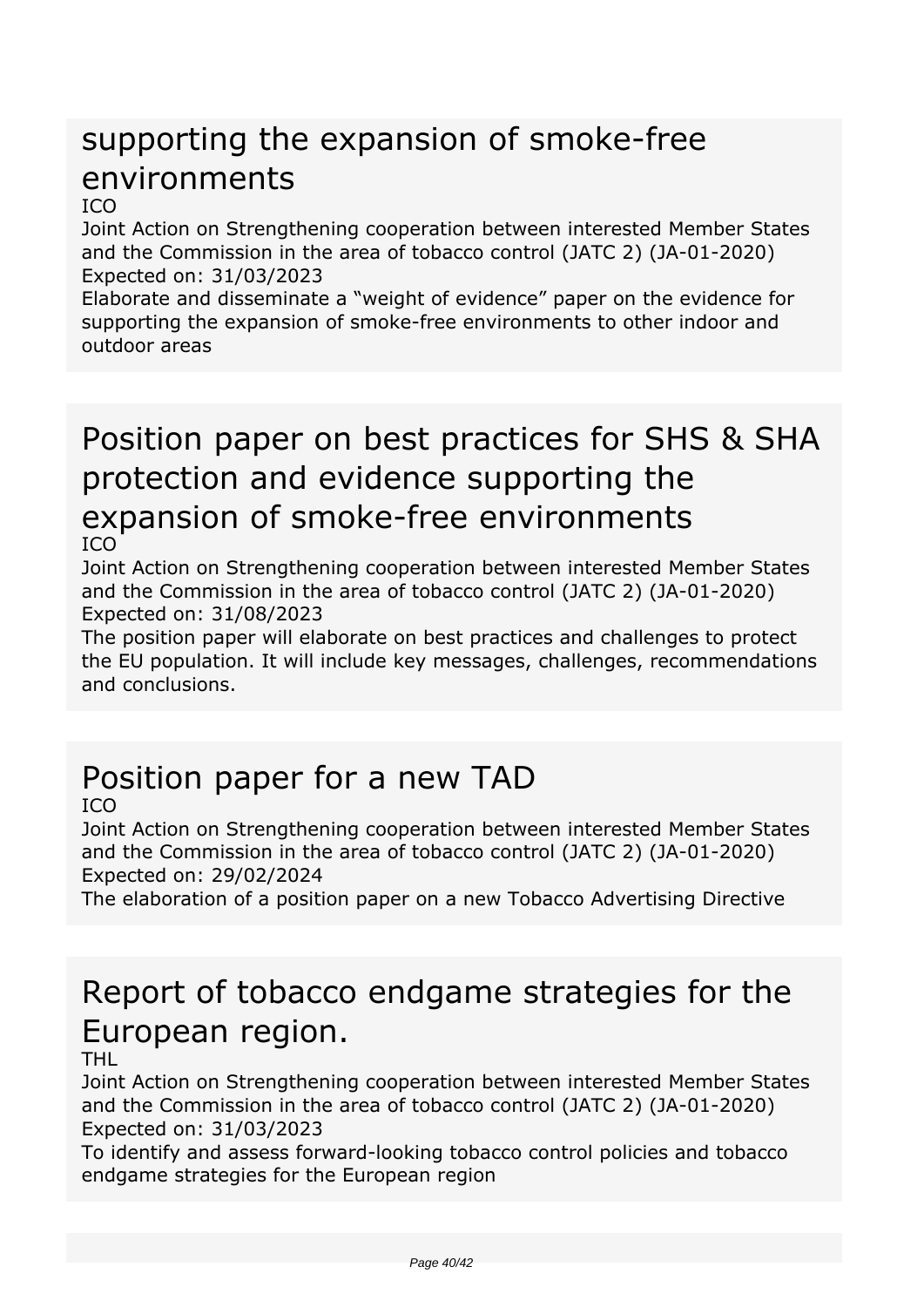## *supporting the expansion of smoke-free environments*

#### *ICO*

*Joint Action on Strengthening cooperation between interested Member States and the Commission in the area of tobacco control (JATC 2) (JA-01-2020) Expected on: 31/03/2023*

*Elaborate and disseminate a "weight of evidence" paper on the evidence for supporting the expansion of smoke-free environments to other indoor and outdoor areas*

### *Position paper on best practices for SHS & SHA protection and evidence supporting the expansion of smoke-free environments ICO*

*Joint Action on Strengthening cooperation between interested Member States and the Commission in the area of tobacco control (JATC 2) (JA-01-2020) Expected on: 31/08/2023*

*The position paper will elaborate on best practices and challenges to protect the EU population. It will include key messages, challenges, recommendations and conclusions.*

# *Position paper for a new TAD*

*ICO*

*Joint Action on Strengthening cooperation between interested Member States and the Commission in the area of tobacco control (JATC 2) (JA-01-2020) Expected on: 29/02/2024*

*The elaboration of a position paper on a new Tobacco Advertising Directive*

## *Report of tobacco endgame strategies for the European region.*

#### *THL*

*Joint Action on Strengthening cooperation between interested Member States and the Commission in the area of tobacco control (JATC 2) (JA-01-2020) Expected on: 31/03/2023*

*To identify and assess forward-looking tobacco control policies and tobacco endgame strategies for the European region*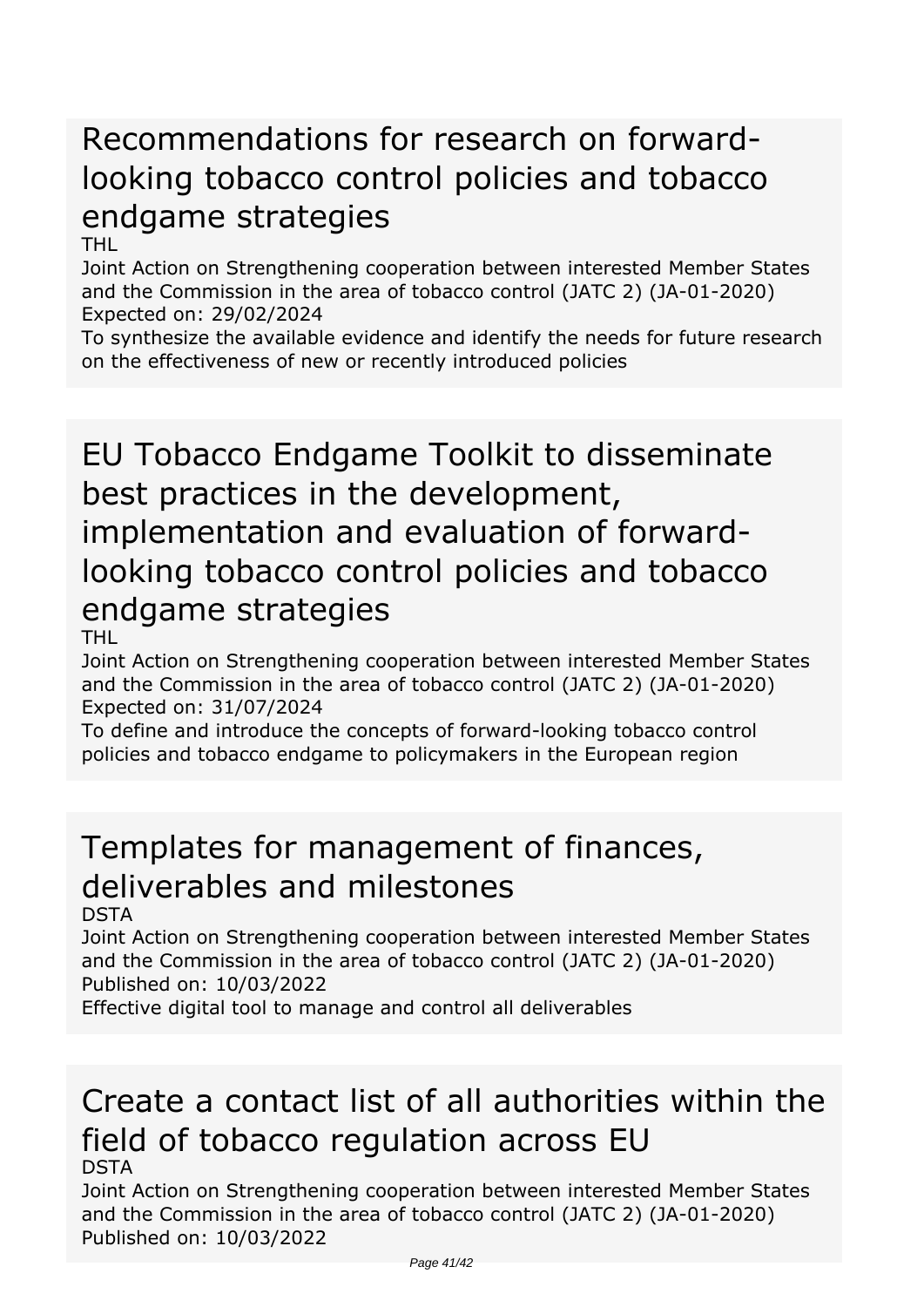## *Recommendations for research on forwardlooking tobacco control policies and tobacco endgame strategies*

*THL*

*Joint Action on Strengthening cooperation between interested Member States and the Commission in the area of tobacco control (JATC 2) (JA-01-2020) Expected on: 29/02/2024*

*To synthesize the available evidence and identify the needs for future research on the effectiveness of new or recently introduced policies*

*EU Tobacco Endgame Toolkit to disseminate best practices in the development, implementation and evaluation of forwardlooking tobacco control policies and tobacco endgame strategies*

*THL*

*Joint Action on Strengthening cooperation between interested Member States and the Commission in the area of tobacco control (JATC 2) (JA-01-2020) Expected on: 31/07/2024*

*To define and introduce the concepts of forward-looking tobacco control policies and tobacco endgame to policymakers in the European region*

## *Templates for management of finances, deliverables and milestones*

*DSTA*

*Joint Action on Strengthening cooperation between interested Member States and the Commission in the area of tobacco control (JATC 2) (JA-01-2020) Published on: 10/03/2022*

*Effective digital tool to manage and control all deliverables*

### *Create a contact list of all authorities within the field of tobacco regulation across EU DSTA*

*Joint Action on Strengthening cooperation between interested Member States and the Commission in the area of tobacco control (JATC 2) (JA-01-2020) Published on: 10/03/2022*